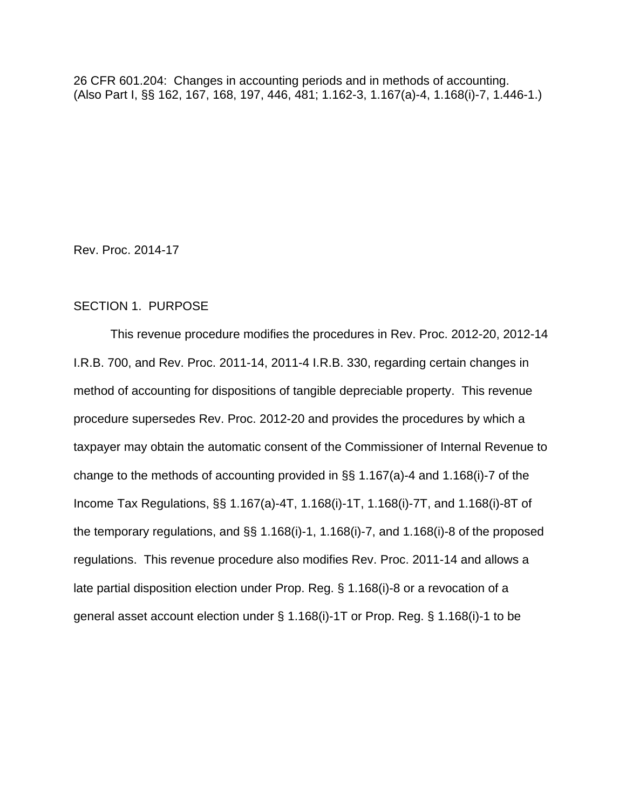26 CFR 601.204: Changes in accounting periods and in methods of accounting. (Also Part I, §§ 162, 167, 168, 197, 446, 481; 1.162-3, 1.167(a)-4, 1.168(i)-7, 1.446-1.)

Rev. Proc. 2014-17

# SECTION 1. PURPOSE

This revenue procedure modifies the procedures in Rev. Proc. 2012-20, 2012-14 I.R.B. 700, and Rev. Proc. 2011-14, 2011-4 I.R.B. 330, regarding certain changes in method of accounting for dispositions of tangible depreciable property. This revenue procedure supersedes Rev. Proc. 2012-20 and provides the procedures by which a taxpayer may obtain the automatic consent of the Commissioner of Internal Revenue to change to the methods of accounting provided in §§ 1.167(a)-4 and 1.168(i)-7 of the Income Tax Regulations, §§ 1.167(a)-4T, 1.168(i)-1T, 1.168(i)-7T, and 1.168(i)-8T of the temporary regulations, and §§ 1.168(i)-1, 1.168(i)-7, and 1.168(i)-8 of the proposed regulations. This revenue procedure also modifies Rev. Proc. 2011-14 and allows a late partial disposition election under Prop. Reg. § 1.168(i)-8 or a revocation of a general asset account election under § 1.168(i)-1T or Prop. Reg. § 1.168(i)-1 to be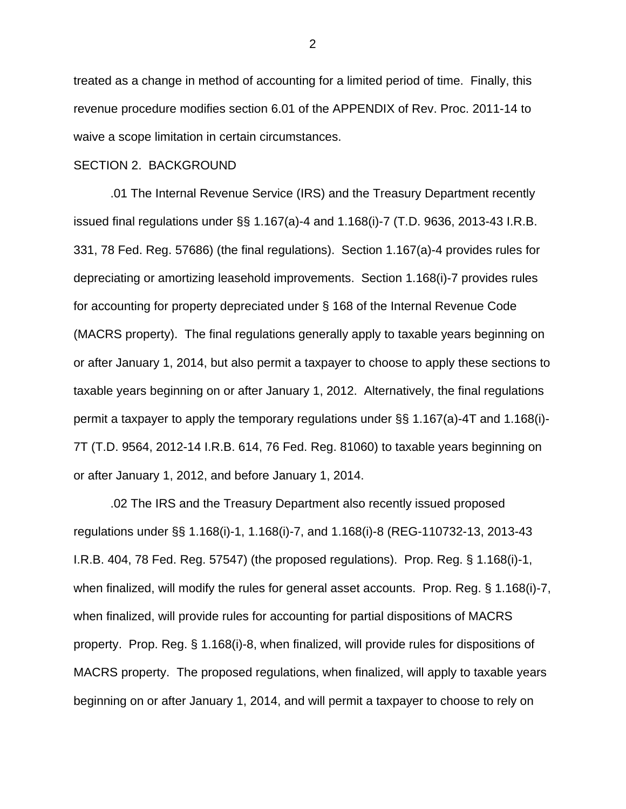treated as a change in method of accounting for a limited period of time. Finally, this revenue procedure modifies section 6.01 of the APPENDIX of Rev. Proc. 2011-14 to waive a scope limitation in certain circumstances.

#### SECTION 2. BACKGROUND

.01 The Internal Revenue Service (IRS) and the Treasury Department recently issued final regulations under §§ 1.167(a)-4 and 1.168(i)-7 (T.D. 9636, 2013-43 I.R.B. 331, 78 Fed. Reg. 57686) (the final regulations). Section 1.167(a)-4 provides rules for depreciating or amortizing leasehold improvements. Section 1.168(i)-7 provides rules for accounting for property depreciated under § 168 of the Internal Revenue Code (MACRS property). The final regulations generally apply to taxable years beginning on or after January 1, 2014, but also permit a taxpayer to choose to apply these sections to taxable years beginning on or after January 1, 2012. Alternatively, the final regulations permit a taxpayer to apply the temporary regulations under §§ 1.167(a)-4T and 1.168(i)- 7T (T.D. 9564, 2012-14 I.R.B. 614, 76 Fed. Reg. 81060) to taxable years beginning on or after January 1, 2012, and before January 1, 2014.

.02 The IRS and the Treasury Department also recently issued proposed regulations under §§ 1.168(i)-1, 1.168(i)-7, and 1.168(i)-8 (REG-110732-13, 2013-43 I.R.B. 404, 78 Fed. Reg. 57547) (the proposed regulations). Prop. Reg. § 1.168(i)-1, when finalized, will modify the rules for general asset accounts. Prop. Reg. § 1.168(i)-7, when finalized, will provide rules for accounting for partial dispositions of MACRS property. Prop. Reg. § 1.168(i)-8, when finalized, will provide rules for dispositions of MACRS property. The proposed regulations, when finalized, will apply to taxable years beginning on or after January 1, 2014, and will permit a taxpayer to choose to rely on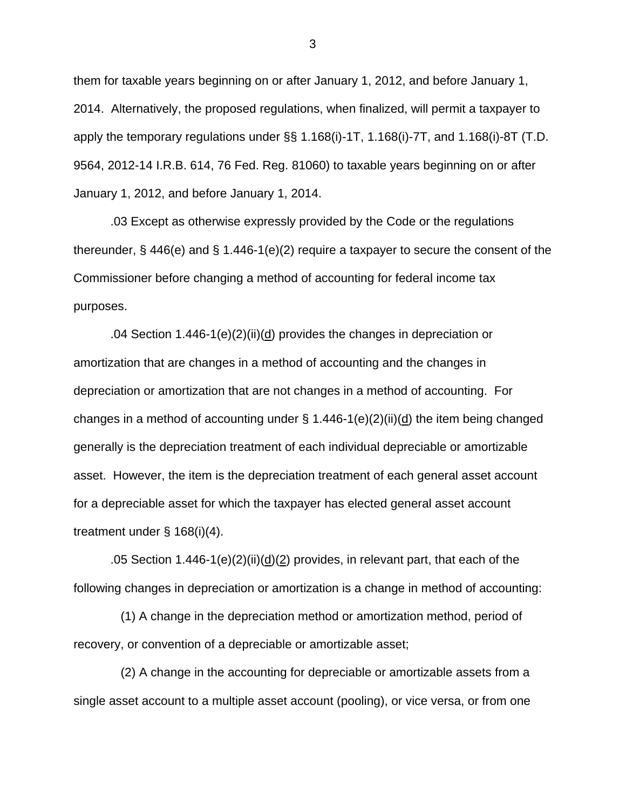them for taxable years beginning on or after January 1, 2012, and before January 1, 2014. Alternatively, the proposed regulations, when finalized, will permit a taxpayer to apply the temporary regulations under §§ 1.168(i)-1T, 1.168(i)-7T, and 1.168(i)-8T (T.D. 9564, 2012-14 I.R.B. 614, 76 Fed. Reg. 81060) to taxable years beginning on or after January 1, 2012, and before January 1, 2014.

.03 Except as otherwise expressly provided by the Code or the regulations thereunder, § 446(e) and § 1.446-1(e)(2) require a taxpayer to secure the consent of the Commissioner before changing a method of accounting for federal income tax purposes.

.04 Section 1.446-1(e)(2)(ii)( $d$ ) provides the changes in depreciation or amortization that are changes in a method of accounting and the changes in depreciation or amortization that are not changes in a method of accounting. For changes in a method of accounting under  $\S$  1.446-1(e)(2)(ii)(d) the item being changed generally is the depreciation treatment of each individual depreciable or amortizable asset. However, the item is the depreciation treatment of each general asset account for a depreciable asset for which the taxpayer has elected general asset account treatment under § 168(i)(4).

.05 Section 1.446-1(e)(2)(ii)(d)(2) provides, in relevant part, that each of the following changes in depreciation or amortization is a change in method of accounting:

 (1) A change in the depreciation method or amortization method, period of recovery, or convention of a depreciable or amortizable asset;

 (2) A change in the accounting for depreciable or amortizable assets from a single asset account to a multiple asset account (pooling), or vice versa, or from one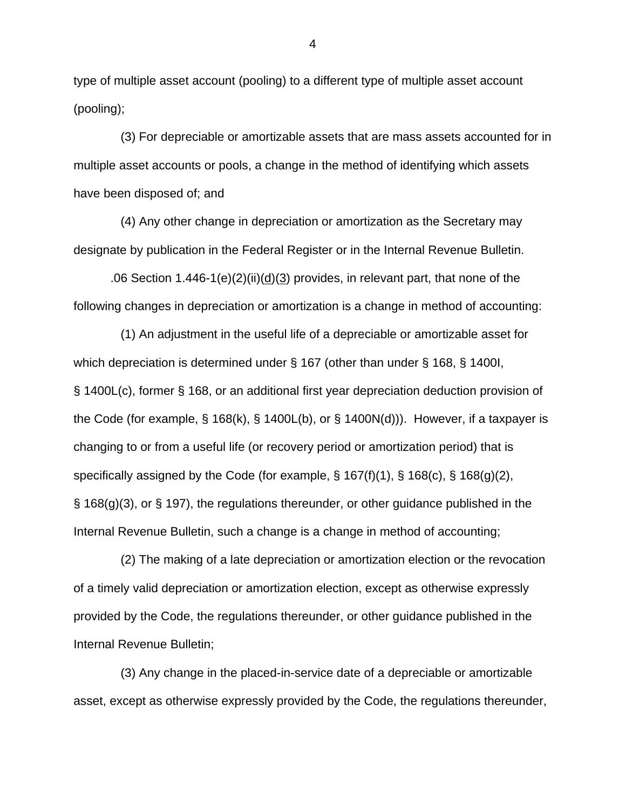type of multiple asset account (pooling) to a different type of multiple asset account (pooling);

 (3) For depreciable or amortizable assets that are mass assets accounted for in multiple asset accounts or pools, a change in the method of identifying which assets have been disposed of; and

 (4) Any other change in depreciation or amortization as the Secretary may designate by publication in the Federal Register or in the Internal Revenue Bulletin.

.06 Section 1.446-1(e)(2)(ii)(d)(3) provides, in relevant part, that none of the following changes in depreciation or amortization is a change in method of accounting:

 (1) An adjustment in the useful life of a depreciable or amortizable asset for which depreciation is determined under § 167 (other than under § 168, § 1400I, § 1400L(c), former § 168, or an additional first year depreciation deduction provision of the Code (for example, § 168(k), § 1400L(b), or § 1400N(d))). However, if a taxpayer is changing to or from a useful life (or recovery period or amortization period) that is specifically assigned by the Code (for example, § 167(f)(1), § 168(c), § 168(g)(2), § 168(g)(3), or § 197), the regulations thereunder, or other guidance published in the Internal Revenue Bulletin, such a change is a change in method of accounting;

 (2) The making of a late depreciation or amortization election or the revocation of a timely valid depreciation or amortization election, except as otherwise expressly provided by the Code, the regulations thereunder, or other guidance published in the Internal Revenue Bulletin;

 (3) Any change in the placed-in-service date of a depreciable or amortizable asset, except as otherwise expressly provided by the Code, the regulations thereunder,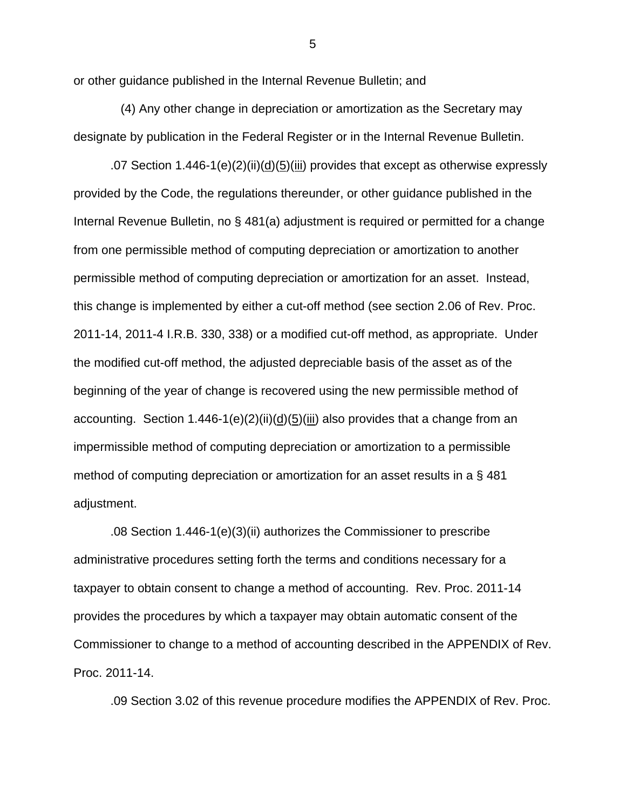or other guidance published in the Internal Revenue Bulletin; and

 (4) Any other change in depreciation or amortization as the Secretary may designate by publication in the Federal Register or in the Internal Revenue Bulletin.

.07 Section 1.446-1(e)(2)(ii)( $\underline{d}$ )( $\underline{5}$ )(iii) provides that except as otherwise expressly provided by the Code, the regulations thereunder, or other guidance published in the Internal Revenue Bulletin, no § 481(a) adjustment is required or permitted for a change from one permissible method of computing depreciation or amortization to another permissible method of computing depreciation or amortization for an asset. Instead, this change is implemented by either a cut-off method (see section 2.06 of Rev. Proc. 2011-14, 2011-4 I.R.B. 330, 338) or a modified cut-off method, as appropriate. Under the modified cut-off method, the adjusted depreciable basis of the asset as of the beginning of the year of change is recovered using the new permissible method of accounting. Section 1.446-1(e)(2)(ii)(d)(5)(iii) also provides that a change from an impermissible method of computing depreciation or amortization to a permissible method of computing depreciation or amortization for an asset results in a § 481 adjustment.

.08 Section 1.446-1(e)(3)(ii) authorizes the Commissioner to prescribe administrative procedures setting forth the terms and conditions necessary for a taxpayer to obtain consent to change a method of accounting. Rev. Proc. 2011-14 provides the procedures by which a taxpayer may obtain automatic consent of the Commissioner to change to a method of accounting described in the APPENDIX of Rev. Proc. 2011-14.

.09 Section 3.02 of this revenue procedure modifies the APPENDIX of Rev. Proc.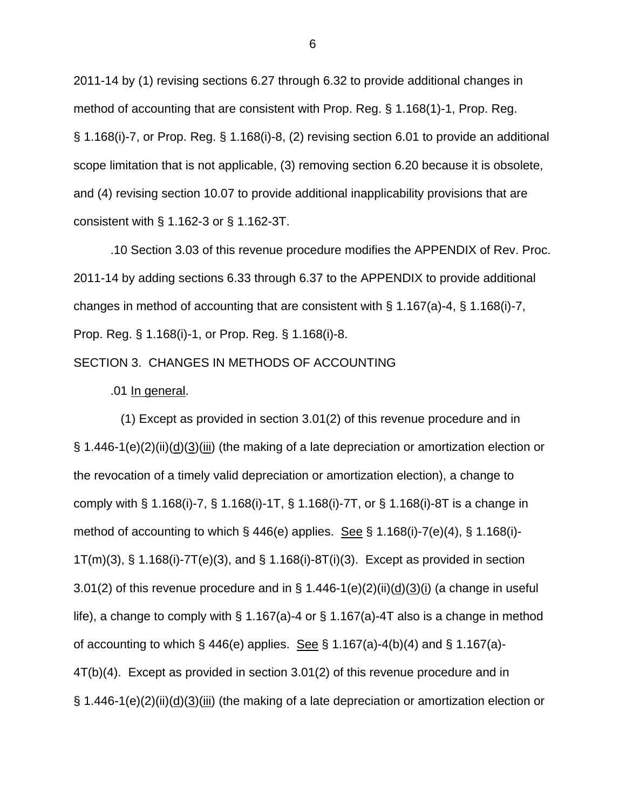2011-14 by (1) revising sections 6.27 through 6.32 to provide additional changes in method of accounting that are consistent with Prop. Reg. § 1.168(1)-1, Prop. Reg. § 1.168(i)-7, or Prop. Reg. § 1.168(i)-8, (2) revising section 6.01 to provide an additional scope limitation that is not applicable, (3) removing section 6.20 because it is obsolete, and (4) revising section 10.07 to provide additional inapplicability provisions that are consistent with § 1.162-3 or § 1.162-3T.

.10 Section 3.03 of this revenue procedure modifies the APPENDIX of Rev. Proc. 2011-14 by adding sections 6.33 through 6.37 to the APPENDIX to provide additional changes in method of accounting that are consistent with § 1.167(a)-4, § 1.168(i)-7, Prop. Reg. § 1.168(i)-1, or Prop. Reg. § 1.168(i)-8.

# SECTION 3. CHANGES IN METHODS OF ACCOUNTING

## .01 In general.

 (1) Except as provided in section 3.01(2) of this revenue procedure and in § 1.446-1(e)(2)(ii)(d)(3)(iii) (the making of a late depreciation or amortization election or the revocation of a timely valid depreciation or amortization election), a change to comply with § 1.168(i)-7, § 1.168(i)-1T, § 1.168(i)-7T, or § 1.168(i)-8T is a change in method of accounting to which  $\S$  446(e) applies. See  $\S$  1.168(i)-7(e)(4),  $\S$  1.168(i)- $1T(m)(3)$ , § 1.168(i)-7T(e)(3), and § 1.168(i)-8T(i)(3). Except as provided in section 3.01(2) of this revenue procedure and in § 1.446-1(e)(2)(ii)( $\underline{d}$ )(3)(i) (a change in useful life), a change to comply with  $\S 1.167(a)$ -4 or  $\S 1.167(a)$ -4T also is a change in method of accounting to which  $\S$  446(e) applies. See  $\S$  1.167(a)-4(b)(4) and  $\S$  1.167(a)-4T(b)(4). Except as provided in section 3.01(2) of this revenue procedure and in § 1.446-1(e)(2)(ii)( $\underline{d}$ )( $\underline{3}$ )(iii) (the making of a late depreciation or amortization election or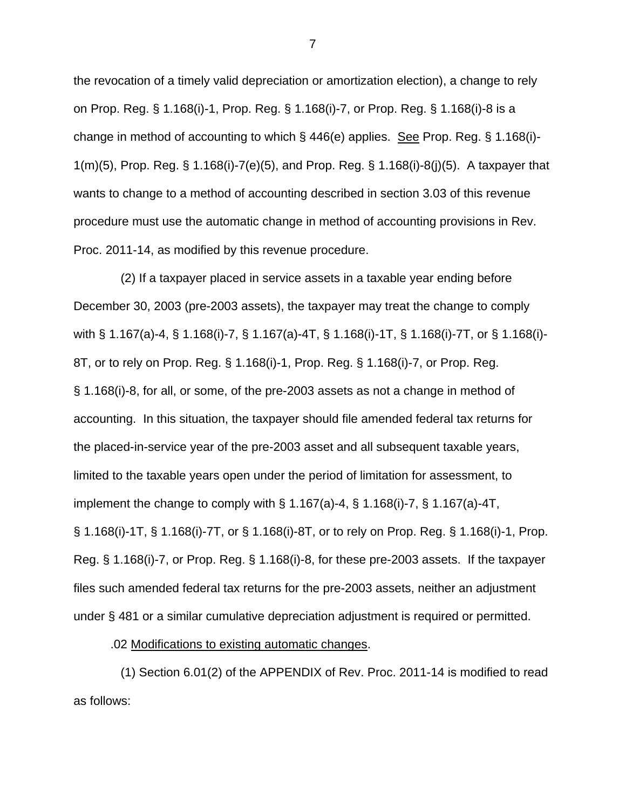the revocation of a timely valid depreciation or amortization election), a change to rely on Prop. Reg. § 1.168(i)-1, Prop. Reg. § 1.168(i)-7, or Prop. Reg. § 1.168(i)-8 is a change in method of accounting to which § 446(e) applies. See Prop. Reg. § 1.168(i)- 1(m)(5), Prop. Reg. § 1.168(i)-7(e)(5), and Prop. Reg. § 1.168(i)-8(j)(5). A taxpayer that wants to change to a method of accounting described in section 3.03 of this revenue procedure must use the automatic change in method of accounting provisions in Rev. Proc. 2011-14, as modified by this revenue procedure.

 (2) If a taxpayer placed in service assets in a taxable year ending before December 30, 2003 (pre-2003 assets), the taxpayer may treat the change to comply with § 1.167(a)-4, § 1.168(i)-7, § 1.167(a)-4T, § 1.168(i)-1T, § 1.168(i)-7T, or § 1.168(i)- 8T, or to rely on Prop. Reg. § 1.168(i)-1, Prop. Reg. § 1.168(i)-7, or Prop. Reg. § 1.168(i)-8, for all, or some, of the pre-2003 assets as not a change in method of accounting. In this situation, the taxpayer should file amended federal tax returns for the placed-in-service year of the pre-2003 asset and all subsequent taxable years, limited to the taxable years open under the period of limitation for assessment, to implement the change to comply with  $\S$  1.167(a)-4,  $\S$  1.168(i)-7,  $\S$  1.167(a)-4T, § 1.168(i)-1T, § 1.168(i)-7T, or § 1.168(i)-8T, or to rely on Prop. Reg. § 1.168(i)-1, Prop. Reg. § 1.168(i)-7, or Prop. Reg. § 1.168(i)-8, for these pre-2003 assets. If the taxpayer files such amended federal tax returns for the pre-2003 assets, neither an adjustment under § 481 or a similar cumulative depreciation adjustment is required or permitted.

.02 Modifications to existing automatic changes.

 (1) Section 6.01(2) of the APPENDIX of Rev. Proc. 2011-14 is modified to read as follows: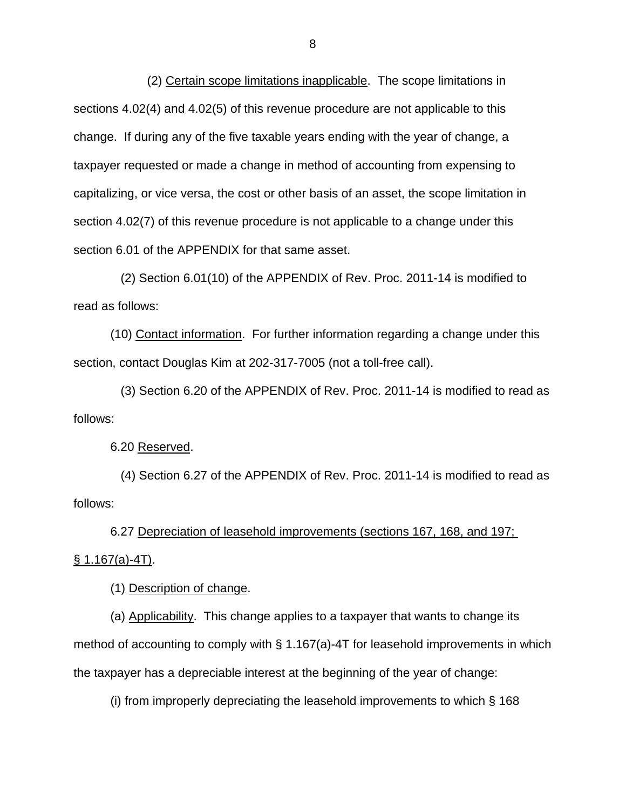(2) Certain scope limitations inapplicable. The scope limitations in sections 4.02(4) and 4.02(5) of this revenue procedure are not applicable to this change. If during any of the five taxable years ending with the year of change, a taxpayer requested or made a change in method of accounting from expensing to capitalizing, or vice versa, the cost or other basis of an asset, the scope limitation in section 4.02(7) of this revenue procedure is not applicable to a change under this section 6.01 of the APPENDIX for that same asset.

 (2) Section 6.01(10) of the APPENDIX of Rev. Proc. 2011-14 is modified to read as follows:

 (10) Contact information. For further information regarding a change under this section, contact Douglas Kim at 202-317-7005 (not a toll-free call).

 (3) Section 6.20 of the APPENDIX of Rev. Proc. 2011-14 is modified to read as follows:

6.20 Reserved.

 (4) Section 6.27 of the APPENDIX of Rev. Proc. 2011-14 is modified to read as follows:

6.27 Depreciation of leasehold improvements (sections 167, 168, and 197;  $§ 1.167(a)-4T.$ 

(1) Description of change.

(a) Applicability. This change applies to a taxpayer that wants to change its method of accounting to comply with § 1.167(a)-4T for leasehold improvements in which the taxpayer has a depreciable interest at the beginning of the year of change:

(i) from improperly depreciating the leasehold improvements to which § 168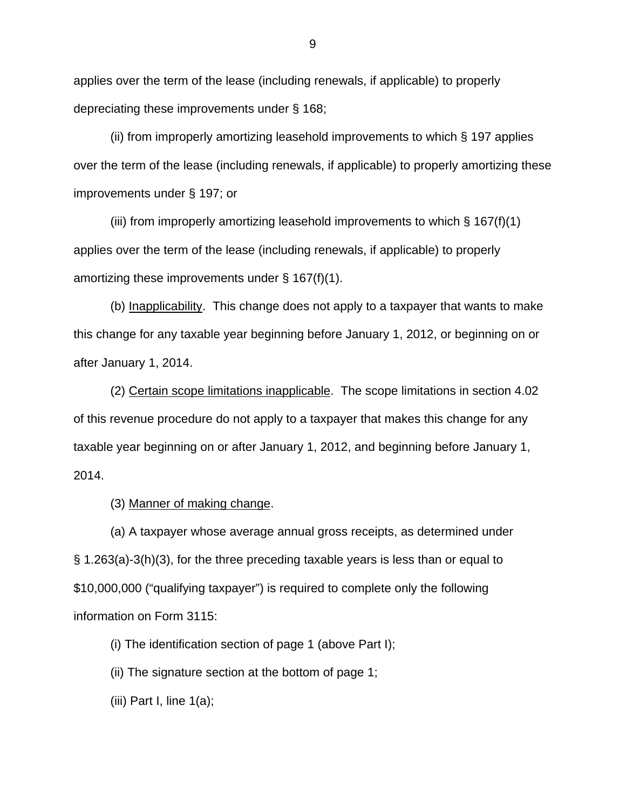applies over the term of the lease (including renewals, if applicable) to properly depreciating these improvements under § 168;

(ii) from improperly amortizing leasehold improvements to which § 197 applies over the term of the lease (including renewals, if applicable) to properly amortizing these improvements under § 197; or

(iii) from improperly amortizing leasehold improvements to which  $\S 167(f)(1)$ applies over the term of the lease (including renewals, if applicable) to properly amortizing these improvements under § 167(f)(1).

(b) Inapplicability. This change does not apply to a taxpayer that wants to make this change for any taxable year beginning before January 1, 2012, or beginning on or after January 1, 2014.

(2) Certain scope limitations inapplicable. The scope limitations in section 4.02 of this revenue procedure do not apply to a taxpayer that makes this change for any taxable year beginning on or after January 1, 2012, and beginning before January 1, 2014.

(3) Manner of making change.

(a) A taxpayer whose average annual gross receipts, as determined under § 1.263(a)-3(h)(3), for the three preceding taxable years is less than or equal to \$10,000,000 ("qualifying taxpayer") is required to complete only the following information on Form 3115:

(i) The identification section of page 1 (above Part I);

(ii) The signature section at the bottom of page 1;

(iii) Part I, line  $1(a)$ ;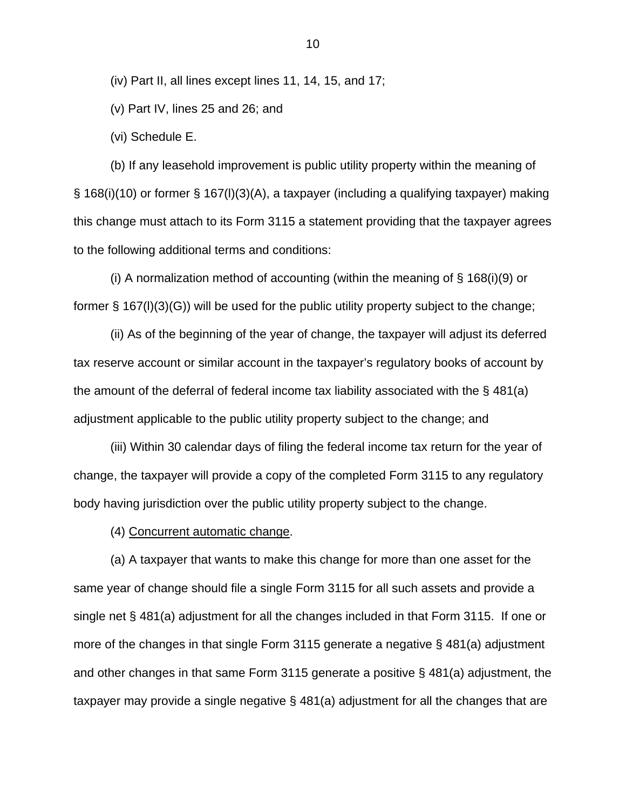(iv) Part II, all lines except lines 11, 14, 15, and 17;

(v) Part IV, lines 25 and 26; and

(vi) Schedule E.

(b) If any leasehold improvement is public utility property within the meaning of § 168(i)(10) or former § 167(l)(3)(A), a taxpayer (including a qualifying taxpayer) making this change must attach to its Form 3115 a statement providing that the taxpayer agrees to the following additional terms and conditions:

(i) A normalization method of accounting (within the meaning of  $\S$  168(i)(9) or former § 167(l)(3)(G)) will be used for the public utility property subject to the change;

(ii) As of the beginning of the year of change, the taxpayer will adjust its deferred tax reserve account or similar account in the taxpayer's regulatory books of account by the amount of the deferral of federal income tax liability associated with the § 481(a) adjustment applicable to the public utility property subject to the change; and

(iii) Within 30 calendar days of filing the federal income tax return for the year of change, the taxpayer will provide a copy of the completed Form 3115 to any regulatory body having jurisdiction over the public utility property subject to the change.

(4) Concurrent automatic change.

(a) A taxpayer that wants to make this change for more than one asset for the same year of change should file a single Form 3115 for all such assets and provide a single net § 481(a) adjustment for all the changes included in that Form 3115. If one or more of the changes in that single Form 3115 generate a negative § 481(a) adjustment and other changes in that same Form 3115 generate a positive § 481(a) adjustment, the taxpayer may provide a single negative § 481(a) adjustment for all the changes that are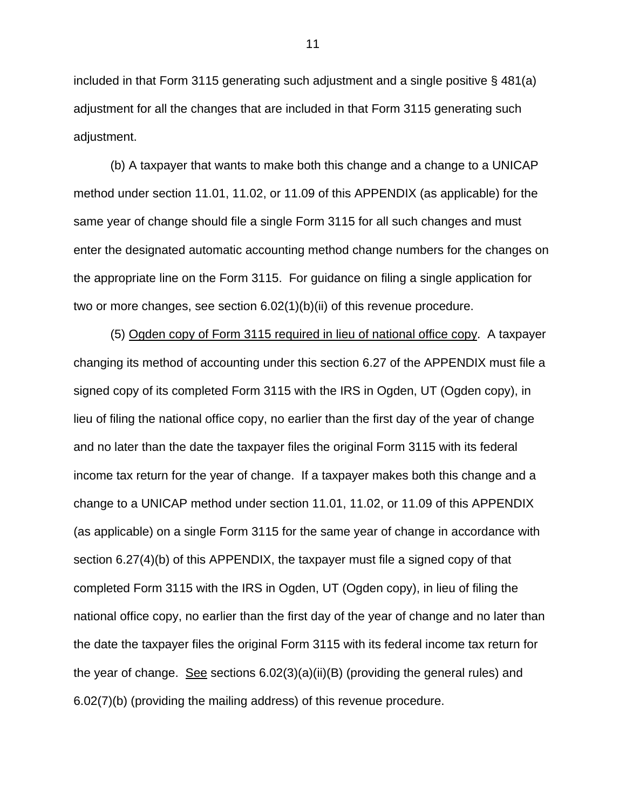included in that Form 3115 generating such adjustment and a single positive § 481(a) adjustment for all the changes that are included in that Form 3115 generating such adjustment.

(b) A taxpayer that wants to make both this change and a change to a UNICAP method under section 11.01, 11.02, or 11.09 of this APPENDIX (as applicable) for the same year of change should file a single Form 3115 for all such changes and must enter the designated automatic accounting method change numbers for the changes on the appropriate line on the Form 3115. For guidance on filing a single application for two or more changes, see section 6.02(1)(b)(ii) of this revenue procedure.

(5) Ogden copy of Form 3115 required in lieu of national office copy. A taxpayer changing its method of accounting under this section 6.27 of the APPENDIX must file a signed copy of its completed Form 3115 with the IRS in Ogden, UT (Ogden copy), in lieu of filing the national office copy, no earlier than the first day of the year of change and no later than the date the taxpayer files the original Form 3115 with its federal income tax return for the year of change. If a taxpayer makes both this change and a change to a UNICAP method under section 11.01, 11.02, or 11.09 of this APPENDIX (as applicable) on a single Form 3115 for the same year of change in accordance with section 6.27(4)(b) of this APPENDIX, the taxpayer must file a signed copy of that completed Form 3115 with the IRS in Ogden, UT (Ogden copy), in lieu of filing the national office copy, no earlier than the first day of the year of change and no later than the date the taxpayer files the original Form 3115 with its federal income tax return for the year of change. See sections 6.02(3)(a)(ii)(B) (providing the general rules) and 6.02(7)(b) (providing the mailing address) of this revenue procedure.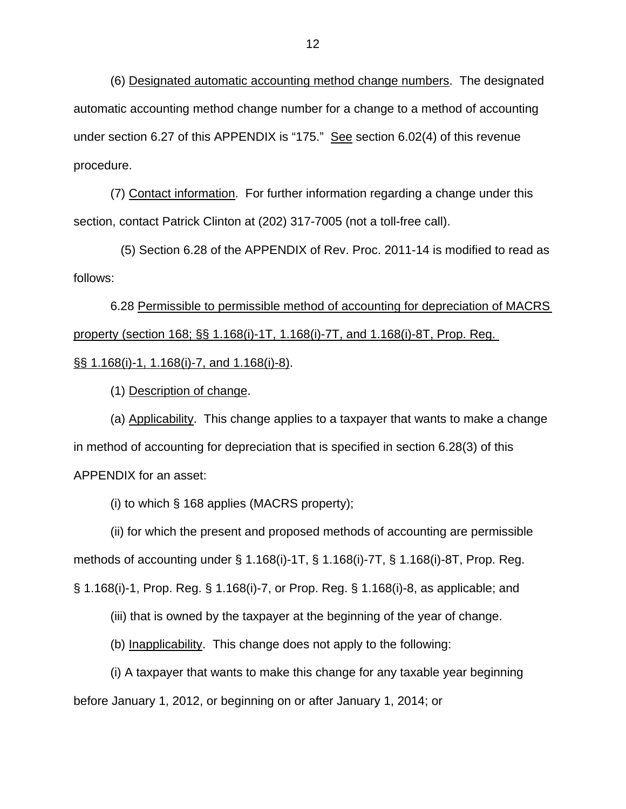(6) Designated automatic accounting method change numbers. The designated automatic accounting method change number for a change to a method of accounting under section 6.27 of this APPENDIX is "175." See section 6.02(4) of this revenue procedure.

(7) Contact information. For further information regarding a change under this section, contact Patrick Clinton at (202) 317-7005 (not a toll-free call).

 (5) Section 6.28 of the APPENDIX of Rev. Proc. 2011-14 is modified to read as follows:

6.28 Permissible to permissible method of accounting for depreciation of MACRS property (section 168; §§ 1.168(i)-1T, 1.168(i)-7T, and 1.168(i)-8T, Prop. Reg. §§ 1.168(i)-1, 1.168(i)-7, and 1.168(i)-8).

(1) Description of change.

(a) Applicability. This change applies to a taxpayer that wants to make a change in method of accounting for depreciation that is specified in section 6.28(3) of this APPENDIX for an asset:

(i) to which § 168 applies (MACRS property);

(ii) for which the present and proposed methods of accounting are permissible methods of accounting under § 1.168(i)-1T, § 1.168(i)-7T, § 1.168(i)-8T, Prop. Reg. § 1.168(i)-1, Prop. Reg. § 1.168(i)-7, or Prop. Reg. § 1.168(i)-8, as applicable; and

(iii) that is owned by the taxpayer at the beginning of the year of change.

(b) Inapplicability. This change does not apply to the following:

(i) A taxpayer that wants to make this change for any taxable year beginning before January 1, 2012, or beginning on or after January 1, 2014; or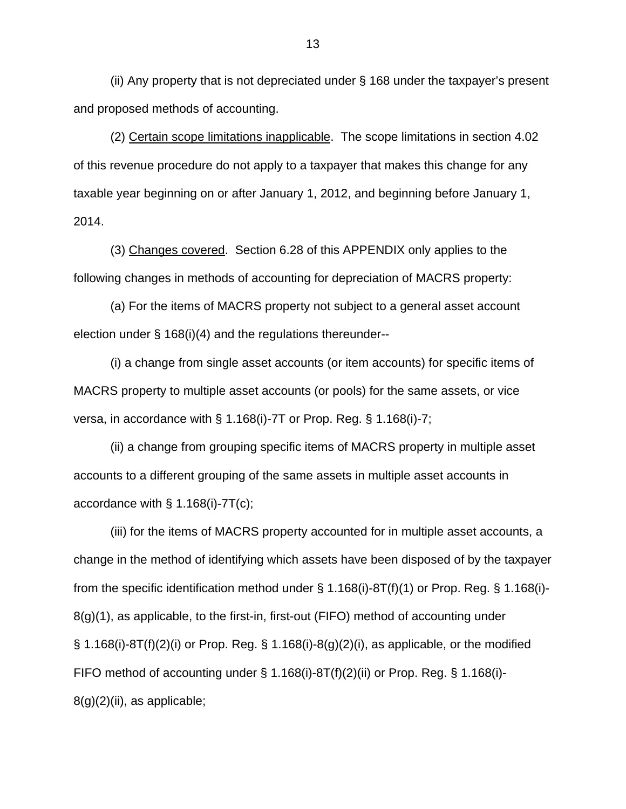(ii) Any property that is not depreciated under § 168 under the taxpayer's present and proposed methods of accounting.

(2) Certain scope limitations inapplicable. The scope limitations in section 4.02 of this revenue procedure do not apply to a taxpayer that makes this change for any taxable year beginning on or after January 1, 2012, and beginning before January 1, 2014.

(3) Changes covered. Section 6.28 of this APPENDIX only applies to the following changes in methods of accounting for depreciation of MACRS property:

(a) For the items of MACRS property not subject to a general asset account election under § 168(i)(4) and the regulations thereunder--

(i) a change from single asset accounts (or item accounts) for specific items of MACRS property to multiple asset accounts (or pools) for the same assets, or vice versa, in accordance with § 1.168(i)-7T or Prop. Reg. § 1.168(i)-7;

(ii) a change from grouping specific items of MACRS property in multiple asset accounts to a different grouping of the same assets in multiple asset accounts in accordance with  $\S$  1.168(i)-7T(c);

(iii) for the items of MACRS property accounted for in multiple asset accounts, a change in the method of identifying which assets have been disposed of by the taxpayer from the specific identification method under  $\S$  1.168(i)-8T(f)(1) or Prop. Reg.  $\S$  1.168(i)-8(g)(1), as applicable, to the first-in, first-out (FIFO) method of accounting under  $\S$  1.168(i)-8T(f)(2)(i) or Prop. Reg.  $\S$  1.168(i)-8(g)(2)(i), as applicable, or the modified FIFO method of accounting under  $\S 1.168(i)-8T(f)(2)(ii)$  or Prop. Reg.  $\S 1.168(i) 8(q)(2)(ii)$ , as applicable;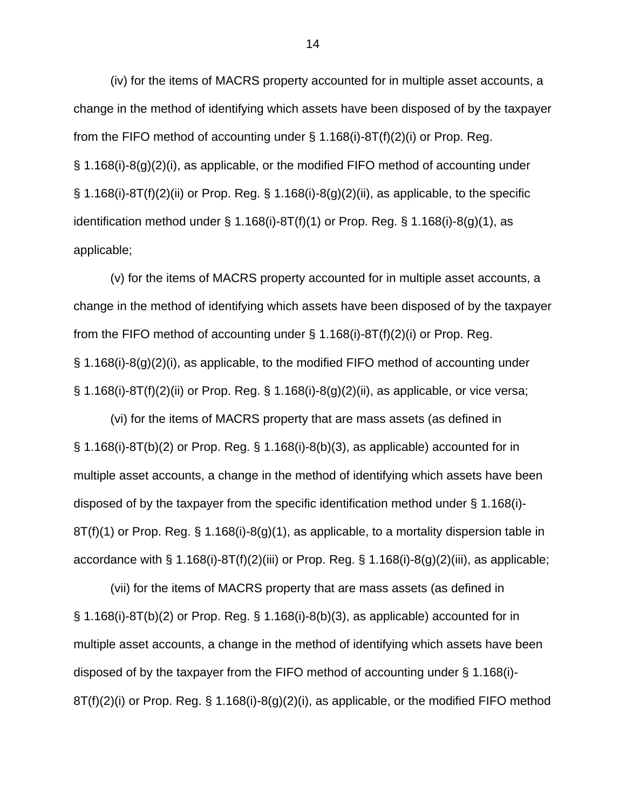(iv) for the items of MACRS property accounted for in multiple asset accounts, a change in the method of identifying which assets have been disposed of by the taxpayer from the FIFO method of accounting under § 1.168(i)-8T(f)(2)(i) or Prop. Reg. § 1.168(i)-8(g)(2)(i), as applicable, or the modified FIFO method of accounting under  $\S$  1.168(i)-8T(f)(2)(ii) or Prop. Reg.  $\S$  1.168(i)-8(g)(2)(ii), as applicable, to the specific identification method under  $\S$  1.168(i)-8T(f)(1) or Prop. Reg.  $\S$  1.168(i)-8(g)(1), as applicable;

(v) for the items of MACRS property accounted for in multiple asset accounts, a change in the method of identifying which assets have been disposed of by the taxpayer from the FIFO method of accounting under  $\S$  1.168(i)-8T(f)(2)(i) or Prop. Reg. § 1.168(i)-8(g)(2)(i), as applicable, to the modified FIFO method of accounting under  $\S$  1.168(i)-8T(f)(2)(ii) or Prop. Reg.  $\S$  1.168(i)-8(g)(2)(ii), as applicable, or vice versa;

(vi) for the items of MACRS property that are mass assets (as defined in § 1.168(i)-8T(b)(2) or Prop. Reg. § 1.168(i)-8(b)(3), as applicable) accounted for in multiple asset accounts, a change in the method of identifying which assets have been disposed of by the taxpayer from the specific identification method under § 1.168(i)- 8T(f)(1) or Prop. Reg. § 1.168(i)-8(g)(1), as applicable, to a mortality dispersion table in accordance with  $\S 1.168(i)$ -8T(f)(2)(iii) or Prop. Reg.  $\S 1.168(i)$ -8(g)(2)(iii), as applicable;

(vii) for the items of MACRS property that are mass assets (as defined in § 1.168(i)-8T(b)(2) or Prop. Reg. § 1.168(i)-8(b)(3), as applicable) accounted for in multiple asset accounts, a change in the method of identifying which assets have been disposed of by the taxpayer from the FIFO method of accounting under § 1.168(i)-  $8T(f)(2)(i)$  or Prop. Reg. § 1.168(i)-8(g)(2)(i), as applicable, or the modified FIFO method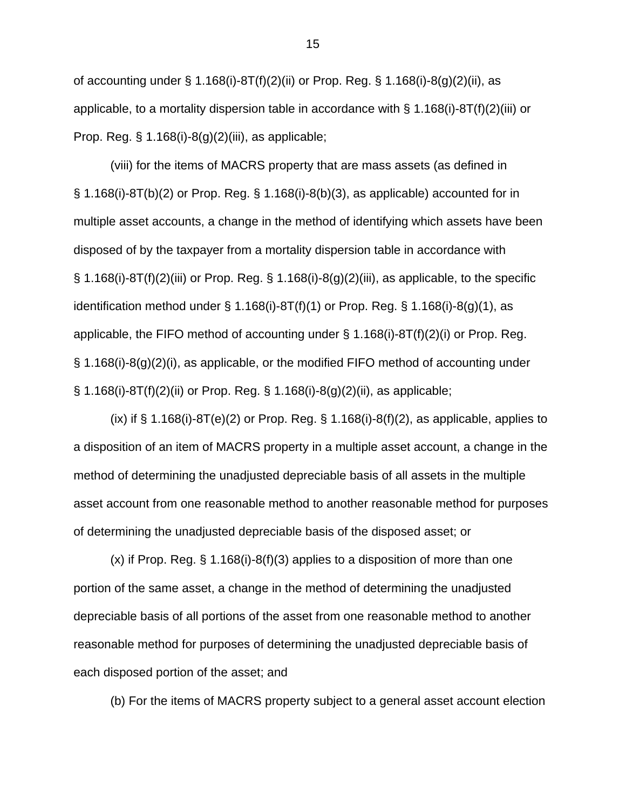of accounting under § 1.168(i)-8T(f)(2)(ii) or Prop. Reg. § 1.168(i)-8(g)(2)(ii), as applicable, to a mortality dispersion table in accordance with  $\S 1.168(i)$ -8T(f)(2)(iii) or Prop. Reg.  $\S$  1.168(i)-8(g)(2)(iii), as applicable;

(viii) for the items of MACRS property that are mass assets (as defined in  $\S$  1.168(i)-8T(b)(2) or Prop. Req.  $\S$  1.168(i)-8(b)(3), as applicable) accounted for in multiple asset accounts, a change in the method of identifying which assets have been disposed of by the taxpayer from a mortality dispersion table in accordance with  $\S$  1.168(i)-8T(f)(2)(iii) or Prop. Reg.  $\S$  1.168(i)-8(g)(2)(iii), as applicable, to the specific identification method under  $\S$  1.168(i)-8T(f)(1) or Prop. Reg.  $\S$  1.168(i)-8(g)(1), as applicable, the FIFO method of accounting under § 1.168(i)-8T(f)(2)(i) or Prop. Reg. § 1.168(i)-8(g)(2)(i), as applicable, or the modified FIFO method of accounting under § 1.168(i)-8T(f)(2)(ii) or Prop. Reg. § 1.168(i)-8(g)(2)(ii), as applicable;

(ix) if  $\S$  1.168(i)-8T(e)(2) or Prop. Reg.  $\S$  1.168(i)-8(f)(2), as applicable, applies to a disposition of an item of MACRS property in a multiple asset account, a change in the method of determining the unadjusted depreciable basis of all assets in the multiple asset account from one reasonable method to another reasonable method for purposes of determining the unadjusted depreciable basis of the disposed asset; or

 $(x)$  if Prop. Reg. § 1.168(i)-8(f)(3) applies to a disposition of more than one portion of the same asset, a change in the method of determining the unadjusted depreciable basis of all portions of the asset from one reasonable method to another reasonable method for purposes of determining the unadjusted depreciable basis of each disposed portion of the asset; and

(b) For the items of MACRS property subject to a general asset account election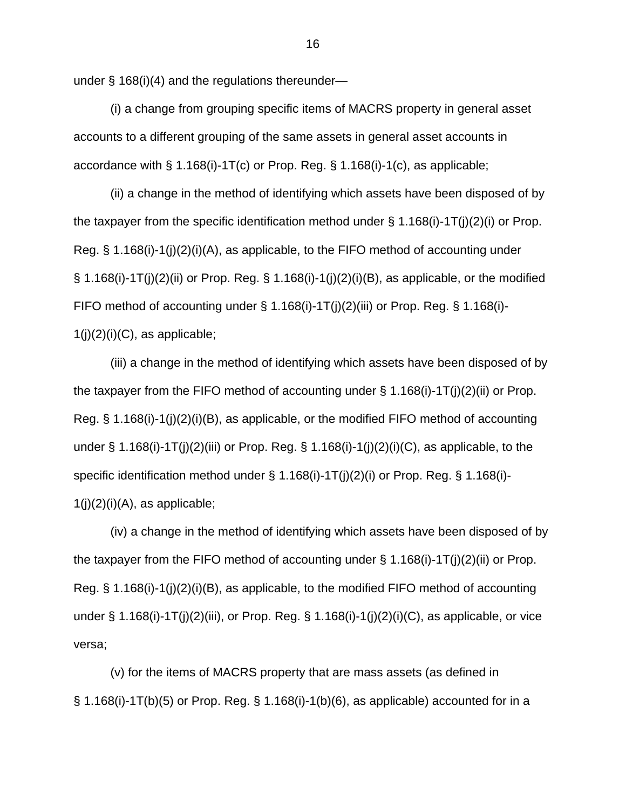under § 168(i)(4) and the regulations thereunder—

(i) a change from grouping specific items of MACRS property in general asset accounts to a different grouping of the same assets in general asset accounts in accordance with § 1.168(i)-1T(c) or Prop. Reg. § 1.168(i)-1(c), as applicable;

(ii) a change in the method of identifying which assets have been disposed of by the taxpayer from the specific identification method under  $\S$  1.168(i)-1T(j)(2)(i) or Prop. Reg. § 1.168(i)-1(j)(2)(i)(A), as applicable, to the FIFO method of accounting under § 1.168(i)-1T(j)(2)(ii) or Prop. Reg. § 1.168(i)-1(j)(2)(i)(B), as applicable, or the modified FIFO method of accounting under  $\S 1.168(i)$ -1T(j)(2)(iii) or Prop. Reg.  $\S 1.168(i)$ - $1(j)(2)(i)(C)$ , as applicable;

(iii) a change in the method of identifying which assets have been disposed of by the taxpayer from the FIFO method of accounting under § 1.168(i)-1T(j)(2)(ii) or Prop. Reg. § 1.168(i)-1(j)(2)(i)(B), as applicable, or the modified FIFO method of accounting under  $\S$  1.168(i)-1T(j)(2)(iii) or Prop. Reg.  $\S$  1.168(i)-1(j)(2)(i)(C), as applicable, to the specific identification method under § 1.168(i)-1T(j)(2)(i) or Prop. Reg. § 1.168(i)-  $1(i)(2)(i)(A)$ , as applicable;

(iv) a change in the method of identifying which assets have been disposed of by the taxpayer from the FIFO method of accounting under  $\S$  1.168(i)-1T(j)(2)(ii) or Prop. Reg. § 1.168(i)-1(j)(2)(i)(B), as applicable, to the modified FIFO method of accounting under  $\S 1.168(i)-1T(j)(2)(iii)$ , or Prop. Reg.  $\S 1.168(i)-1(j)(2)(i)(C)$ , as applicable, or vice versa;

(v) for the items of MACRS property that are mass assets (as defined in  $\S$  1.168(i)-1T(b)(5) or Prop. Reg.  $\S$  1.168(i)-1(b)(6), as applicable) accounted for in a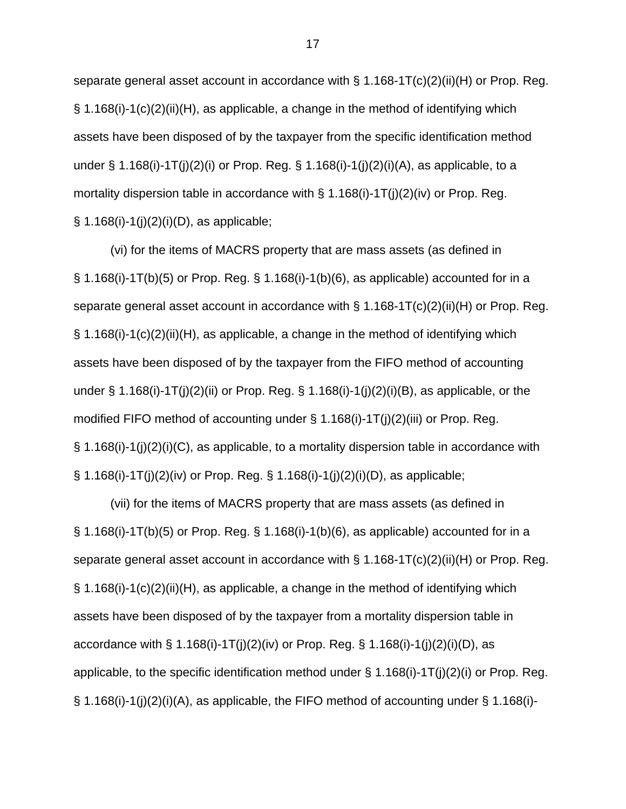separate general asset account in accordance with § 1.168-1T(c)(2)(ii)(H) or Prop. Reg.  $\S$  1.168(i)-1(c)(2)(ii)(H), as applicable, a change in the method of identifying which assets have been disposed of by the taxpayer from the specific identification method under  $\S 1.168(i)$ -1T(j)(2)(i) or Prop. Reg.  $\S 1.168(i)$ -1(j)(2)(i)(A), as applicable, to a mortality dispersion table in accordance with  $\S 1.168(i)$ -1T(j)(2)(iv) or Prop. Reg. § 1.168(i)-1(j)(2)(i)(D), as applicable;

(vi) for the items of MACRS property that are mass assets (as defined in  $\S$  1.168(i)-1T(b)(5) or Prop. Reg.  $\S$  1.168(i)-1(b)(6), as applicable) accounted for in a separate general asset account in accordance with  $\S$  1.168-1T(c)(2)(ii)(H) or Prop. Reg.  $\S$  1.168(i)-1(c)(2)(ii)(H), as applicable, a change in the method of identifying which assets have been disposed of by the taxpayer from the FIFO method of accounting under  $\S 1.168(i)-1T(j)(2)(ii)$  or Prop. Reg.  $\S 1.168(i)-1(j)(2)(i)(B)$ , as applicable, or the modified FIFO method of accounting under § 1.168(i)-1T(j)(2)(iii) or Prop. Reg. § 1.168(i)-1(j)(2)(i)(C), as applicable, to a mortality dispersion table in accordance with § 1.168(i)-1T(j)(2)(iv) or Prop. Reg. § 1.168(i)-1(j)(2)(i)(D), as applicable;

(vii) for the items of MACRS property that are mass assets (as defined in  $\S$  1.168(i)-1T(b)(5) or Prop. Reg.  $\S$  1.168(i)-1(b)(6), as applicable) accounted for in a separate general asset account in accordance with § 1.168-1T(c)(2)(ii)(H) or Prop. Reg. § 1.168(i)-1(c)(2)(ii)(H), as applicable, a change in the method of identifying which assets have been disposed of by the taxpayer from a mortality dispersion table in accordance with  $\S 1.168(i)-1T(j)(2)(iv)$  or Prop. Reg.  $\S 1.168(i)-1(j)(2)(i)(D)$ , as applicable, to the specific identification method under  $\S$  1.168(i)-1T(j)(2)(i) or Prop. Reg.  $\S$  1.168(i)-1(j)(2)(i)(A), as applicable, the FIFO method of accounting under  $\S$  1.168(i)-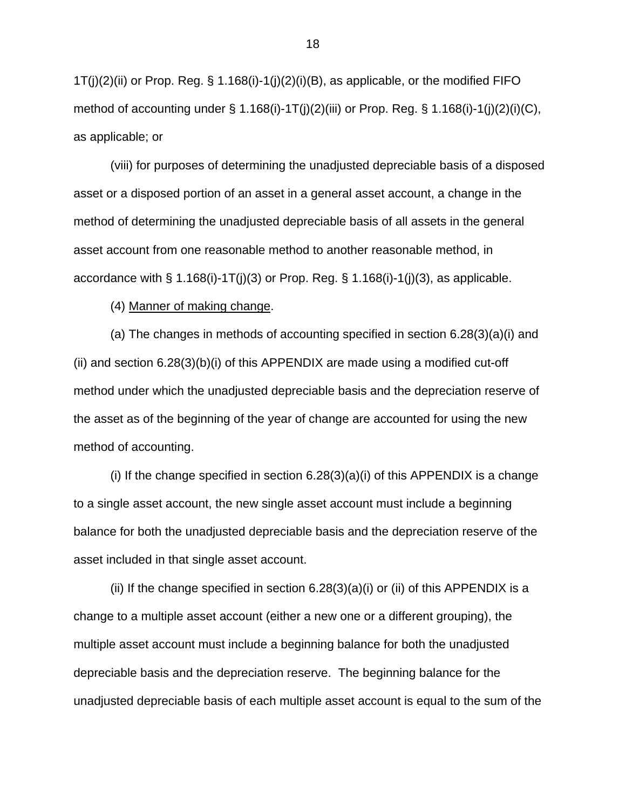$1T(j)(2)(ii)$  or Prop. Reg. § 1.168(i)-1(j)(2)(i)(B), as applicable, or the modified FIFO method of accounting under  $\S 1.168(i)$ -1T(j)(2)(iii) or Prop. Reg.  $\S 1.168(i)$ -1(j)(2)(i)(C), as applicable; or

(viii) for purposes of determining the unadjusted depreciable basis of a disposed asset or a disposed portion of an asset in a general asset account, a change in the method of determining the unadjusted depreciable basis of all assets in the general asset account from one reasonable method to another reasonable method, in accordance with  $\S 1.168(i)-1T(i)(3)$  or Prop. Reg.  $\S 1.168(i)-1(i)(3)$ , as applicable.

(4) Manner of making change.

(a) The changes in methods of accounting specified in section 6.28(3)(a)(i) and (ii) and section  $6.28(3)(b)(i)$  of this APPENDIX are made using a modified cut-off method under which the unadjusted depreciable basis and the depreciation reserve of the asset as of the beginning of the year of change are accounted for using the new method of accounting.

(i) If the change specified in section  $6.28(3)(a)(i)$  of this APPENDIX is a change to a single asset account, the new single asset account must include a beginning balance for both the unadjusted depreciable basis and the depreciation reserve of the asset included in that single asset account.

(ii) If the change specified in section  $6.28(3)(a)(i)$  or (ii) of this APPENDIX is a change to a multiple asset account (either a new one or a different grouping), the multiple asset account must include a beginning balance for both the unadjusted depreciable basis and the depreciation reserve. The beginning balance for the unadjusted depreciable basis of each multiple asset account is equal to the sum of the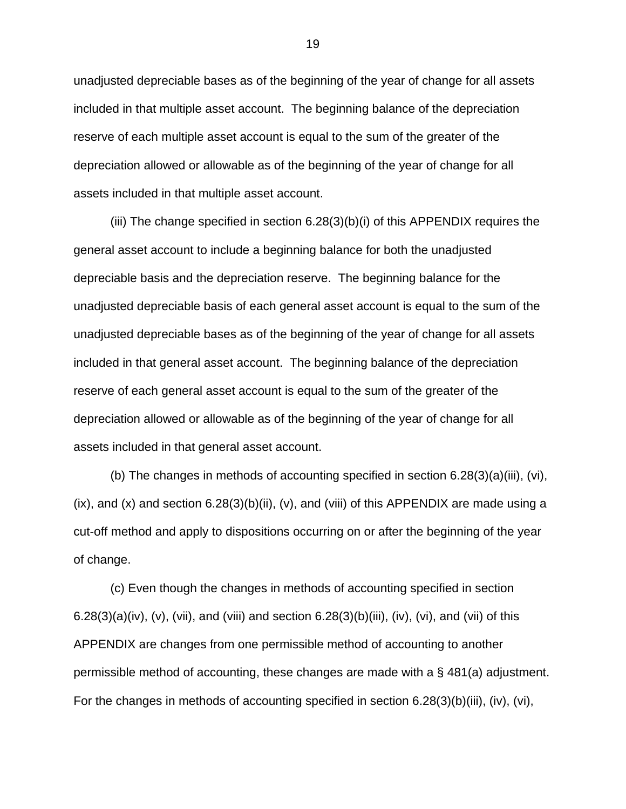unadjusted depreciable bases as of the beginning of the year of change for all assets included in that multiple asset account. The beginning balance of the depreciation reserve of each multiple asset account is equal to the sum of the greater of the depreciation allowed or allowable as of the beginning of the year of change for all assets included in that multiple asset account.

(iii) The change specified in section 6.28(3)(b)(i) of this APPENDIX requires the general asset account to include a beginning balance for both the unadjusted depreciable basis and the depreciation reserve. The beginning balance for the unadjusted depreciable basis of each general asset account is equal to the sum of the unadjusted depreciable bases as of the beginning of the year of change for all assets included in that general asset account. The beginning balance of the depreciation reserve of each general asset account is equal to the sum of the greater of the depreciation allowed or allowable as of the beginning of the year of change for all assets included in that general asset account.

(b) The changes in methods of accounting specified in section 6.28(3)(a)(iii), (vi),  $(ix)$ , and  $(x)$  and section 6.28(3)(b)(ii),  $(v)$ , and (viii) of this APPENDIX are made using a cut-off method and apply to dispositions occurring on or after the beginning of the year of change.

(c) Even though the changes in methods of accounting specified in section 6.28(3)(a)(iv), (v), (vii), and (viii) and section  $6.28(3)(b)(iii)$ , (iv), (vi), and (vii) of this APPENDIX are changes from one permissible method of accounting to another permissible method of accounting, these changes are made with a § 481(a) adjustment. For the changes in methods of accounting specified in section 6.28(3)(b)(iii), (iv), (vi),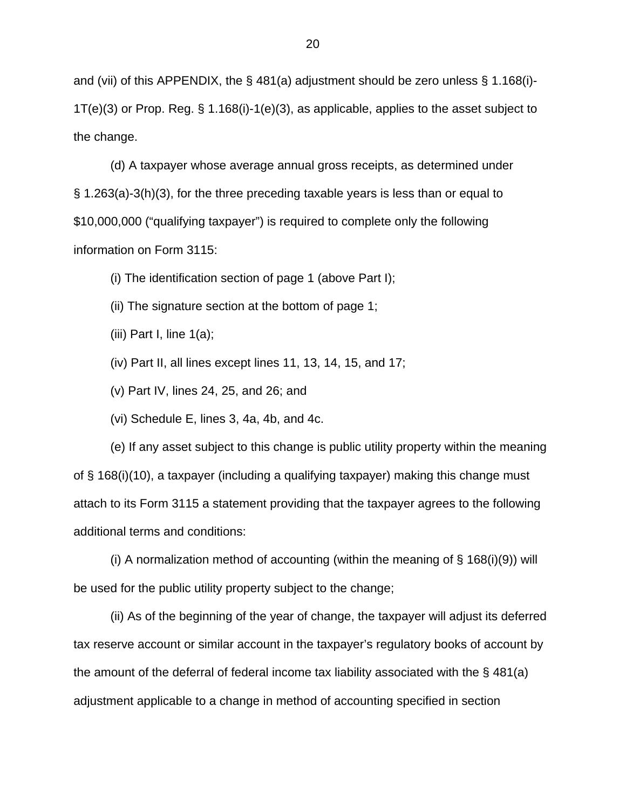and (vii) of this APPENDIX, the § 481(a) adjustment should be zero unless § 1.168(i)-1T(e)(3) or Prop. Reg. § 1.168(i)-1(e)(3), as applicable, applies to the asset subject to the change.

(d) A taxpayer whose average annual gross receipts, as determined under § 1.263(a)-3(h)(3), for the three preceding taxable years is less than or equal to \$10,000,000 ("qualifying taxpayer") is required to complete only the following information on Form 3115:

(i) The identification section of page 1 (above Part I);

(ii) The signature section at the bottom of page 1;

(iii) Part I, line  $1(a)$ ;

(iv) Part II, all lines except lines 11, 13, 14, 15, and 17;

(v) Part IV, lines 24, 25, and 26; and

(vi) Schedule E, lines 3, 4a, 4b, and 4c.

(e) If any asset subject to this change is public utility property within the meaning of § 168(i)(10), a taxpayer (including a qualifying taxpayer) making this change must attach to its Form 3115 a statement providing that the taxpayer agrees to the following additional terms and conditions:

(i) A normalization method of accounting (within the meaning of  $\S$  168(i)(9)) will be used for the public utility property subject to the change;

(ii) As of the beginning of the year of change, the taxpayer will adjust its deferred tax reserve account or similar account in the taxpayer's regulatory books of account by the amount of the deferral of federal income tax liability associated with the § 481(a) adjustment applicable to a change in method of accounting specified in section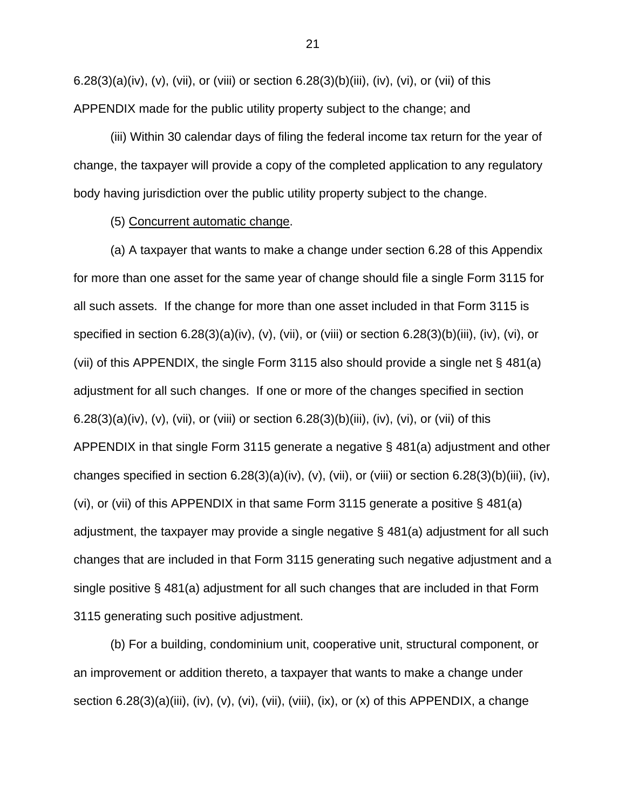6.28(3)(a)(iv), (v), (vii), or (viii) or section  $6.28(3)(b)(iii)$ , (iv), (vi), or (vii) of this APPENDIX made for the public utility property subject to the change; and

(iii) Within 30 calendar days of filing the federal income tax return for the year of change, the taxpayer will provide a copy of the completed application to any regulatory body having jurisdiction over the public utility property subject to the change.

### (5) Concurrent automatic change.

(a) A taxpayer that wants to make a change under section 6.28 of this Appendix for more than one asset for the same year of change should file a single Form 3115 for all such assets. If the change for more than one asset included in that Form 3115 is specified in section 6.28(3)(a)(iv), (v), (vii), or (viii) or section 6.28(3)(b)(iii), (iv), (vi), or (vii) of this APPENDIX, the single Form 3115 also should provide a single net § 481(a) adjustment for all such changes. If one or more of the changes specified in section 6.28(3)(a)(iv), (v), (vii), or (viii) or section 6.28(3)(b)(iii), (iv), (vi), or (vii) of this APPENDIX in that single Form 3115 generate a negative § 481(a) adjustment and other changes specified in section  $6.28(3)(a)(iv)$ , (v), (vii), or (viii) or section  $6.28(3)(b)(iii)$ , (iv), (vi), or (vii) of this APPENDIX in that same Form 3115 generate a positive § 481(a) adjustment, the taxpayer may provide a single negative § 481(a) adjustment for all such changes that are included in that Form 3115 generating such negative adjustment and a single positive § 481(a) adjustment for all such changes that are included in that Form 3115 generating such positive adjustment.

(b) For a building, condominium unit, cooperative unit, structural component, or an improvement or addition thereto, a taxpayer that wants to make a change under section 6.28(3)(a)(iii), (iv), (v), (vi), (viii), (viii), (ix), or (x) of this APPENDIX, a change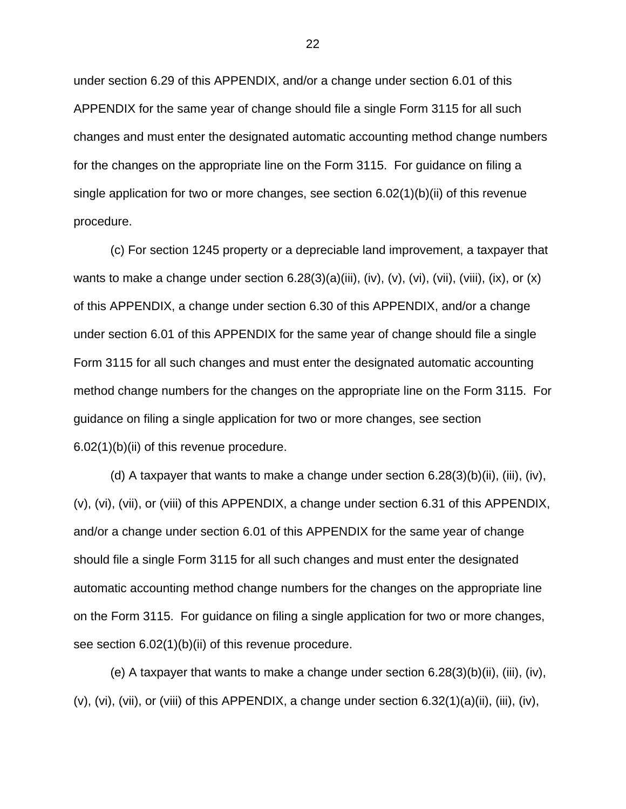under section 6.29 of this APPENDIX, and/or a change under section 6.01 of this APPENDIX for the same year of change should file a single Form 3115 for all such changes and must enter the designated automatic accounting method change numbers for the changes on the appropriate line on the Form 3115. For guidance on filing a single application for two or more changes, see section 6.02(1)(b)(ii) of this revenue procedure.

(c) For section 1245 property or a depreciable land improvement, a taxpayer that wants to make a change under section  $6.28(3)(a)(iii)$ , (iv), (v), (vi), (vii), (viii), (ix), or (x) of this APPENDIX, a change under section 6.30 of this APPENDIX, and/or a change under section 6.01 of this APPENDIX for the same year of change should file a single Form 3115 for all such changes and must enter the designated automatic accounting method change numbers for the changes on the appropriate line on the Form 3115. For guidance on filing a single application for two or more changes, see section 6.02(1)(b)(ii) of this revenue procedure.

(d) A taxpayer that wants to make a change under section  $6.28(3)(b)(ii)$ , (iii), (iv), (v), (vi), (vii), or (viii) of this APPENDIX, a change under section 6.31 of this APPENDIX, and/or a change under section 6.01 of this APPENDIX for the same year of change should file a single Form 3115 for all such changes and must enter the designated automatic accounting method change numbers for the changes on the appropriate line on the Form 3115. For guidance on filing a single application for two or more changes, see section 6.02(1)(b)(ii) of this revenue procedure.

(e) A taxpayer that wants to make a change under section  $6.28(3)(b)(ii)$ , (iii), (iv), (v), (vi), (vii), or (viii) of this APPENDIX, a change under section 6.32(1)(a)(ii), (iii), (iv),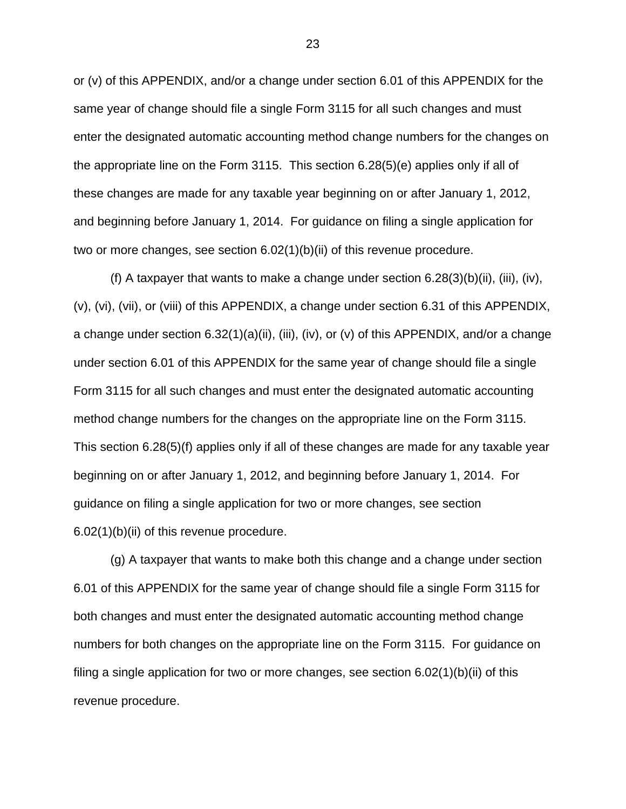or (v) of this APPENDIX, and/or a change under section 6.01 of this APPENDIX for the same year of change should file a single Form 3115 for all such changes and must enter the designated automatic accounting method change numbers for the changes on the appropriate line on the Form 3115. This section 6.28(5)(e) applies only if all of these changes are made for any taxable year beginning on or after January 1, 2012, and beginning before January 1, 2014. For guidance on filing a single application for two or more changes, see section 6.02(1)(b)(ii) of this revenue procedure.

(f) A taxpayer that wants to make a change under section  $6.28(3)(b)(ii)$ , (iii), (iv), (v), (vi), (vii), or (viii) of this APPENDIX, a change under section 6.31 of this APPENDIX, a change under section 6.32(1)(a)(ii), (iii), (iv), or (v) of this APPENDIX, and/or a change under section 6.01 of this APPENDIX for the same year of change should file a single Form 3115 for all such changes and must enter the designated automatic accounting method change numbers for the changes on the appropriate line on the Form 3115. This section 6.28(5)(f) applies only if all of these changes are made for any taxable year beginning on or after January 1, 2012, and beginning before January 1, 2014. For guidance on filing a single application for two or more changes, see section 6.02(1)(b)(ii) of this revenue procedure.

(g) A taxpayer that wants to make both this change and a change under section 6.01 of this APPENDIX for the same year of change should file a single Form 3115 for both changes and must enter the designated automatic accounting method change numbers for both changes on the appropriate line on the Form 3115. For guidance on filing a single application for two or more changes, see section 6.02(1)(b)(ii) of this revenue procedure.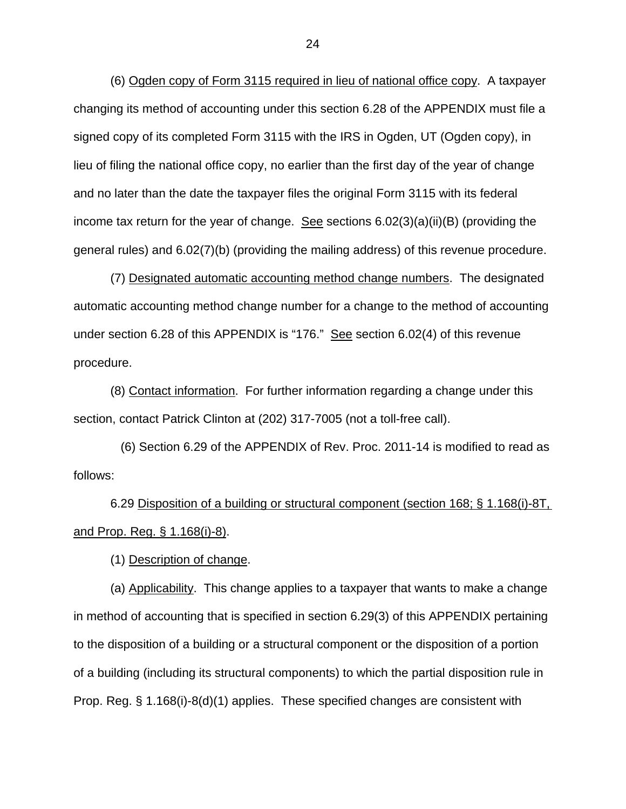(6) Ogden copy of Form 3115 required in lieu of national office copy. A taxpayer changing its method of accounting under this section 6.28 of the APPENDIX must file a signed copy of its completed Form 3115 with the IRS in Ogden, UT (Ogden copy), in lieu of filing the national office copy, no earlier than the first day of the year of change and no later than the date the taxpayer files the original Form 3115 with its federal income tax return for the year of change. See sections  $6.02(3)(a)(ii)(B)$  (providing the general rules) and 6.02(7)(b) (providing the mailing address) of this revenue procedure.

(7) Designated automatic accounting method change numbers. The designated automatic accounting method change number for a change to the method of accounting under section 6.28 of this APPENDIX is "176." See section 6.02(4) of this revenue procedure.

(8) Contact information. For further information regarding a change under this section, contact Patrick Clinton at (202) 317-7005 (not a toll-free call).

 (6) Section 6.29 of the APPENDIX of Rev. Proc. 2011-14 is modified to read as follows:

6.29 Disposition of a building or structural component (section 168; § 1.168(i)-8T, and Prop. Reg. § 1.168(i)-8).

(1) Description of change.

(a) Applicability. This change applies to a taxpayer that wants to make a change in method of accounting that is specified in section 6.29(3) of this APPENDIX pertaining to the disposition of a building or a structural component or the disposition of a portion of a building (including its structural components) to which the partial disposition rule in Prop. Reg. § 1.168(i)-8(d)(1) applies. These specified changes are consistent with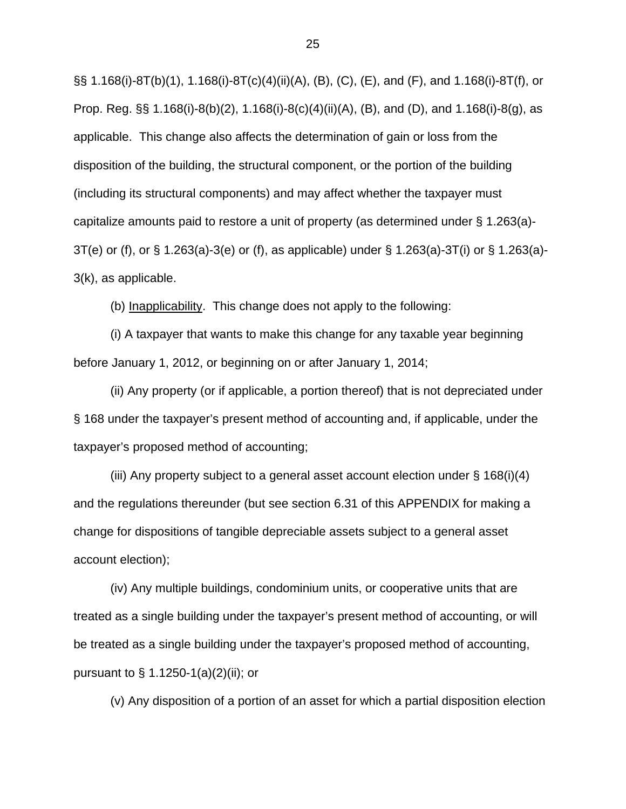§§ 1.168(i)-8T(b)(1), 1.168(i)-8T(c)(4)(ii)(A), (B), (C), (E), and (F), and 1.168(i)-8T(f), or Prop. Reg. §§ 1.168(i)-8(b)(2), 1.168(i)-8(c)(4)(ii)(A), (B), and (D), and 1.168(i)-8(g), as applicable. This change also affects the determination of gain or loss from the disposition of the building, the structural component, or the portion of the building (including its structural components) and may affect whether the taxpayer must capitalize amounts paid to restore a unit of property (as determined under § 1.263(a)- 3T(e) or (f), or § 1.263(a)-3(e) or (f), as applicable) under § 1.263(a)-3T(i) or § 1.263(a)- 3(k), as applicable.

(b) Inapplicability. This change does not apply to the following:

(i) A taxpayer that wants to make this change for any taxable year beginning before January 1, 2012, or beginning on or after January 1, 2014;

(ii) Any property (or if applicable, a portion thereof) that is not depreciated under § 168 under the taxpayer's present method of accounting and, if applicable, under the taxpayer's proposed method of accounting;

(iii) Any property subject to a general asset account election under § 168(i)(4) and the regulations thereunder (but see section 6.31 of this APPENDIX for making a change for dispositions of tangible depreciable assets subject to a general asset account election);

(iv) Any multiple buildings, condominium units, or cooperative units that are treated as a single building under the taxpayer's present method of accounting, or will be treated as a single building under the taxpayer's proposed method of accounting, pursuant to § 1.1250-1(a)(2)(ii); or

(v) Any disposition of a portion of an asset for which a partial disposition election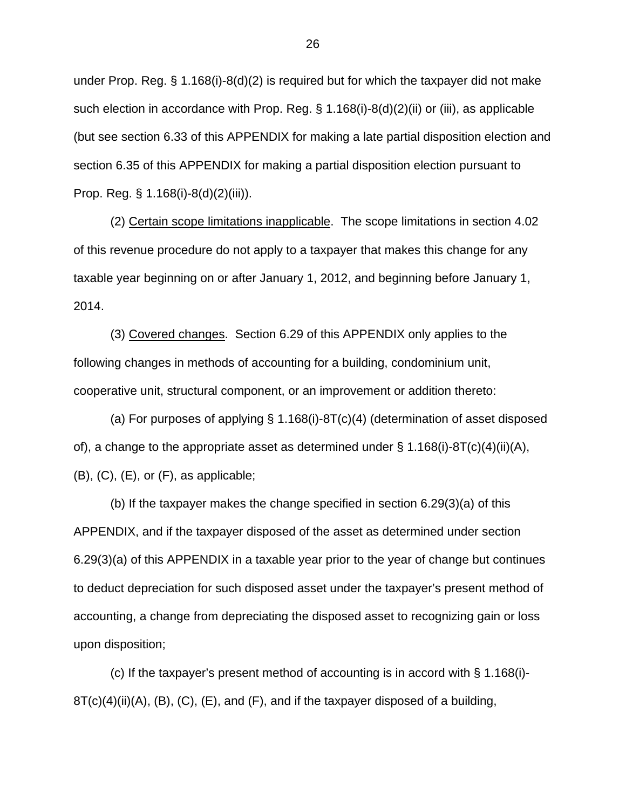under Prop. Reg. § 1.168(i)-8(d)(2) is required but for which the taxpayer did not make such election in accordance with Prop. Reg. § 1.168(i)-8(d)(2)(ii) or (iii), as applicable (but see section 6.33 of this APPENDIX for making a late partial disposition election and section 6.35 of this APPENDIX for making a partial disposition election pursuant to Prop. Reg. § 1.168(i)-8(d)(2)(iii)).

(2) Certain scope limitations inapplicable. The scope limitations in section 4.02 of this revenue procedure do not apply to a taxpayer that makes this change for any taxable year beginning on or after January 1, 2012, and beginning before January 1, 2014.

(3) Covered changes. Section 6.29 of this APPENDIX only applies to the following changes in methods of accounting for a building, condominium unit, cooperative unit, structural component, or an improvement or addition thereto:

(a) For purposes of applying § 1.168(i)-8T(c)(4) (determination of asset disposed of), a change to the appropriate asset as determined under  $\S$  1.168(i)-8T(c)(4)(ii)(A),  $(B)$ ,  $(C)$ ,  $(E)$ , or  $(F)$ , as applicable;

(b) If the taxpayer makes the change specified in section 6.29(3)(a) of this APPENDIX, and if the taxpayer disposed of the asset as determined under section 6.29(3)(a) of this APPENDIX in a taxable year prior to the year of change but continues to deduct depreciation for such disposed asset under the taxpayer's present method of accounting, a change from depreciating the disposed asset to recognizing gain or loss upon disposition;

(c) If the taxpayer's present method of accounting is in accord with  $\S$  1.168(i)- $8T(c)(4)(ii)(A), (B), (C), (E),$  and  $(F)$ , and if the taxpayer disposed of a building,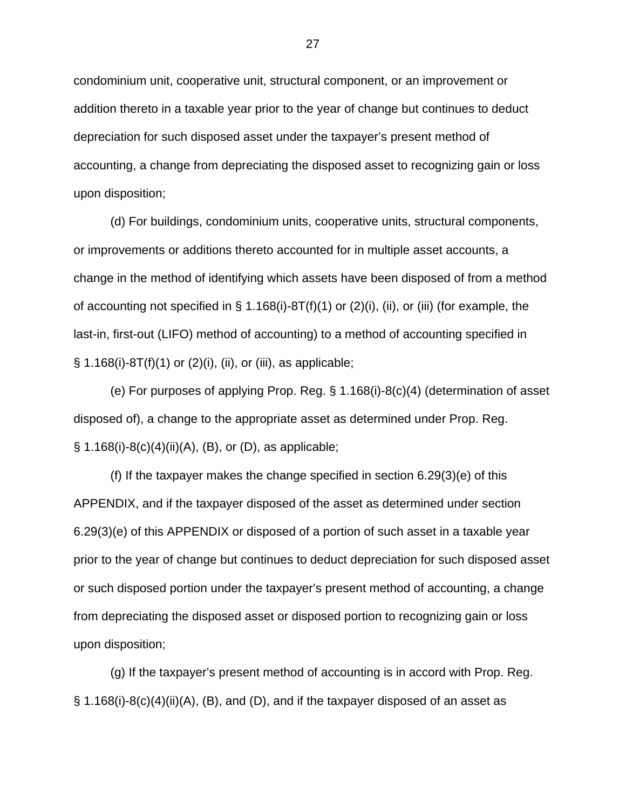condominium unit, cooperative unit, structural component, or an improvement or addition thereto in a taxable year prior to the year of change but continues to deduct depreciation for such disposed asset under the taxpayer's present method of accounting, a change from depreciating the disposed asset to recognizing gain or loss upon disposition;

(d) For buildings, condominium units, cooperative units, structural components, or improvements or additions thereto accounted for in multiple asset accounts, a change in the method of identifying which assets have been disposed of from a method of accounting not specified in  $\S$  1.168(i)-8T(f)(1) or (2)(i), (ii), or (iii) (for example, the last-in, first-out (LIFO) method of accounting) to a method of accounting specified in  $\S$  1.168(i)-8T(f)(1) or (2)(i), (ii), or (iii), as applicable;

(e) For purposes of applying Prop. Reg. § 1.168(i)-8(c)(4) (determination of asset disposed of), a change to the appropriate asset as determined under Prop. Reg.  $\S$  1.168(i)-8(c)(4)(ii)(A), (B), or (D), as applicable;

(f) If the taxpayer makes the change specified in section 6.29(3)(e) of this APPENDIX, and if the taxpayer disposed of the asset as determined under section 6.29(3)(e) of this APPENDIX or disposed of a portion of such asset in a taxable year prior to the year of change but continues to deduct depreciation for such disposed asset or such disposed portion under the taxpayer's present method of accounting, a change from depreciating the disposed asset or disposed portion to recognizing gain or loss upon disposition;

(g) If the taxpayer's present method of accounting is in accord with Prop. Reg. § 1.168(i)-8(c)(4)(ii)(A), (B), and (D), and if the taxpayer disposed of an asset as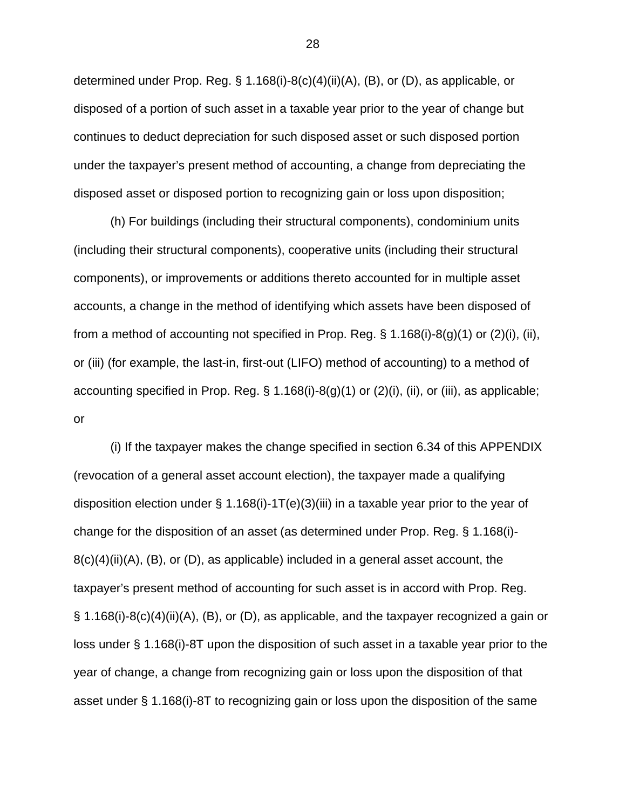determined under Prop. Reg. § 1.168(i)-8(c)(4)(ii)(A), (B), or (D), as applicable, or disposed of a portion of such asset in a taxable year prior to the year of change but continues to deduct depreciation for such disposed asset or such disposed portion under the taxpayer's present method of accounting, a change from depreciating the disposed asset or disposed portion to recognizing gain or loss upon disposition;

(h) For buildings (including their structural components), condominium units (including their structural components), cooperative units (including their structural components), or improvements or additions thereto accounted for in multiple asset accounts, a change in the method of identifying which assets have been disposed of from a method of accounting not specified in Prop. Reg.  $\S$  1.168(i)-8(g)(1) or (2)(i), (ii), or (iii) (for example, the last-in, first-out (LIFO) method of accounting) to a method of accounting specified in Prop. Reg. § 1.168(i)-8(g)(1) or (2)(i), (ii), or (iii), as applicable; or

(i) If the taxpayer makes the change specified in section 6.34 of this APPENDIX (revocation of a general asset account election), the taxpayer made a qualifying disposition election under § 1.168(i)-1T(e)(3)(iii) in a taxable year prior to the year of change for the disposition of an asset (as determined under Prop. Reg. § 1.168(i)-  $8(c)(4)(ii)(A)$ ,  $(B)$ , or  $(D)$ , as applicable) included in a general asset account, the taxpayer's present method of accounting for such asset is in accord with Prop. Reg. § 1.168(i)-8(c)(4)(ii)(A), (B), or (D), as applicable, and the taxpayer recognized a gain or loss under § 1.168(i)-8T upon the disposition of such asset in a taxable year prior to the year of change, a change from recognizing gain or loss upon the disposition of that asset under § 1.168(i)-8T to recognizing gain or loss upon the disposition of the same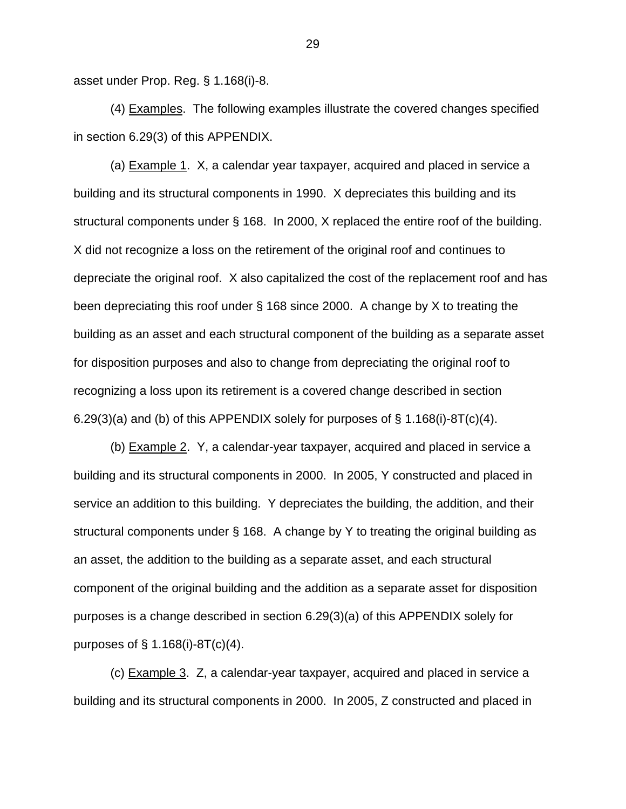asset under Prop. Reg. § 1.168(i)-8.

(4) Examples. The following examples illustrate the covered changes specified in section 6.29(3) of this APPENDIX.

(a) Example 1. X, a calendar year taxpayer, acquired and placed in service a building and its structural components in 1990. X depreciates this building and its structural components under § 168. In 2000, X replaced the entire roof of the building. X did not recognize a loss on the retirement of the original roof and continues to depreciate the original roof. X also capitalized the cost of the replacement roof and has been depreciating this roof under § 168 since 2000. A change by X to treating the building as an asset and each structural component of the building as a separate asset for disposition purposes and also to change from depreciating the original roof to recognizing a loss upon its retirement is a covered change described in section 6.29(3)(a) and (b) of this APPENDIX solely for purposes of  $\S$  1.168(i)-8T(c)(4).

(b) Example 2. Y, a calendar-year taxpayer, acquired and placed in service a building and its structural components in 2000. In 2005, Y constructed and placed in service an addition to this building. Y depreciates the building, the addition, and their structural components under § 168. A change by Y to treating the original building as an asset, the addition to the building as a separate asset, and each structural component of the original building and the addition as a separate asset for disposition purposes is a change described in section 6.29(3)(a) of this APPENDIX solely for purposes of  $\S$  1.168(i)-8T(c)(4).

(c) Example 3. Z, a calendar-year taxpayer, acquired and placed in service a building and its structural components in 2000. In 2005, Z constructed and placed in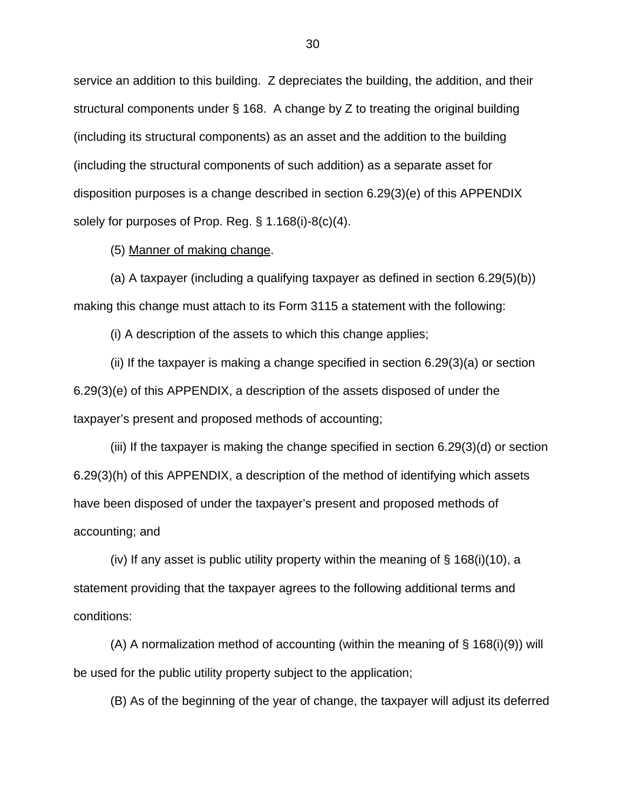service an addition to this building. Z depreciates the building, the addition, and their structural components under § 168. A change by Z to treating the original building (including its structural components) as an asset and the addition to the building (including the structural components of such addition) as a separate asset for disposition purposes is a change described in section 6.29(3)(e) of this APPENDIX solely for purposes of Prop. Reg. § 1.168(i)-8(c)(4).

(5) Manner of making change.

(a) A taxpayer (including a qualifying taxpayer as defined in section 6.29(5)(b)) making this change must attach to its Form 3115 a statement with the following:

(i) A description of the assets to which this change applies;

(ii) If the taxpayer is making a change specified in section 6.29(3)(a) or section 6.29(3)(e) of this APPENDIX, a description of the assets disposed of under the taxpayer's present and proposed methods of accounting;

(iii) If the taxpayer is making the change specified in section 6.29(3)(d) or section 6.29(3)(h) of this APPENDIX, a description of the method of identifying which assets have been disposed of under the taxpayer's present and proposed methods of accounting; and

(iv) If any asset is public utility property within the meaning of  $\S$  168(i)(10), a statement providing that the taxpayer agrees to the following additional terms and conditions:

(A) A normalization method of accounting (within the meaning of § 168(i)(9)) will be used for the public utility property subject to the application;

(B) As of the beginning of the year of change, the taxpayer will adjust its deferred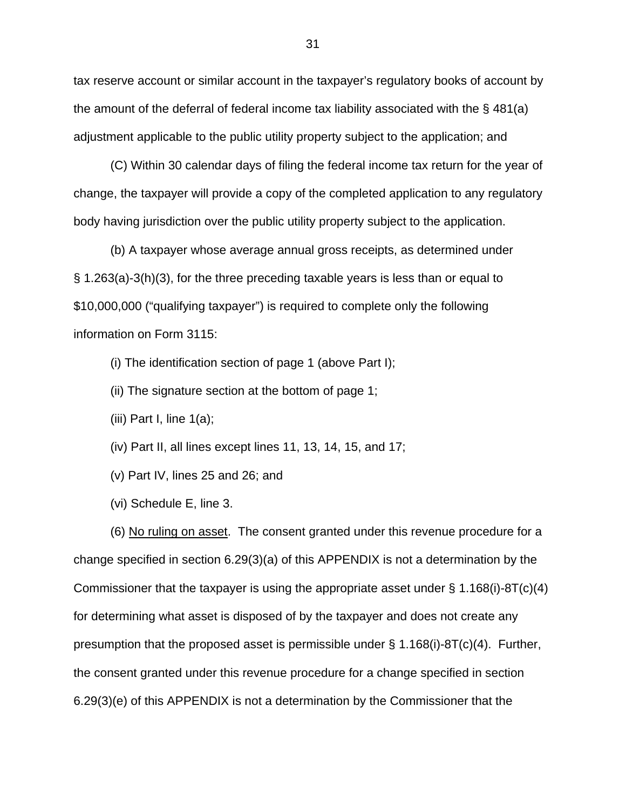tax reserve account or similar account in the taxpayer's regulatory books of account by the amount of the deferral of federal income tax liability associated with the § 481(a) adjustment applicable to the public utility property subject to the application; and

(C) Within 30 calendar days of filing the federal income tax return for the year of change, the taxpayer will provide a copy of the completed application to any regulatory body having jurisdiction over the public utility property subject to the application.

(b) A taxpayer whose average annual gross receipts, as determined under § 1.263(a)-3(h)(3), for the three preceding taxable years is less than or equal to \$10,000,000 ("qualifying taxpayer") is required to complete only the following information on Form 3115:

(i) The identification section of page 1 (above Part I);

- (ii) The signature section at the bottom of page 1;
- (iii) Part I, line  $1(a)$ ;
- (iv) Part II, all lines except lines 11, 13, 14, 15, and 17;
- (v) Part IV, lines 25 and 26; and
- (vi) Schedule E, line 3.

(6) No ruling on asset. The consent granted under this revenue procedure for a change specified in section 6.29(3)(a) of this APPENDIX is not a determination by the Commissioner that the taxpayer is using the appropriate asset under  $\S 1.168(i)$ -8T(c)(4) for determining what asset is disposed of by the taxpayer and does not create any presumption that the proposed asset is permissible under  $\S$  1.168(i)-8T(c)(4). Further, the consent granted under this revenue procedure for a change specified in section 6.29(3)(e) of this APPENDIX is not a determination by the Commissioner that the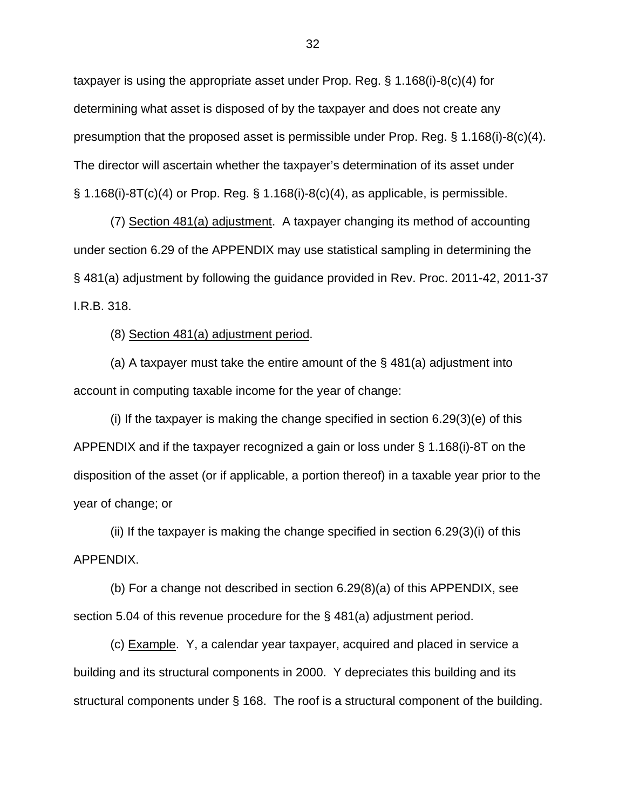taxpayer is using the appropriate asset under Prop. Reg. § 1.168(i)-8(c)(4) for determining what asset is disposed of by the taxpayer and does not create any presumption that the proposed asset is permissible under Prop. Reg. § 1.168(i)-8(c)(4). The director will ascertain whether the taxpayer's determination of its asset under  $\S$  1.168(i)-8T(c)(4) or Prop. Reg.  $\S$  1.168(i)-8(c)(4), as applicable, is permissible.

(7) Section 481(a) adjustment. A taxpayer changing its method of accounting under section 6.29 of the APPENDIX may use statistical sampling in determining the § 481(a) adjustment by following the guidance provided in Rev. Proc. 2011-42, 2011-37 I.R.B. 318.

(8) Section 481(a) adjustment period.

(a) A taxpayer must take the entire amount of the  $\S$  481(a) adjustment into account in computing taxable income for the year of change:

(i) If the taxpayer is making the change specified in section 6.29(3)(e) of this APPENDIX and if the taxpayer recognized a gain or loss under § 1.168(i)-8T on the disposition of the asset (or if applicable, a portion thereof) in a taxable year prior to the year of change; or

(ii) If the taxpayer is making the change specified in section 6.29(3)(i) of this APPENDIX.

(b) For a change not described in section 6.29(8)(a) of this APPENDIX, see section 5.04 of this revenue procedure for the § 481(a) adjustment period.

(c) Example. Y, a calendar year taxpayer, acquired and placed in service a building and its structural components in 2000. Y depreciates this building and its structural components under § 168. The roof is a structural component of the building.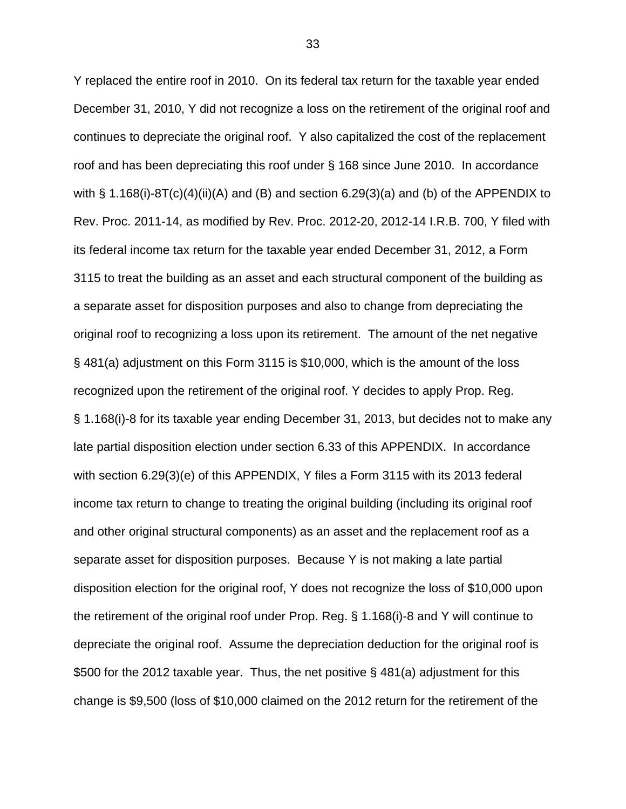Y replaced the entire roof in 2010. On its federal tax return for the taxable year ended December 31, 2010, Y did not recognize a loss on the retirement of the original roof and continues to depreciate the original roof. Y also capitalized the cost of the replacement roof and has been depreciating this roof under § 168 since June 2010. In accordance with § 1.168(i)-8T(c)(4)(ii)(A) and (B) and section 6.29(3)(a) and (b) of the APPENDIX to Rev. Proc. 2011-14, as modified by Rev. Proc. 2012-20, 2012-14 I.R.B. 700, Y filed with its federal income tax return for the taxable year ended December 31, 2012, a Form 3115 to treat the building as an asset and each structural component of the building as a separate asset for disposition purposes and also to change from depreciating the original roof to recognizing a loss upon its retirement. The amount of the net negative § 481(a) adjustment on this Form 3115 is \$10,000, which is the amount of the loss recognized upon the retirement of the original roof. Y decides to apply Prop. Reg. § 1.168(i)-8 for its taxable year ending December 31, 2013, but decides not to make any late partial disposition election under section 6.33 of this APPENDIX. In accordance with section 6.29(3)(e) of this APPENDIX, Y files a Form 3115 with its 2013 federal income tax return to change to treating the original building (including its original roof and other original structural components) as an asset and the replacement roof as a separate asset for disposition purposes. Because Y is not making a late partial disposition election for the original roof, Y does not recognize the loss of \$10,000 upon the retirement of the original roof under Prop. Reg. § 1.168(i)-8 and Y will continue to depreciate the original roof. Assume the depreciation deduction for the original roof is \$500 for the 2012 taxable year. Thus, the net positive § 481(a) adjustment for this change is \$9,500 (loss of \$10,000 claimed on the 2012 return for the retirement of the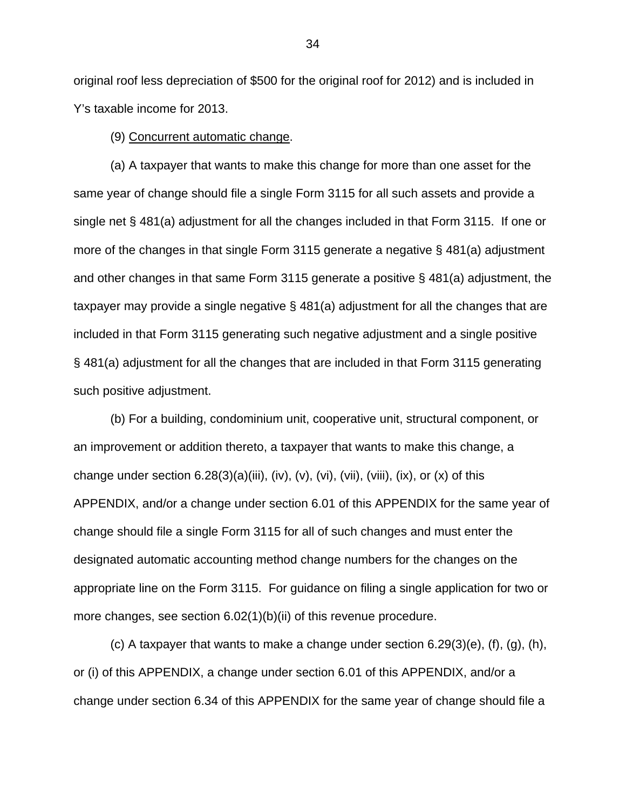original roof less depreciation of \$500 for the original roof for 2012) and is included in Y's taxable income for 2013.

(9) Concurrent automatic change.

(a) A taxpayer that wants to make this change for more than one asset for the same year of change should file a single Form 3115 for all such assets and provide a single net § 481(a) adjustment for all the changes included in that Form 3115. If one or more of the changes in that single Form 3115 generate a negative § 481(a) adjustment and other changes in that same Form 3115 generate a positive § 481(a) adjustment, the taxpayer may provide a single negative § 481(a) adjustment for all the changes that are included in that Form 3115 generating such negative adjustment and a single positive § 481(a) adjustment for all the changes that are included in that Form 3115 generating such positive adjustment.

(b) For a building, condominium unit, cooperative unit, structural component, or an improvement or addition thereto, a taxpayer that wants to make this change, a change under section  $6.28(3)(a)(iii)$ , (iv), (vi), (vii), (viii), (ix), or (x) of this APPENDIX, and/or a change under section 6.01 of this APPENDIX for the same year of change should file a single Form 3115 for all of such changes and must enter the designated automatic accounting method change numbers for the changes on the appropriate line on the Form 3115. For guidance on filing a single application for two or more changes, see section 6.02(1)(b)(ii) of this revenue procedure.

(c) A taxpayer that wants to make a change under section  $6.29(3)(e)$ ,  $(f)$ ,  $(g)$ ,  $(h)$ , or (i) of this APPENDIX, a change under section 6.01 of this APPENDIX, and/or a change under section 6.34 of this APPENDIX for the same year of change should file a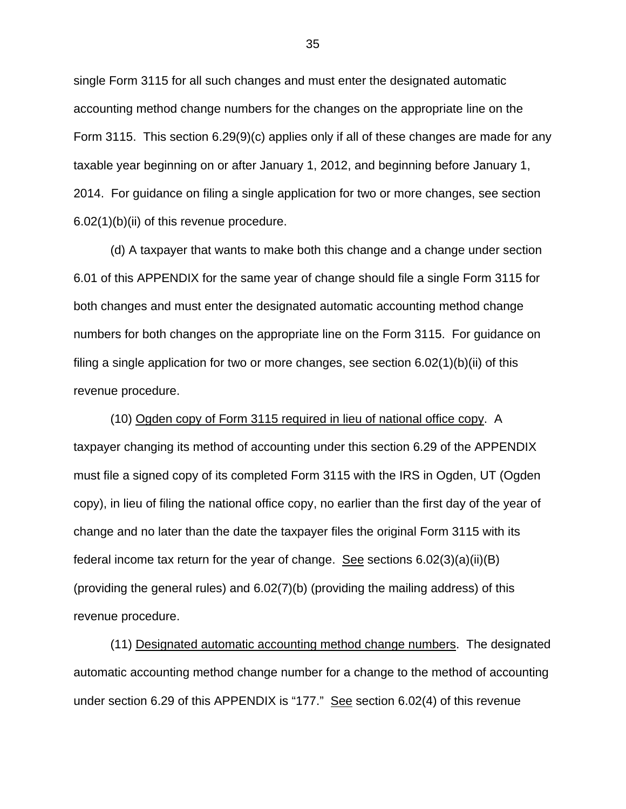single Form 3115 for all such changes and must enter the designated automatic accounting method change numbers for the changes on the appropriate line on the Form 3115. This section 6.29(9)(c) applies only if all of these changes are made for any taxable year beginning on or after January 1, 2012, and beginning before January 1, 2014. For guidance on filing a single application for two or more changes, see section 6.02(1)(b)(ii) of this revenue procedure.

(d) A taxpayer that wants to make both this change and a change under section 6.01 of this APPENDIX for the same year of change should file a single Form 3115 for both changes and must enter the designated automatic accounting method change numbers for both changes on the appropriate line on the Form 3115. For guidance on filing a single application for two or more changes, see section  $6.02(1)(b)(ii)$  of this revenue procedure.

(10) Ogden copy of Form 3115 required in lieu of national office copy. A taxpayer changing its method of accounting under this section 6.29 of the APPENDIX must file a signed copy of its completed Form 3115 with the IRS in Ogden, UT (Ogden copy), in lieu of filing the national office copy, no earlier than the first day of the year of change and no later than the date the taxpayer files the original Form 3115 with its federal income tax return for the year of change. See sections 6.02(3)(a)(ii)(B) (providing the general rules) and 6.02(7)(b) (providing the mailing address) of this revenue procedure.

(11) Designated automatic accounting method change numbers. The designated automatic accounting method change number for a change to the method of accounting under section 6.29 of this APPENDIX is "177." See section 6.02(4) of this revenue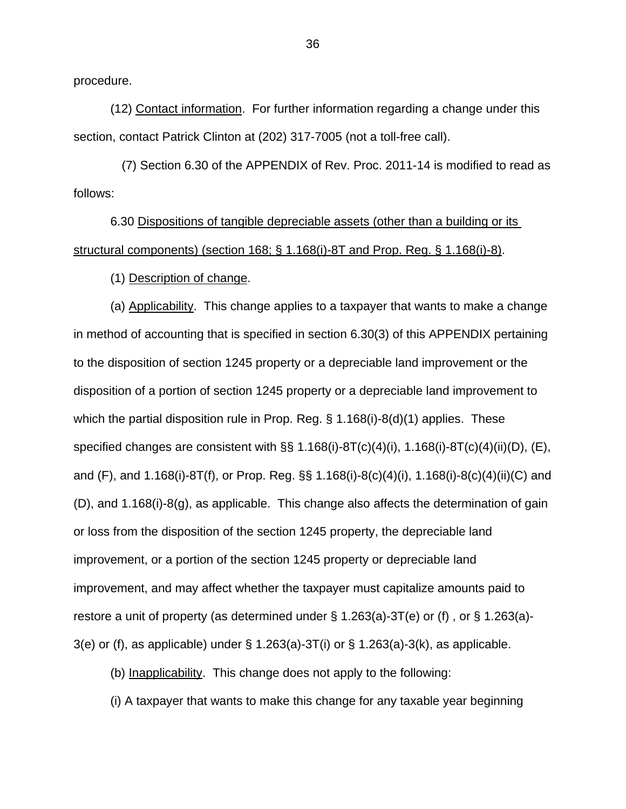procedure.

(12) Contact information. For further information regarding a change under this section, contact Patrick Clinton at (202) 317-7005 (not a toll-free call).

 (7) Section 6.30 of the APPENDIX of Rev. Proc. 2011-14 is modified to read as follows:

6.30 Dispositions of tangible depreciable assets (other than a building or its structural components) (section 168; § 1.168(i)-8T and Prop. Reg. § 1.168(i)-8).

(1) Description of change.

(a) Applicability. This change applies to a taxpayer that wants to make a change in method of accounting that is specified in section 6.30(3) of this APPENDIX pertaining to the disposition of section 1245 property or a depreciable land improvement or the disposition of a portion of section 1245 property or a depreciable land improvement to which the partial disposition rule in Prop. Reg. § 1.168(i)-8(d)(1) applies. These specified changes are consistent with §§ 1.168(i)-8T(c)(4)(i), 1.168(i)-8T(c)(4)(ii)(D), (E), and (F), and 1.168(i)-8T(f), or Prop. Reg. §§ 1.168(i)-8(c)(4)(i), 1.168(i)-8(c)(4)(ii)(C) and (D), and 1.168(i)-8(g), as applicable. This change also affects the determination of gain or loss from the disposition of the section 1245 property, the depreciable land improvement, or a portion of the section 1245 property or depreciable land improvement, and may affect whether the taxpayer must capitalize amounts paid to restore a unit of property (as determined under § 1.263(a)-3T(e) or (f) , or § 1.263(a)- 3(e) or (f), as applicable) under § 1.263(a)-3T(i) or § 1.263(a)-3(k), as applicable.

(b) Inapplicability. This change does not apply to the following:

(i) A taxpayer that wants to make this change for any taxable year beginning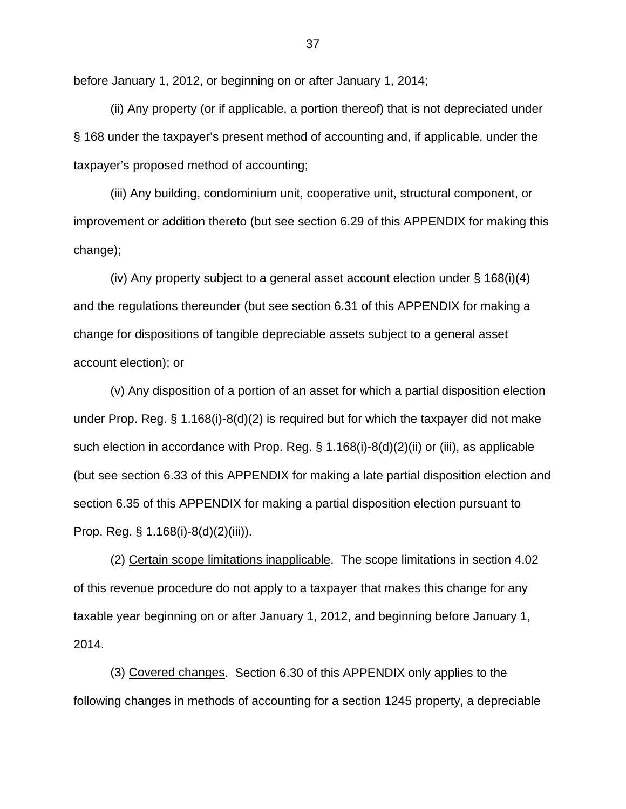before January 1, 2012, or beginning on or after January 1, 2014;

(ii) Any property (or if applicable, a portion thereof) that is not depreciated under § 168 under the taxpayer's present method of accounting and, if applicable, under the taxpayer's proposed method of accounting;

(iii) Any building, condominium unit, cooperative unit, structural component, or improvement or addition thereto (but see section 6.29 of this APPENDIX for making this change);

(iv) Any property subject to a general asset account election under § 168(i)(4) and the regulations thereunder (but see section 6.31 of this APPENDIX for making a change for dispositions of tangible depreciable assets subject to a general asset account election); or

(v) Any disposition of a portion of an asset for which a partial disposition election under Prop. Reg. § 1.168(i)-8(d)(2) is required but for which the taxpayer did not make such election in accordance with Prop. Reg. § 1.168(i)-8(d)(2)(ii) or (iii), as applicable (but see section 6.33 of this APPENDIX for making a late partial disposition election and section 6.35 of this APPENDIX for making a partial disposition election pursuant to Prop. Reg. § 1.168(i)-8(d)(2)(iii)).

(2) Certain scope limitations inapplicable. The scope limitations in section 4.02 of this revenue procedure do not apply to a taxpayer that makes this change for any taxable year beginning on or after January 1, 2012, and beginning before January 1, 2014.

(3) Covered changes. Section 6.30 of this APPENDIX only applies to the following changes in methods of accounting for a section 1245 property, a depreciable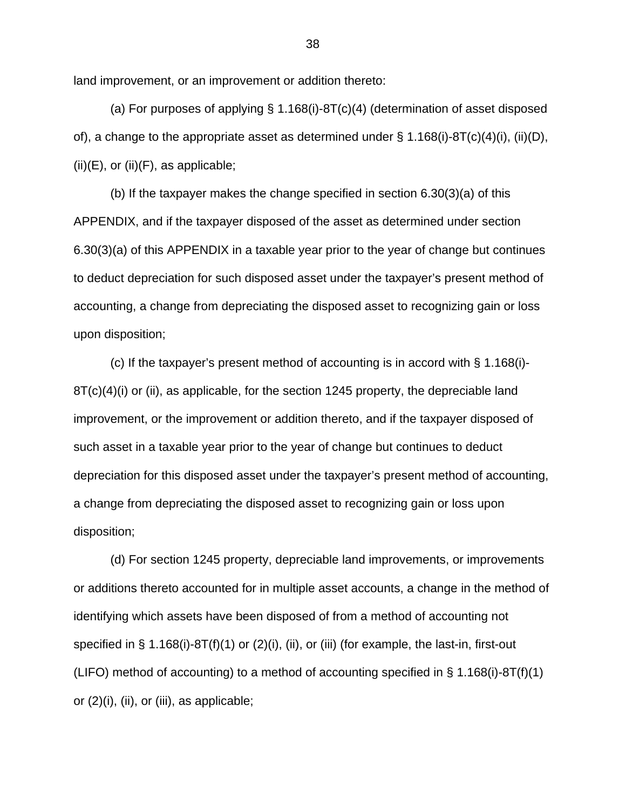land improvement, or an improvement or addition thereto:

(a) For purposes of applying § 1.168(i)-8T(c)(4) (determination of asset disposed of), a change to the appropriate asset as determined under  $\S$  1.168(i)-8T(c)(4)(i), (ii)(D),  $(ii)(E)$ , or  $(ii)(F)$ , as applicable;

(b) If the taxpayer makes the change specified in section 6.30(3)(a) of this APPENDIX, and if the taxpayer disposed of the asset as determined under section 6.30(3)(a) of this APPENDIX in a taxable year prior to the year of change but continues to deduct depreciation for such disposed asset under the taxpayer's present method of accounting, a change from depreciating the disposed asset to recognizing gain or loss upon disposition;

(c) If the taxpayer's present method of accounting is in accord with § 1.168(i)- 8T(c)(4)(i) or (ii), as applicable, for the section 1245 property, the depreciable land improvement, or the improvement or addition thereto, and if the taxpayer disposed of such asset in a taxable year prior to the year of change but continues to deduct depreciation for this disposed asset under the taxpayer's present method of accounting, a change from depreciating the disposed asset to recognizing gain or loss upon disposition;

(d) For section 1245 property, depreciable land improvements, or improvements or additions thereto accounted for in multiple asset accounts, a change in the method of identifying which assets have been disposed of from a method of accounting not specified in § 1.168(i)-8T(f)(1) or (2)(i), (ii), or (iii) (for example, the last-in, first-out (LIFO) method of accounting) to a method of accounting specified in § 1.168(i)-8T(f)(1) or (2)(i), (ii), or (iii), as applicable;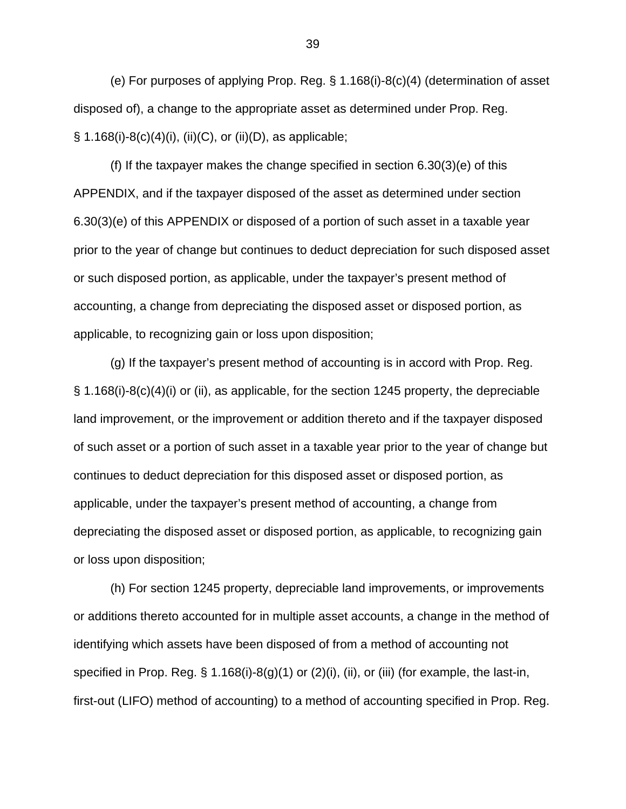(e) For purposes of applying Prop. Reg. § 1.168(i)-8(c)(4) (determination of asset disposed of), a change to the appropriate asset as determined under Prop. Reg.  $\S$  1.168(i)-8(c)(4)(i), (ii)(C), or (ii)(D), as applicable;

(f) If the taxpayer makes the change specified in section 6.30(3)(e) of this APPENDIX, and if the taxpayer disposed of the asset as determined under section 6.30(3)(e) of this APPENDIX or disposed of a portion of such asset in a taxable year prior to the year of change but continues to deduct depreciation for such disposed asset or such disposed portion, as applicable, under the taxpayer's present method of accounting, a change from depreciating the disposed asset or disposed portion, as applicable, to recognizing gain or loss upon disposition;

(g) If the taxpayer's present method of accounting is in accord with Prop. Reg. § 1.168(i)-8(c)(4)(i) or (ii), as applicable, for the section 1245 property, the depreciable land improvement, or the improvement or addition thereto and if the taxpayer disposed of such asset or a portion of such asset in a taxable year prior to the year of change but continues to deduct depreciation for this disposed asset or disposed portion, as applicable, under the taxpayer's present method of accounting, a change from depreciating the disposed asset or disposed portion, as applicable, to recognizing gain or loss upon disposition;

(h) For section 1245 property, depreciable land improvements, or improvements or additions thereto accounted for in multiple asset accounts, a change in the method of identifying which assets have been disposed of from a method of accounting not specified in Prop. Reg. § 1.168(i)-8(g)(1) or (2)(i), (ii), or (iii) (for example, the last-in, first-out (LIFO) method of accounting) to a method of accounting specified in Prop. Reg.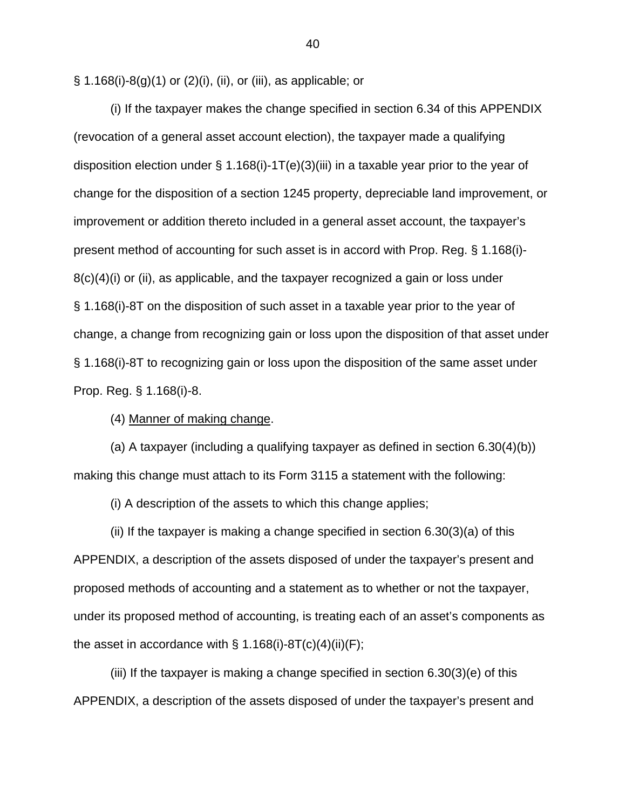§ 1.168(i)-8(g)(1) or (2)(i), (ii), or (iii), as applicable; or

(i) If the taxpayer makes the change specified in section 6.34 of this APPENDIX (revocation of a general asset account election), the taxpayer made a qualifying disposition election under  $\S$  1.168(i)-1T(e)(3)(iii) in a taxable year prior to the year of change for the disposition of a section 1245 property, depreciable land improvement, or improvement or addition thereto included in a general asset account, the taxpayer's present method of accounting for such asset is in accord with Prop. Reg. § 1.168(i)- 8(c)(4)(i) or (ii), as applicable, and the taxpayer recognized a gain or loss under § 1.168(i)-8T on the disposition of such asset in a taxable year prior to the year of change, a change from recognizing gain or loss upon the disposition of that asset under § 1.168(i)-8T to recognizing gain or loss upon the disposition of the same asset under Prop. Reg. § 1.168(i)-8.

(4) Manner of making change.

(a) A taxpayer (including a qualifying taxpayer as defined in section 6.30(4)(b)) making this change must attach to its Form 3115 a statement with the following:

(i) A description of the assets to which this change applies;

(ii) If the taxpayer is making a change specified in section 6.30(3)(a) of this APPENDIX, a description of the assets disposed of under the taxpayer's present and proposed methods of accounting and a statement as to whether or not the taxpayer, under its proposed method of accounting, is treating each of an asset's components as the asset in accordance with  $\S$  1.168(i)-8T(c)(4)(ii)(F);

(iii) If the taxpayer is making a change specified in section 6.30(3)(e) of this APPENDIX, a description of the assets disposed of under the taxpayer's present and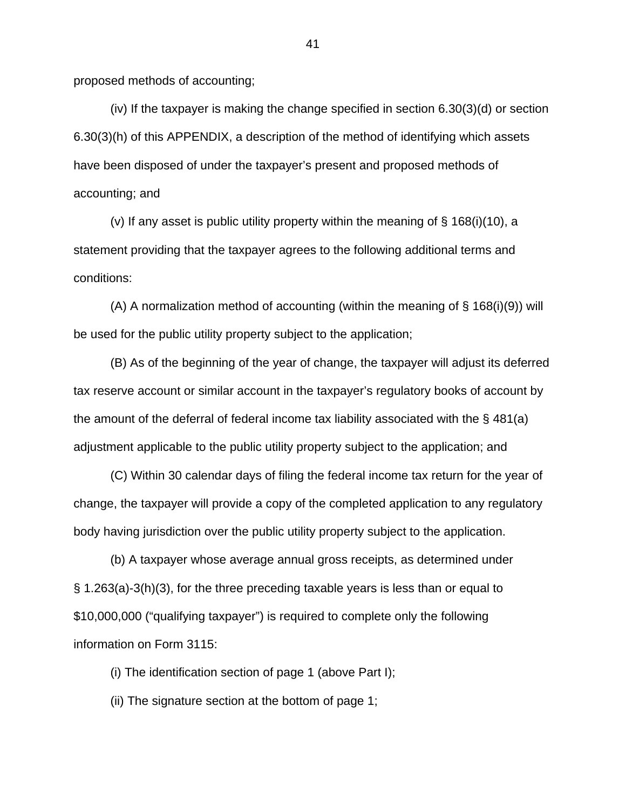proposed methods of accounting;

(iv) If the taxpayer is making the change specified in section 6.30(3)(d) or section 6.30(3)(h) of this APPENDIX, a description of the method of identifying which assets have been disposed of under the taxpayer's present and proposed methods of accounting; and

(v) If any asset is public utility property within the meaning of  $\S$  168(i)(10), a statement providing that the taxpayer agrees to the following additional terms and conditions:

(A) A normalization method of accounting (within the meaning of  $\S$  168(i)(9)) will be used for the public utility property subject to the application;

(B) As of the beginning of the year of change, the taxpayer will adjust its deferred tax reserve account or similar account in the taxpayer's regulatory books of account by the amount of the deferral of federal income tax liability associated with the § 481(a) adjustment applicable to the public utility property subject to the application; and

(C) Within 30 calendar days of filing the federal income tax return for the year of change, the taxpayer will provide a copy of the completed application to any regulatory body having jurisdiction over the public utility property subject to the application.

(b) A taxpayer whose average annual gross receipts, as determined under § 1.263(a)-3(h)(3), for the three preceding taxable years is less than or equal to \$10,000,000 ("qualifying taxpayer") is required to complete only the following information on Form 3115:

(i) The identification section of page 1 (above Part I);

(ii) The signature section at the bottom of page 1;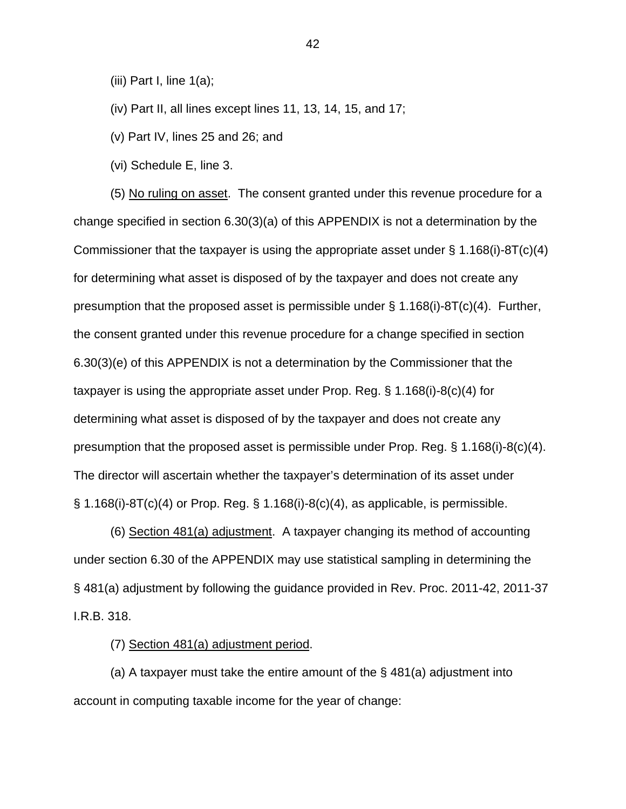(iii) Part I, line  $1(a)$ ;

(iv) Part II, all lines except lines 11, 13, 14, 15, and 17;

(v) Part IV, lines 25 and 26; and

(vi) Schedule E, line 3.

(5) No ruling on asset. The consent granted under this revenue procedure for a change specified in section 6.30(3)(a) of this APPENDIX is not a determination by the Commissioner that the taxpayer is using the appropriate asset under  $\S 1.168(i)$ -8T(c)(4) for determining what asset is disposed of by the taxpayer and does not create any presumption that the proposed asset is permissible under  $\S 1.168(i)$ -8T(c)(4). Further, the consent granted under this revenue procedure for a change specified in section 6.30(3)(e) of this APPENDIX is not a determination by the Commissioner that the taxpayer is using the appropriate asset under Prop. Reg. § 1.168(i)-8(c)(4) for determining what asset is disposed of by the taxpayer and does not create any presumption that the proposed asset is permissible under Prop. Reg. § 1.168(i)-8(c)(4). The director will ascertain whether the taxpayer's determination of its asset under  $\S$  1.168(i)-8T(c)(4) or Prop. Reg.  $\S$  1.168(i)-8(c)(4), as applicable, is permissible.

(6) Section 481(a) adjustment. A taxpayer changing its method of accounting under section 6.30 of the APPENDIX may use statistical sampling in determining the § 481(a) adjustment by following the guidance provided in Rev. Proc. 2011-42, 2011-37 I.R.B. 318.

(7) Section 481(a) adjustment period.

(a) A taxpayer must take the entire amount of the  $\S$  481(a) adjustment into account in computing taxable income for the year of change: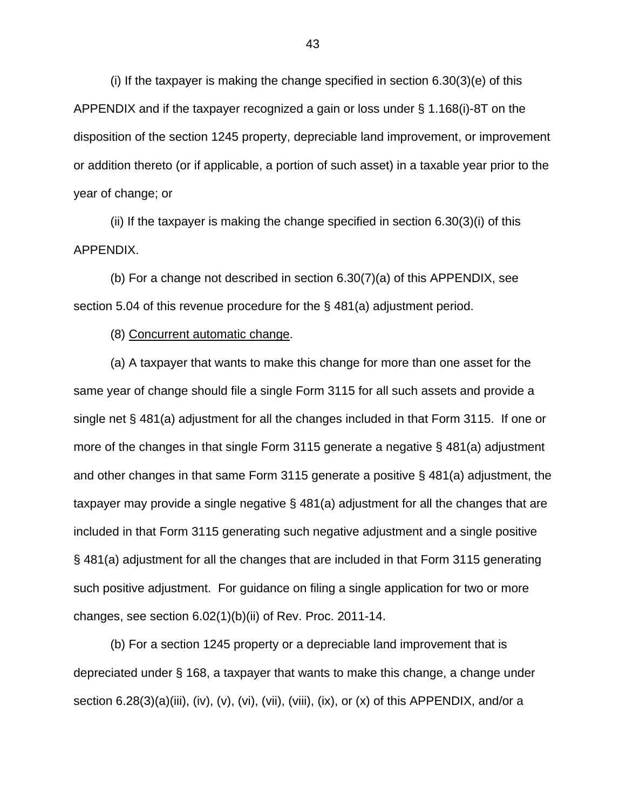(i) If the taxpayer is making the change specified in section 6.30(3)(e) of this APPENDIX and if the taxpayer recognized a gain or loss under § 1.168(i)-8T on the disposition of the section 1245 property, depreciable land improvement, or improvement or addition thereto (or if applicable, a portion of such asset) in a taxable year prior to the year of change; or

(ii) If the taxpayer is making the change specified in section  $6.30(3)(i)$  of this APPENDIX.

(b) For a change not described in section 6.30(7)(a) of this APPENDIX, see section 5.04 of this revenue procedure for the § 481(a) adjustment period.

(8) Concurrent automatic change.

(a) A taxpayer that wants to make this change for more than one asset for the same year of change should file a single Form 3115 for all such assets and provide a single net § 481(a) adjustment for all the changes included in that Form 3115. If one or more of the changes in that single Form 3115 generate a negative § 481(a) adjustment and other changes in that same Form 3115 generate a positive § 481(a) adjustment, the taxpayer may provide a single negative § 481(a) adjustment for all the changes that are included in that Form 3115 generating such negative adjustment and a single positive § 481(a) adjustment for all the changes that are included in that Form 3115 generating such positive adjustment. For guidance on filing a single application for two or more changes, see section 6.02(1)(b)(ii) of Rev. Proc. 2011-14.

(b) For a section 1245 property or a depreciable land improvement that is depreciated under § 168, a taxpayer that wants to make this change, a change under section  $6.28(3)(a)(iii)$ ,  $(iv)$ ,  $(v)$ ,  $(vii)$ ,  $(viii)$ ,  $(viii)$ ,  $(ix)$ , or  $(x)$  of this APPENDIX, and/or a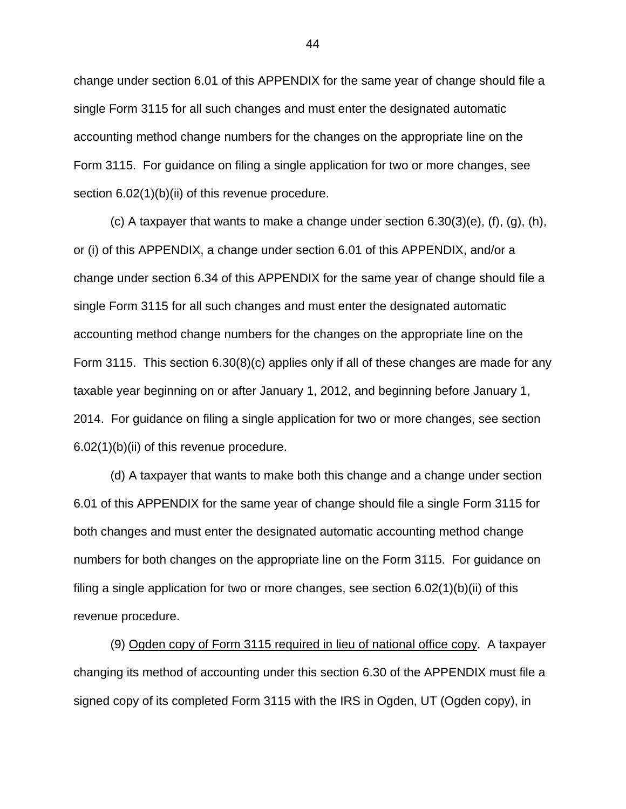change under section 6.01 of this APPENDIX for the same year of change should file a single Form 3115 for all such changes and must enter the designated automatic accounting method change numbers for the changes on the appropriate line on the Form 3115. For guidance on filing a single application for two or more changes, see section 6.02(1)(b)(ii) of this revenue procedure.

(c) A taxpayer that wants to make a change under section  $6.30(3)(e)$ ,  $(f)$ ,  $(g)$ ,  $(h)$ , or (i) of this APPENDIX, a change under section 6.01 of this APPENDIX, and/or a change under section 6.34 of this APPENDIX for the same year of change should file a single Form 3115 for all such changes and must enter the designated automatic accounting method change numbers for the changes on the appropriate line on the Form 3115. This section 6.30(8)(c) applies only if all of these changes are made for any taxable year beginning on or after January 1, 2012, and beginning before January 1, 2014. For guidance on filing a single application for two or more changes, see section 6.02(1)(b)(ii) of this revenue procedure.

(d) A taxpayer that wants to make both this change and a change under section 6.01 of this APPENDIX for the same year of change should file a single Form 3115 for both changes and must enter the designated automatic accounting method change numbers for both changes on the appropriate line on the Form 3115. For guidance on filing a single application for two or more changes, see section 6.02(1)(b)(ii) of this revenue procedure.

(9) Ogden copy of Form 3115 required in lieu of national office copy. A taxpayer changing its method of accounting under this section 6.30 of the APPENDIX must file a signed copy of its completed Form 3115 with the IRS in Ogden, UT (Ogden copy), in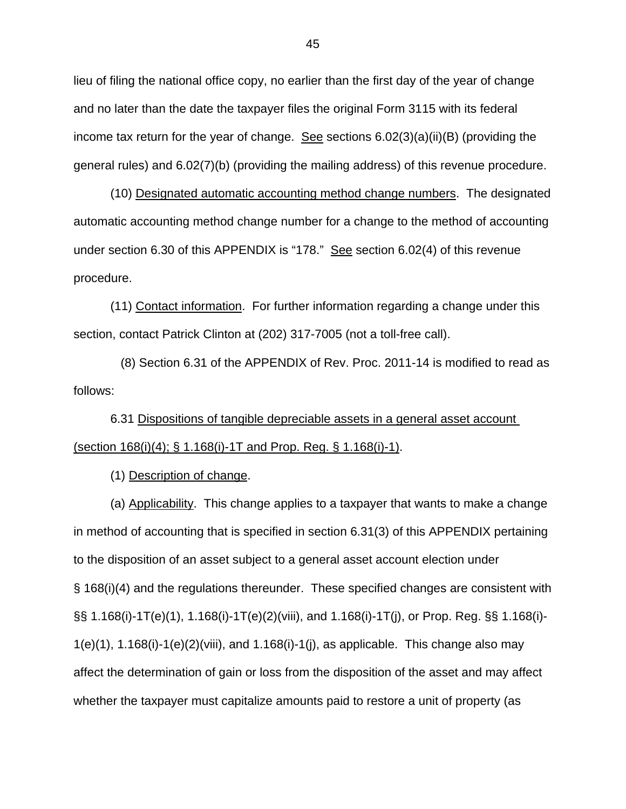lieu of filing the national office copy, no earlier than the first day of the year of change and no later than the date the taxpayer files the original Form 3115 with its federal income tax return for the year of change. See sections 6.02(3)(a)(ii)(B) (providing the general rules) and 6.02(7)(b) (providing the mailing address) of this revenue procedure.

(10) Designated automatic accounting method change numbers. The designated automatic accounting method change number for a change to the method of accounting under section 6.30 of this APPENDIX is "178." See section 6.02(4) of this revenue procedure.

(11) Contact information. For further information regarding a change under this section, contact Patrick Clinton at (202) 317-7005 (not a toll-free call).

 (8) Section 6.31 of the APPENDIX of Rev. Proc. 2011-14 is modified to read as follows:

 6.31 Dispositions of tangible depreciable assets in a general asset account (section 168(i)(4); § 1.168(i)-1T and Prop. Reg. § 1.168(i)-1).

(1) Description of change.

(a) Applicability. This change applies to a taxpayer that wants to make a change in method of accounting that is specified in section 6.31(3) of this APPENDIX pertaining to the disposition of an asset subject to a general asset account election under § 168(i)(4) and the regulations thereunder. These specified changes are consistent with §§ 1.168(i)-1T(e)(1), 1.168(i)-1T(e)(2)(viii), and 1.168(i)-1T(j), or Prop. Reg. §§ 1.168(i)-  $1(e)(1)$ ,  $1.168(i)-1(e)(2)(viii)$ , and  $1.168(i)-1(j)$ , as applicable. This change also may affect the determination of gain or loss from the disposition of the asset and may affect whether the taxpayer must capitalize amounts paid to restore a unit of property (as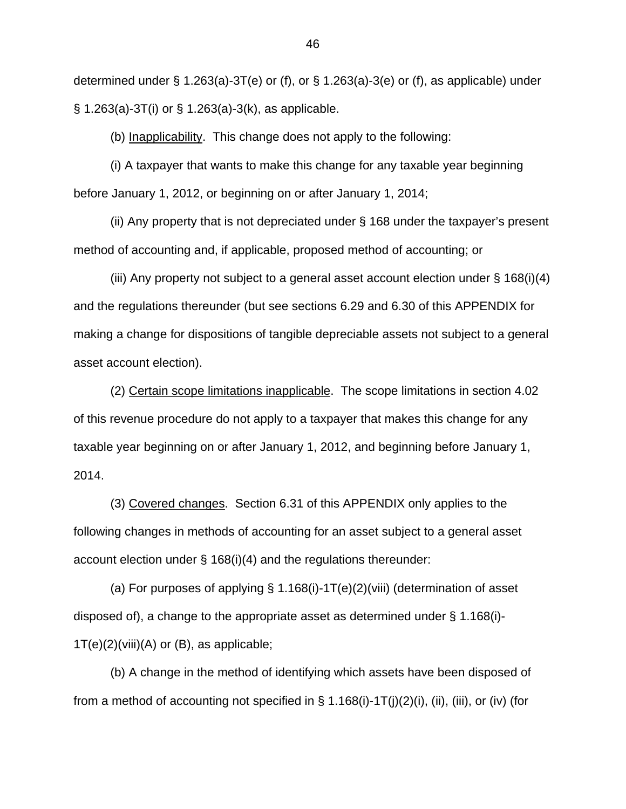determined under § 1.263(a)-3T(e) or (f), or § 1.263(a)-3(e) or (f), as applicable) under § 1.263(a)-3T(i) or § 1.263(a)-3(k), as applicable.

(b) Inapplicability. This change does not apply to the following:

(i) A taxpayer that wants to make this change for any taxable year beginning before January 1, 2012, or beginning on or after January 1, 2014;

(ii) Any property that is not depreciated under § 168 under the taxpayer's present method of accounting and, if applicable, proposed method of accounting; or

(iii) Any property not subject to a general asset account election under § 168(i)(4) and the regulations thereunder (but see sections 6.29 and 6.30 of this APPENDIX for making a change for dispositions of tangible depreciable assets not subject to a general asset account election).

(2) Certain scope limitations inapplicable. The scope limitations in section 4.02 of this revenue procedure do not apply to a taxpayer that makes this change for any taxable year beginning on or after January 1, 2012, and beginning before January 1, 2014.

(3) Covered changes. Section 6.31 of this APPENDIX only applies to the following changes in methods of accounting for an asset subject to a general asset account election under § 168(i)(4) and the regulations thereunder:

(a) For purposes of applying § 1.168(i)-1T(e)(2)(viii) (determination of asset disposed of), a change to the appropriate asset as determined under § 1.168(i)-  $1T(e)(2)$ (viii)(A) or (B), as applicable;

(b) A change in the method of identifying which assets have been disposed of from a method of accounting not specified in  $\S$  1.168(i)-1T(j)(2)(i), (ii), (iii), or (iv) (for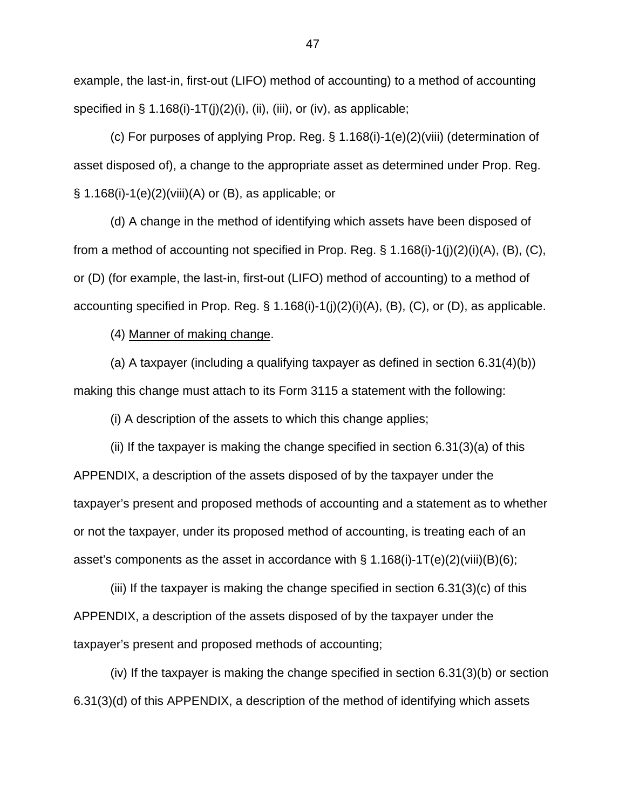example, the last-in, first-out (LIFO) method of accounting) to a method of accounting specified in  $\S$  1.168(i)-1T(j)(2)(i), (ii), (iii), or (iv), as applicable;

(c) For purposes of applying Prop. Reg. § 1.168(i)-1(e)(2)(viii) (determination of asset disposed of), a change to the appropriate asset as determined under Prop. Reg. § 1.168(i)-1(e)(2)(viii)(A) or (B), as applicable; or

(d) A change in the method of identifying which assets have been disposed of from a method of accounting not specified in Prop. Reg.  $\S$  1.168(i)-1(j)(2)(i)(A), (B), (C), or (D) (for example, the last-in, first-out (LIFO) method of accounting) to a method of accounting specified in Prop. Reg.  $\S 1.168(i)-1(j)(2)(i)(A)$ ,  $(B)$ ,  $(C)$ , or  $(D)$ , as applicable.

(4) Manner of making change.

(a) A taxpayer (including a qualifying taxpayer as defined in section 6.31(4)(b)) making this change must attach to its Form 3115 a statement with the following:

(i) A description of the assets to which this change applies;

(ii) If the taxpayer is making the change specified in section 6.31(3)(a) of this APPENDIX, a description of the assets disposed of by the taxpayer under the taxpayer's present and proposed methods of accounting and a statement as to whether or not the taxpayer, under its proposed method of accounting, is treating each of an asset's components as the asset in accordance with  $\S$  1.168(i)-1T(e)(2)(viii)(B)(6);

(iii) If the taxpayer is making the change specified in section 6.31(3)(c) of this APPENDIX, a description of the assets disposed of by the taxpayer under the taxpayer's present and proposed methods of accounting;

(iv) If the taxpayer is making the change specified in section 6.31(3)(b) or section 6.31(3)(d) of this APPENDIX, a description of the method of identifying which assets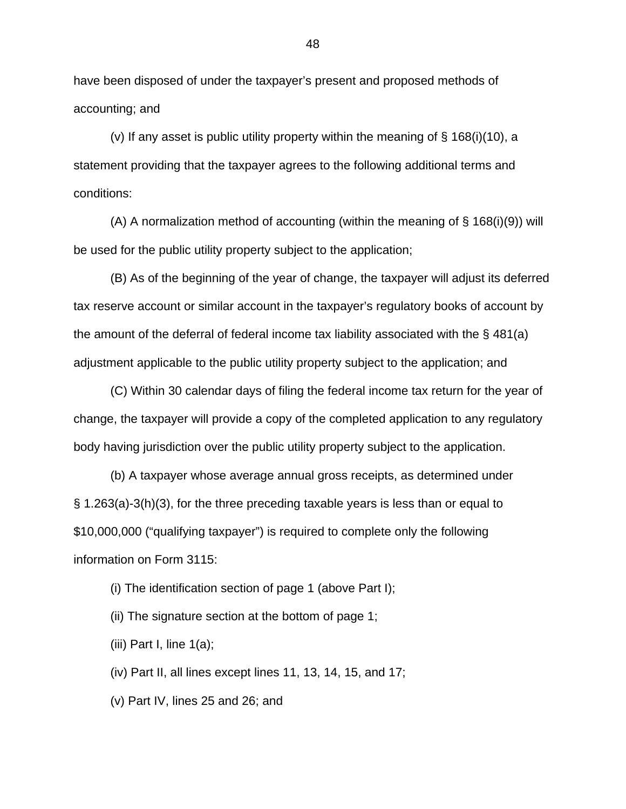have been disposed of under the taxpayer's present and proposed methods of accounting; and

(v) If any asset is public utility property within the meaning of  $\S$  168(i)(10), a statement providing that the taxpayer agrees to the following additional terms and conditions:

(A) A normalization method of accounting (within the meaning of  $\S$  168(i)(9)) will be used for the public utility property subject to the application;

(B) As of the beginning of the year of change, the taxpayer will adjust its deferred tax reserve account or similar account in the taxpayer's regulatory books of account by the amount of the deferral of federal income tax liability associated with the § 481(a) adjustment applicable to the public utility property subject to the application; and

(C) Within 30 calendar days of filing the federal income tax return for the year of change, the taxpayer will provide a copy of the completed application to any regulatory body having jurisdiction over the public utility property subject to the application.

(b) A taxpayer whose average annual gross receipts, as determined under § 1.263(a)-3(h)(3), for the three preceding taxable years is less than or equal to \$10,000,000 ("qualifying taxpayer") is required to complete only the following information on Form 3115:

(i) The identification section of page 1 (above Part I);

(ii) The signature section at the bottom of page 1;

(iii) Part I, line  $1(a)$ ;

(iv) Part II, all lines except lines 11, 13, 14, 15, and 17;

(v) Part IV, lines 25 and 26; and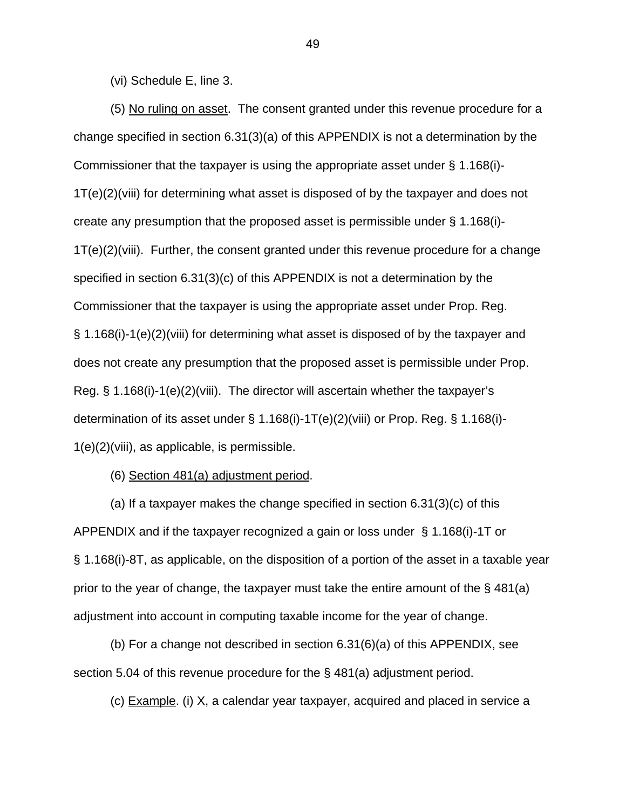(vi) Schedule E, line 3.

(5) No ruling on asset. The consent granted under this revenue procedure for a change specified in section 6.31(3)(a) of this APPENDIX is not a determination by the Commissioner that the taxpayer is using the appropriate asset under § 1.168(i)- 1T(e)(2)(viii) for determining what asset is disposed of by the taxpayer and does not create any presumption that the proposed asset is permissible under § 1.168(i)- 1T(e)(2)(viii). Further, the consent granted under this revenue procedure for a change specified in section 6.31(3)(c) of this APPENDIX is not a determination by the Commissioner that the taxpayer is using the appropriate asset under Prop. Reg. § 1.168(i)-1(e)(2)(viii) for determining what asset is disposed of by the taxpayer and does not create any presumption that the proposed asset is permissible under Prop. Reg. § 1.168(i)-1(e)(2)(viii). The director will ascertain whether the taxpayer's determination of its asset under § 1.168(i)-1T(e)(2)(viii) or Prop. Reg. § 1.168(i)- 1(e)(2)(viii), as applicable, is permissible.

(6) Section 481(a) adjustment period.

(a) If a taxpayer makes the change specified in section  $6.31(3)(c)$  of this APPENDIX and if the taxpayer recognized a gain or loss under § 1.168(i)-1T or § 1.168(i)-8T, as applicable, on the disposition of a portion of the asset in a taxable year prior to the year of change, the taxpayer must take the entire amount of the § 481(a) adjustment into account in computing taxable income for the year of change.

(b) For a change not described in section 6.31(6)(a) of this APPENDIX, see section 5.04 of this revenue procedure for the § 481(a) adjustment period.

(c) Example. (i) X, a calendar year taxpayer, acquired and placed in service a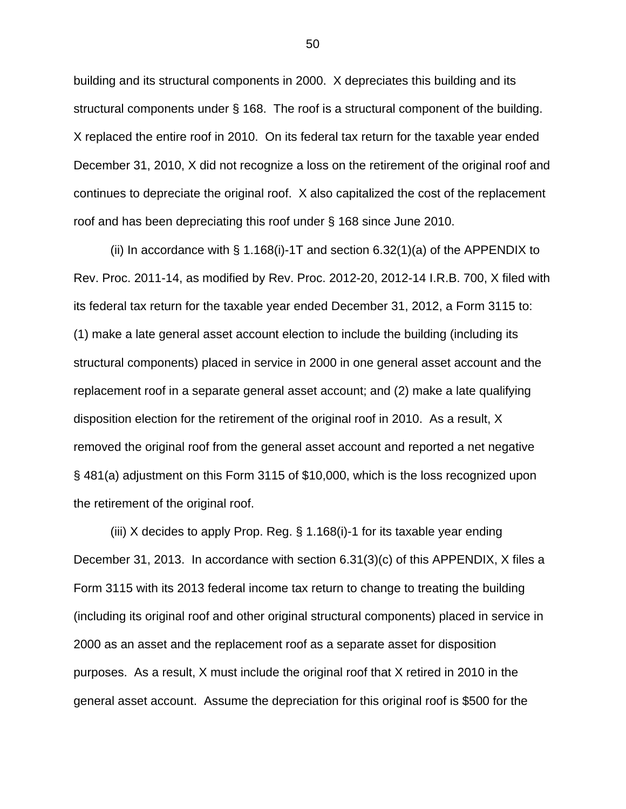building and its structural components in 2000. X depreciates this building and its structural components under § 168. The roof is a structural component of the building. X replaced the entire roof in 2010. On its federal tax return for the taxable year ended December 31, 2010, X did not recognize a loss on the retirement of the original roof and continues to depreciate the original roof. X also capitalized the cost of the replacement roof and has been depreciating this roof under § 168 since June 2010.

(ii) In accordance with  $\S$  1.168(i)-1T and section 6.32(1)(a) of the APPENDIX to Rev. Proc. 2011-14, as modified by Rev. Proc. 2012-20, 2012-14 I.R.B. 700, X filed with its federal tax return for the taxable year ended December 31, 2012, a Form 3115 to: (1) make a late general asset account election to include the building (including its structural components) placed in service in 2000 in one general asset account and the replacement roof in a separate general asset account; and (2) make a late qualifying disposition election for the retirement of the original roof in 2010. As a result, X removed the original roof from the general asset account and reported a net negative § 481(a) adjustment on this Form 3115 of \$10,000, which is the loss recognized upon the retirement of the original roof.

(iii) X decides to apply Prop. Reg. § 1.168(i)-1 for its taxable year ending December 31, 2013. In accordance with section 6.31(3)(c) of this APPENDIX, X files a Form 3115 with its 2013 federal income tax return to change to treating the building (including its original roof and other original structural components) placed in service in 2000 as an asset and the replacement roof as a separate asset for disposition purposes. As a result, X must include the original roof that X retired in 2010 in the general asset account. Assume the depreciation for this original roof is \$500 for the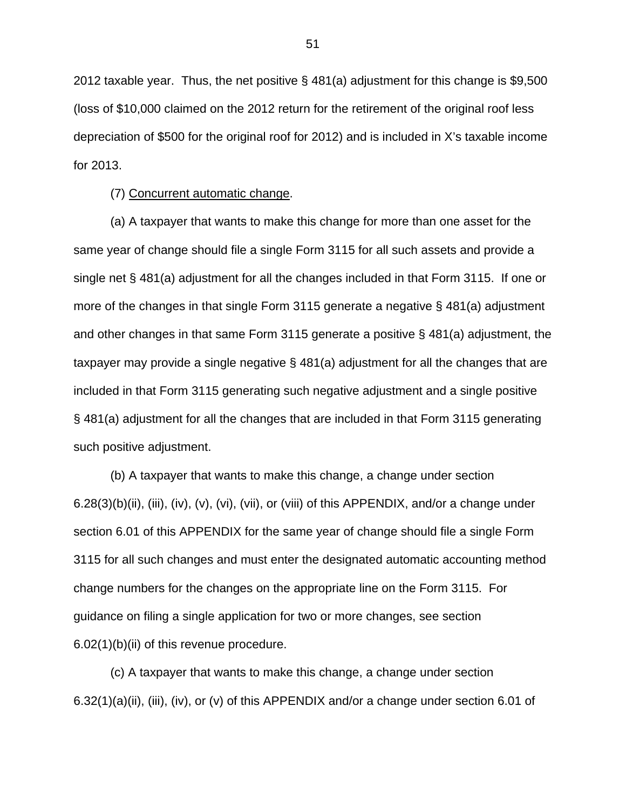2012 taxable year. Thus, the net positive § 481(a) adjustment for this change is \$9,500 (loss of \$10,000 claimed on the 2012 return for the retirement of the original roof less depreciation of \$500 for the original roof for 2012) and is included in X's taxable income for 2013.

(7) Concurrent automatic change.

(a) A taxpayer that wants to make this change for more than one asset for the same year of change should file a single Form 3115 for all such assets and provide a single net § 481(a) adjustment for all the changes included in that Form 3115. If one or more of the changes in that single Form 3115 generate a negative § 481(a) adjustment and other changes in that same Form 3115 generate a positive § 481(a) adjustment, the taxpayer may provide a single negative § 481(a) adjustment for all the changes that are included in that Form 3115 generating such negative adjustment and a single positive § 481(a) adjustment for all the changes that are included in that Form 3115 generating such positive adjustment.

(b) A taxpayer that wants to make this change, a change under section  $6.28(3)(b)(ii)$ , (iii), (iv), (v), (vi), (vii), or (viii) of this APPENDIX, and/or a change under section 6.01 of this APPENDIX for the same year of change should file a single Form 3115 for all such changes and must enter the designated automatic accounting method change numbers for the changes on the appropriate line on the Form 3115. For guidance on filing a single application for two or more changes, see section 6.02(1)(b)(ii) of this revenue procedure.

(c) A taxpayer that wants to make this change, a change under section 6.32(1)(a)(ii), (iii), (iv), or (v) of this APPENDIX and/or a change under section 6.01 of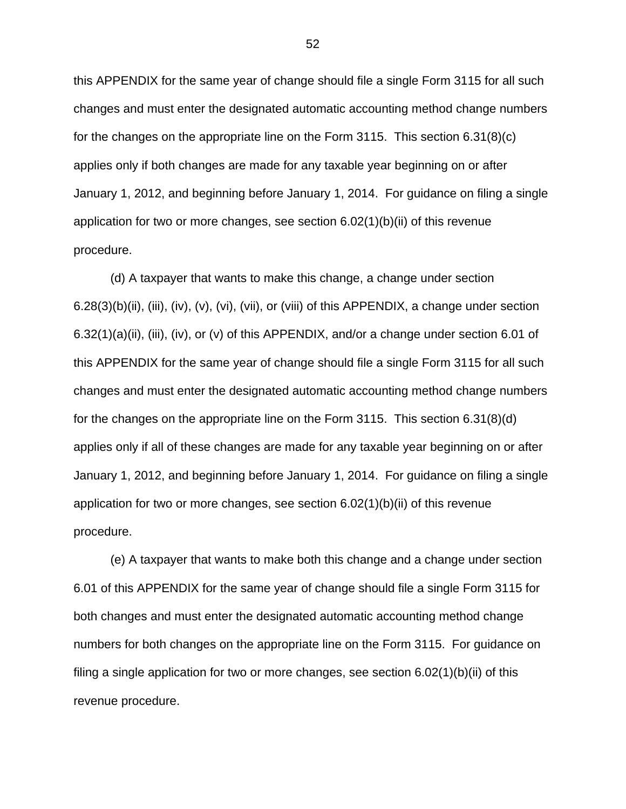this APPENDIX for the same year of change should file a single Form 3115 for all such changes and must enter the designated automatic accounting method change numbers for the changes on the appropriate line on the Form 3115. This section 6.31(8)(c) applies only if both changes are made for any taxable year beginning on or after January 1, 2012, and beginning before January 1, 2014. For guidance on filing a single application for two or more changes, see section 6.02(1)(b)(ii) of this revenue procedure.

(d) A taxpayer that wants to make this change, a change under section 6.28(3)(b)(ii), (iii), (iv), (v), (vi), (vii), or (viii) of this APPENDIX, a change under section 6.32(1)(a)(ii), (iii), (iv), or (v) of this APPENDIX, and/or a change under section 6.01 of this APPENDIX for the same year of change should file a single Form 3115 for all such changes and must enter the designated automatic accounting method change numbers for the changes on the appropriate line on the Form 3115. This section 6.31(8)(d) applies only if all of these changes are made for any taxable year beginning on or after January 1, 2012, and beginning before January 1, 2014. For guidance on filing a single application for two or more changes, see section 6.02(1)(b)(ii) of this revenue procedure.

(e) A taxpayer that wants to make both this change and a change under section 6.01 of this APPENDIX for the same year of change should file a single Form 3115 for both changes and must enter the designated automatic accounting method change numbers for both changes on the appropriate line on the Form 3115. For guidance on filing a single application for two or more changes, see section 6.02(1)(b)(ii) of this revenue procedure.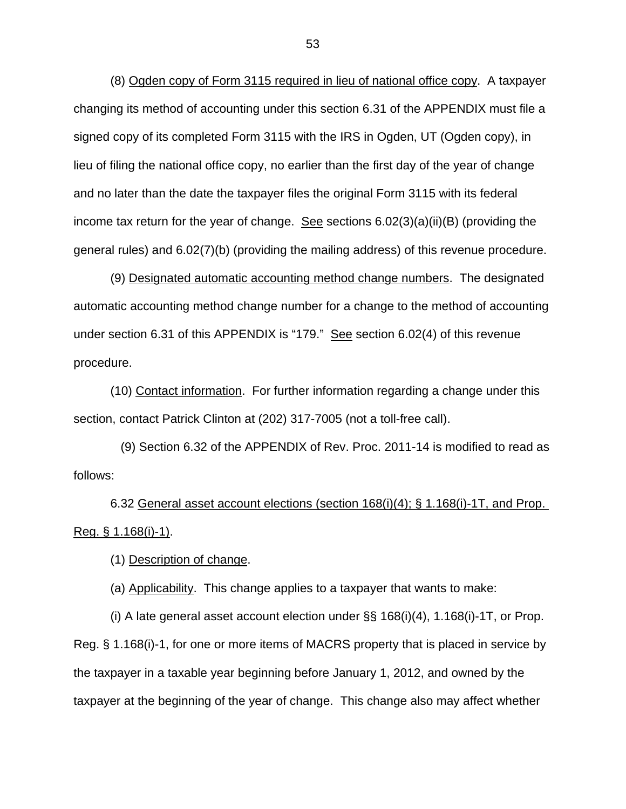(8) Ogden copy of Form 3115 required in lieu of national office copy. A taxpayer changing its method of accounting under this section 6.31 of the APPENDIX must file a signed copy of its completed Form 3115 with the IRS in Ogden, UT (Ogden copy), in lieu of filing the national office copy, no earlier than the first day of the year of change and no later than the date the taxpayer files the original Form 3115 with its federal income tax return for the year of change. See sections  $6.02(3)(a)(ii)(B)$  (providing the general rules) and 6.02(7)(b) (providing the mailing address) of this revenue procedure.

(9) Designated automatic accounting method change numbers. The designated automatic accounting method change number for a change to the method of accounting under section 6.31 of this APPENDIX is "179." See section 6.02(4) of this revenue procedure.

(10) Contact information. For further information regarding a change under this section, contact Patrick Clinton at (202) 317-7005 (not a toll-free call).

 (9) Section 6.32 of the APPENDIX of Rev. Proc. 2011-14 is modified to read as follows:

6.32 General asset account elections (section 168(i)(4); § 1.168(i)-1T, and Prop. Reg. § 1.168(i)-1).

(1) Description of change.

(a) Applicability. This change applies to a taxpayer that wants to make:

(i) A late general asset account election under §§ 168(i)(4), 1.168(i)-1T, or Prop. Reg. § 1.168(i)-1, for one or more items of MACRS property that is placed in service by the taxpayer in a taxable year beginning before January 1, 2012, and owned by the taxpayer at the beginning of the year of change. This change also may affect whether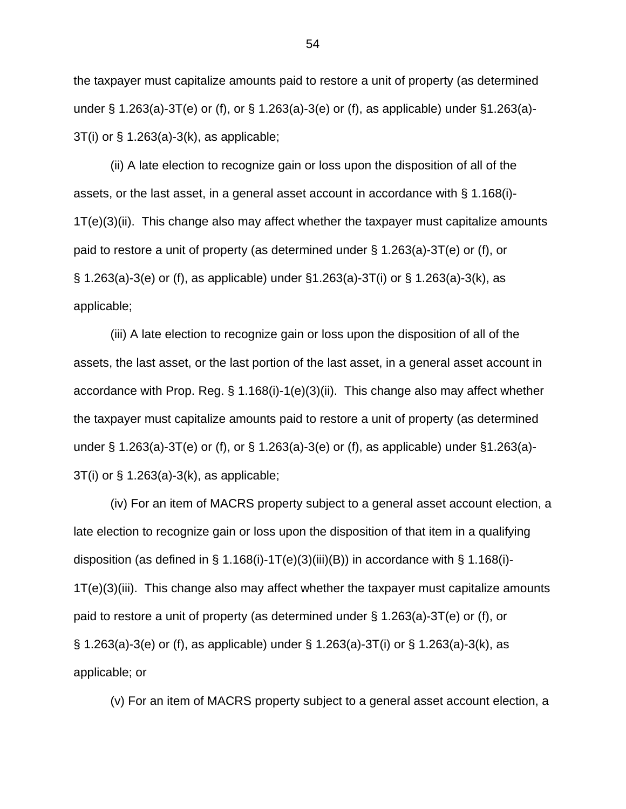the taxpayer must capitalize amounts paid to restore a unit of property (as determined under § 1.263(a)-3T(e) or (f), or § 1.263(a)-3(e) or (f), as applicable) under §1.263(a)- 3T(i) or § 1.263(a)-3(k), as applicable;

(ii) A late election to recognize gain or loss upon the disposition of all of the assets, or the last asset, in a general asset account in accordance with § 1.168(i)- 1T(e)(3)(ii). This change also may affect whether the taxpayer must capitalize amounts paid to restore a unit of property (as determined under § 1.263(a)-3T(e) or (f), or § 1.263(a)-3(e) or (f), as applicable) under §1.263(a)-3T(i) or § 1.263(a)-3(k), as applicable;

(iii) A late election to recognize gain or loss upon the disposition of all of the assets, the last asset, or the last portion of the last asset, in a general asset account in accordance with Prop. Reg. § 1.168(i)-1(e)(3)(ii). This change also may affect whether the taxpayer must capitalize amounts paid to restore a unit of property (as determined under § 1.263(a)-3T(e) or (f), or § 1.263(a)-3(e) or (f), as applicable) under §1.263(a)- 3T(i) or § 1.263(a)-3(k), as applicable;

(iv) For an item of MACRS property subject to a general asset account election, a late election to recognize gain or loss upon the disposition of that item in a qualifying disposition (as defined in § 1.168(i)-1T(e)(3)(iii)(B)) in accordance with § 1.168(i)-1T(e)(3)(iii). This change also may affect whether the taxpayer must capitalize amounts paid to restore a unit of property (as determined under § 1.263(a)-3T(e) or (f), or § 1.263(a)-3(e) or (f), as applicable) under § 1.263(a)-3T(i) or § 1.263(a)-3(k), as applicable; or

(v) For an item of MACRS property subject to a general asset account election, a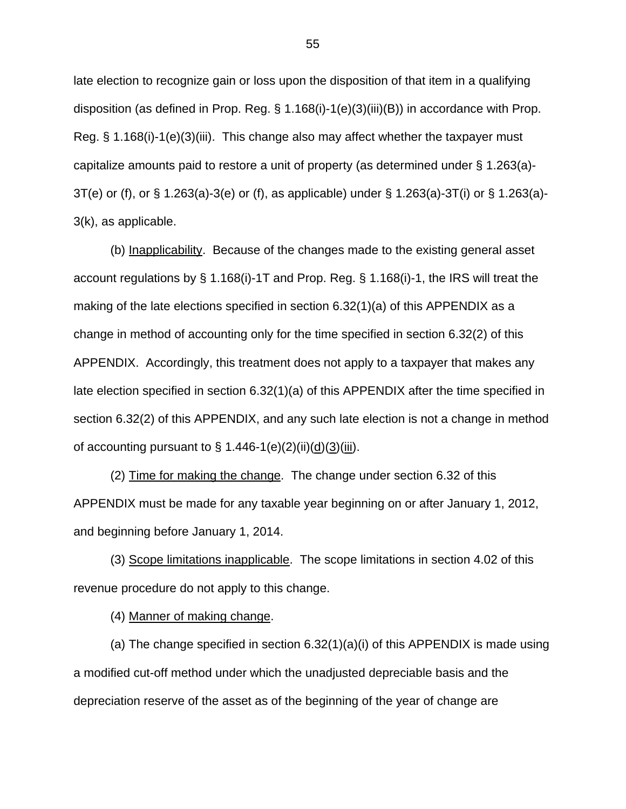late election to recognize gain or loss upon the disposition of that item in a qualifying disposition (as defined in Prop. Reg. § 1.168(i)-1(e)(3)(iii)(B)) in accordance with Prop. Reg. § 1.168(i)-1(e)(3)(iii). This change also may affect whether the taxpayer must capitalize amounts paid to restore a unit of property (as determined under § 1.263(a)- 3T(e) or (f), or § 1.263(a)-3(e) or (f), as applicable) under § 1.263(a)-3T(i) or § 1.263(a)- 3(k), as applicable.

(b) Inapplicability. Because of the changes made to the existing general asset account regulations by § 1.168(i)-1T and Prop. Reg. § 1.168(i)-1, the IRS will treat the making of the late elections specified in section 6.32(1)(a) of this APPENDIX as a change in method of accounting only for the time specified in section 6.32(2) of this APPENDIX. Accordingly, this treatment does not apply to a taxpayer that makes any late election specified in section 6.32(1)(a) of this APPENDIX after the time specified in section 6.32(2) of this APPENDIX, and any such late election is not a change in method of accounting pursuant to  $\S$  1.446-1(e)(2)(ii)( $\underline{d}$ )( $\underline{3}$ )(iii).

(2) Time for making the change. The change under section 6.32 of this APPENDIX must be made for any taxable year beginning on or after January 1, 2012, and beginning before January 1, 2014.

(3) Scope limitations inapplicable. The scope limitations in section 4.02 of this revenue procedure do not apply to this change.

(4) Manner of making change.

(a) The change specified in section 6.32(1)(a)(i) of this APPENDIX is made using a modified cut-off method under which the unadjusted depreciable basis and the depreciation reserve of the asset as of the beginning of the year of change are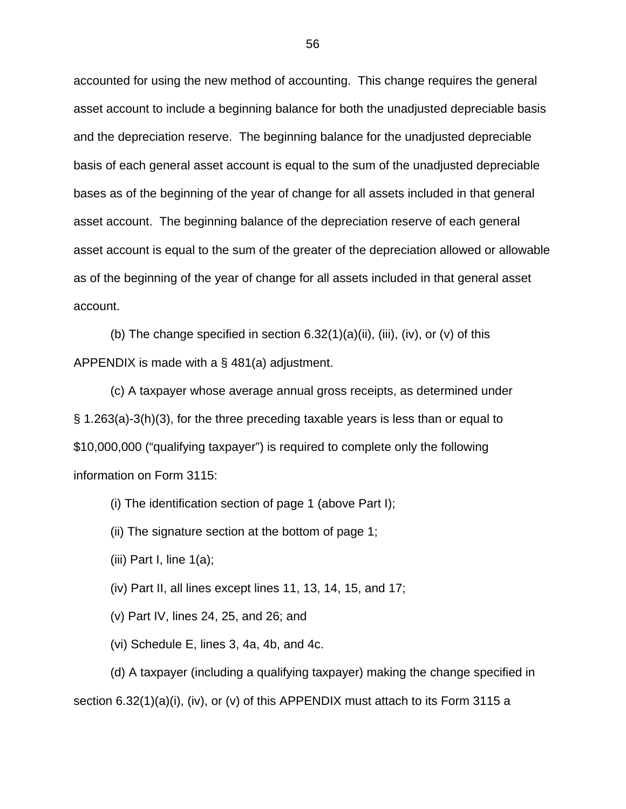accounted for using the new method of accounting. This change requires the general asset account to include a beginning balance for both the unadjusted depreciable basis and the depreciation reserve. The beginning balance for the unadjusted depreciable basis of each general asset account is equal to the sum of the unadjusted depreciable bases as of the beginning of the year of change for all assets included in that general asset account. The beginning balance of the depreciation reserve of each general asset account is equal to the sum of the greater of the depreciation allowed or allowable as of the beginning of the year of change for all assets included in that general asset account.

(b) The change specified in section  $6.32(1)(a)(ii)$ , (iii), (iv), or (v) of this APPENDIX is made with a § 481(a) adjustment.

(c) A taxpayer whose average annual gross receipts, as determined under § 1.263(a)-3(h)(3), for the three preceding taxable years is less than or equal to \$10,000,000 ("qualifying taxpayer") is required to complete only the following information on Form 3115:

(i) The identification section of page 1 (above Part I);

(ii) The signature section at the bottom of page 1;

(iii) Part I, line  $1(a)$ ;

(iv) Part II, all lines except lines 11, 13, 14, 15, and 17;

(v) Part IV, lines 24, 25, and 26; and

(vi) Schedule E, lines 3, 4a, 4b, and 4c.

(d) A taxpayer (including a qualifying taxpayer) making the change specified in section  $6.32(1)(a)(i)$ , (iv), or (v) of this APPENDIX must attach to its Form 3115 a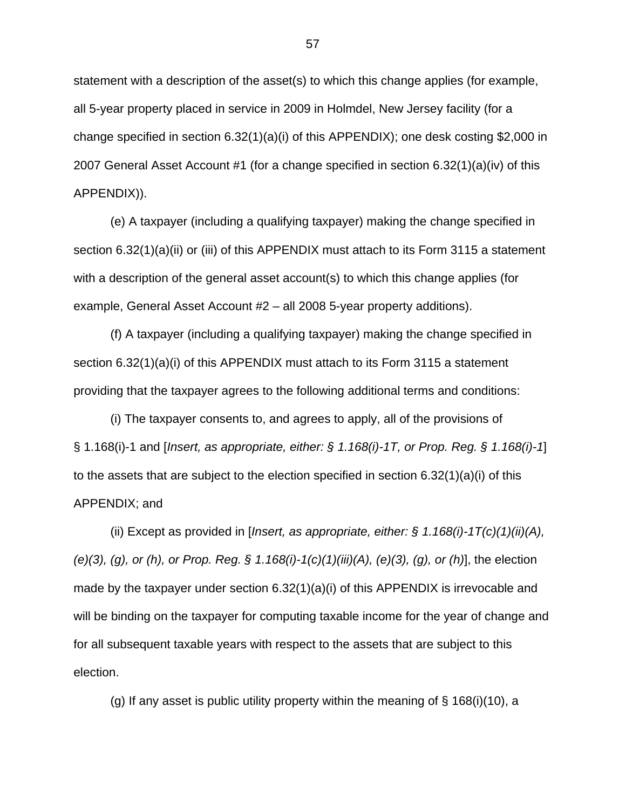statement with a description of the asset(s) to which this change applies (for example, all 5-year property placed in service in 2009 in Holmdel, New Jersey facility (for a change specified in section 6.32(1)(a)(i) of this APPENDIX); one desk costing \$2,000 in 2007 General Asset Account #1 (for a change specified in section 6.32(1)(a)(iv) of this APPENDIX)).

(e) A taxpayer (including a qualifying taxpayer) making the change specified in section 6.32(1)(a)(ii) or (iii) of this APPENDIX must attach to its Form 3115 a statement with a description of the general asset account(s) to which this change applies (for example, General Asset Account #2 – all 2008 5-year property additions).

(f) A taxpayer (including a qualifying taxpayer) making the change specified in section 6.32(1)(a)(i) of this APPENDIX must attach to its Form 3115 a statement providing that the taxpayer agrees to the following additional terms and conditions:

(i) The taxpayer consents to, and agrees to apply, all of the provisions of § 1.168(i)-1 and [*Insert, as appropriate, either: § 1.168(i)-1T, or Prop. Reg. § 1.168(i)-1*] to the assets that are subject to the election specified in section  $6.32(1)(a)(i)$  of this APPENDIX; and

(ii) Except as provided in [*Insert, as appropriate, either: § 1.168(i)-1T(c)(1)(ii)(A), (e)(3), (g), or (h), or Prop. Reg. § 1.168(i)-1(c)(1)(iii)(A), (e)(3), (g), or (h)*], the election made by the taxpayer under section 6.32(1)(a)(i) of this APPENDIX is irrevocable and will be binding on the taxpayer for computing taxable income for the year of change and for all subsequent taxable years with respect to the assets that are subject to this election.

(g) If any asset is public utility property within the meaning of  $\S$  168(i)(10), a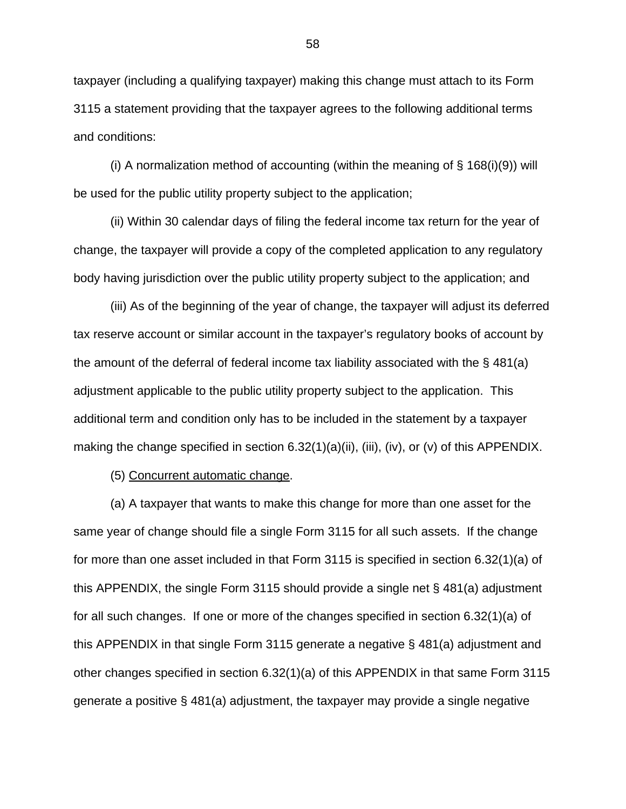taxpayer (including a qualifying taxpayer) making this change must attach to its Form 3115 a statement providing that the taxpayer agrees to the following additional terms and conditions:

(i) A normalization method of accounting (within the meaning of  $\S$  168(i)(9)) will be used for the public utility property subject to the application;

(ii) Within 30 calendar days of filing the federal income tax return for the year of change, the taxpayer will provide a copy of the completed application to any regulatory body having jurisdiction over the public utility property subject to the application; and

(iii) As of the beginning of the year of change, the taxpayer will adjust its deferred tax reserve account or similar account in the taxpayer's regulatory books of account by the amount of the deferral of federal income tax liability associated with the § 481(a) adjustment applicable to the public utility property subject to the application. This additional term and condition only has to be included in the statement by a taxpayer making the change specified in section  $6.32(1)(a)(ii)$ ,  $(iii)$ ,  $(iv)$ , or  $(v)$  of this APPENDIX.

(5) Concurrent automatic change.

(a) A taxpayer that wants to make this change for more than one asset for the same year of change should file a single Form 3115 for all such assets. If the change for more than one asset included in that Form 3115 is specified in section 6.32(1)(a) of this APPENDIX, the single Form 3115 should provide a single net § 481(a) adjustment for all such changes. If one or more of the changes specified in section 6.32(1)(a) of this APPENDIX in that single Form 3115 generate a negative § 481(a) adjustment and other changes specified in section 6.32(1)(a) of this APPENDIX in that same Form 3115 generate a positive § 481(a) adjustment, the taxpayer may provide a single negative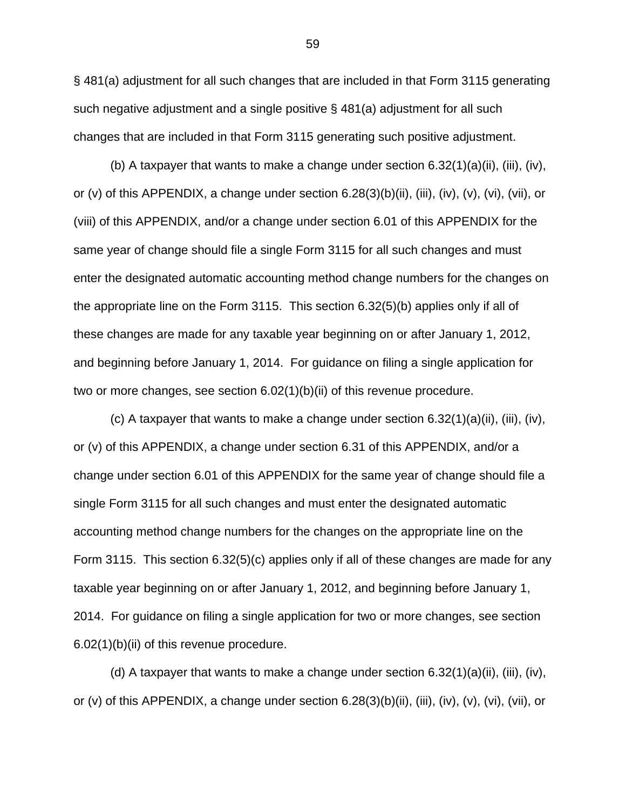§ 481(a) adjustment for all such changes that are included in that Form 3115 generating such negative adjustment and a single positive § 481(a) adjustment for all such changes that are included in that Form 3115 generating such positive adjustment.

(b) A taxpayer that wants to make a change under section  $6.32(1)(a)(ii)$ , (iii), (iv), or (v) of this APPENDIX, a change under section 6.28(3)(b)(ii), (iii), (iv), (v), (vi), (vii), or (viii) of this APPENDIX, and/or a change under section 6.01 of this APPENDIX for the same year of change should file a single Form 3115 for all such changes and must enter the designated automatic accounting method change numbers for the changes on the appropriate line on the Form 3115. This section 6.32(5)(b) applies only if all of these changes are made for any taxable year beginning on or after January 1, 2012, and beginning before January 1, 2014. For guidance on filing a single application for two or more changes, see section 6.02(1)(b)(ii) of this revenue procedure.

(c) A taxpayer that wants to make a change under section  $6.32(1)(a)(ii)$ , (iii), (iv), or (v) of this APPENDIX, a change under section 6.31 of this APPENDIX, and/or a change under section 6.01 of this APPENDIX for the same year of change should file a single Form 3115 for all such changes and must enter the designated automatic accounting method change numbers for the changes on the appropriate line on the Form 3115. This section 6.32(5)(c) applies only if all of these changes are made for any taxable year beginning on or after January 1, 2012, and beginning before January 1, 2014. For guidance on filing a single application for two or more changes, see section 6.02(1)(b)(ii) of this revenue procedure.

(d) A taxpayer that wants to make a change under section 6.32(1)(a)(ii), (iii), (iv), or (v) of this APPENDIX, a change under section 6.28(3)(b)(ii), (iii), (iv), (v), (vi), (vii), or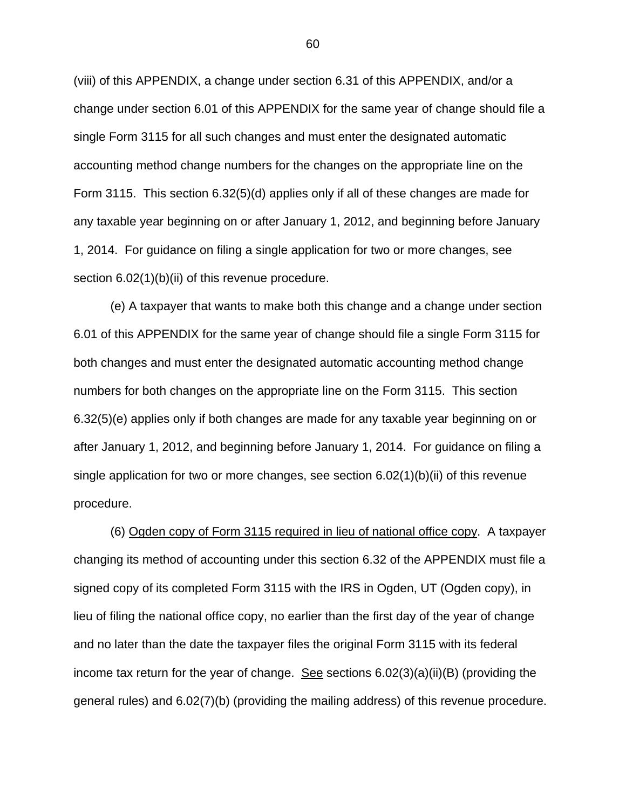(viii) of this APPENDIX, a change under section 6.31 of this APPENDIX, and/or a change under section 6.01 of this APPENDIX for the same year of change should file a single Form 3115 for all such changes and must enter the designated automatic accounting method change numbers for the changes on the appropriate line on the Form 3115. This section 6.32(5)(d) applies only if all of these changes are made for any taxable year beginning on or after January 1, 2012, and beginning before January 1, 2014. For guidance on filing a single application for two or more changes, see section 6.02(1)(b)(ii) of this revenue procedure.

(e) A taxpayer that wants to make both this change and a change under section 6.01 of this APPENDIX for the same year of change should file a single Form 3115 for both changes and must enter the designated automatic accounting method change numbers for both changes on the appropriate line on the Form 3115. This section 6.32(5)(e) applies only if both changes are made for any taxable year beginning on or after January 1, 2012, and beginning before January 1, 2014. For guidance on filing a single application for two or more changes, see section 6.02(1)(b)(ii) of this revenue procedure.

(6) Ogden copy of Form 3115 required in lieu of national office copy. A taxpayer changing its method of accounting under this section 6.32 of the APPENDIX must file a signed copy of its completed Form 3115 with the IRS in Ogden, UT (Ogden copy), in lieu of filing the national office copy, no earlier than the first day of the year of change and no later than the date the taxpayer files the original Form 3115 with its federal income tax return for the year of change. See sections  $6.02(3)(a)(ii)(B)$  (providing the general rules) and 6.02(7)(b) (providing the mailing address) of this revenue procedure.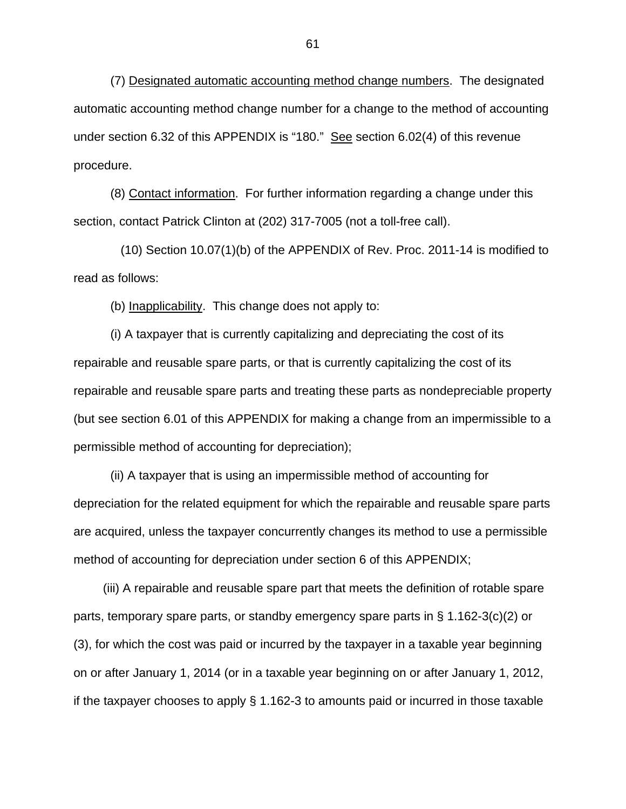(7) Designated automatic accounting method change numbers. The designated automatic accounting method change number for a change to the method of accounting under section 6.32 of this APPENDIX is "180." See section 6.02(4) of this revenue procedure.

(8) Contact information. For further information regarding a change under this section, contact Patrick Clinton at (202) 317-7005 (not a toll-free call).

 (10) Section 10.07(1)(b) of the APPENDIX of Rev. Proc. 2011-14 is modified to read as follows:

(b) Inapplicability. This change does not apply to:

 (i) A taxpayer that is currently capitalizing and depreciating the cost of its repairable and reusable spare parts, or that is currently capitalizing the cost of its repairable and reusable spare parts and treating these parts as nondepreciable property (but see section 6.01 of this APPENDIX for making a change from an impermissible to a permissible method of accounting for depreciation);

 (ii) A taxpayer that is using an impermissible method of accounting for depreciation for the related equipment for which the repairable and reusable spare parts are acquired, unless the taxpayer concurrently changes its method to use a permissible method of accounting for depreciation under section 6 of this APPENDIX;

 (iii) A repairable and reusable spare part that meets the definition of rotable spare parts, temporary spare parts, or standby emergency spare parts in § 1.162-3(c)(2) or (3), for which the cost was paid or incurred by the taxpayer in a taxable year beginning on or after January 1, 2014 (or in a taxable year beginning on or after January 1, 2012, if the taxpayer chooses to apply § 1.162-3 to amounts paid or incurred in those taxable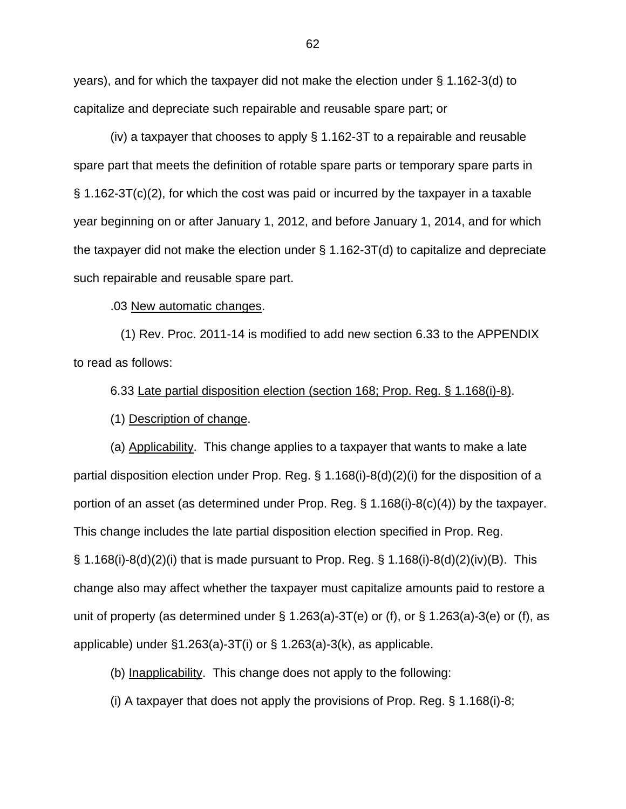years), and for which the taxpayer did not make the election under § 1.162-3(d) to capitalize and depreciate such repairable and reusable spare part; or

 (iv) a taxpayer that chooses to apply § 1.162-3T to a repairable and reusable spare part that meets the definition of rotable spare parts or temporary spare parts in § 1.162-3T(c)(2), for which the cost was paid or incurred by the taxpayer in a taxable year beginning on or after January 1, 2012, and before January 1, 2014, and for which the taxpayer did not make the election under § 1.162-3T(d) to capitalize and depreciate such repairable and reusable spare part.

.03 New automatic changes.

 (1) Rev. Proc. 2011-14 is modified to add new section 6.33 to the APPENDIX to read as follows:

6.33 Late partial disposition election (section 168; Prop. Reg. § 1.168(i)-8).

(1) Description of change.

(a) Applicability. This change applies to a taxpayer that wants to make a late partial disposition election under Prop. Reg. § 1.168(i)-8(d)(2)(i) for the disposition of a portion of an asset (as determined under Prop. Reg. § 1.168(i)-8(c)(4)) by the taxpayer. This change includes the late partial disposition election specified in Prop. Reg. § 1.168(i)-8(d)(2)(i) that is made pursuant to Prop. Reg. § 1.168(i)-8(d)(2)(iv)(B). This change also may affect whether the taxpayer must capitalize amounts paid to restore a unit of property (as determined under  $\S$  1.263(a)-3T(e) or (f), or  $\S$  1.263(a)-3(e) or (f), as applicable) under  $\S1.263(a)$ -3T(i) or  $\S1.263(a)$ -3(k), as applicable.

(b) Inapplicability. This change does not apply to the following:

(i) A taxpayer that does not apply the provisions of Prop. Reg. § 1.168(i)-8;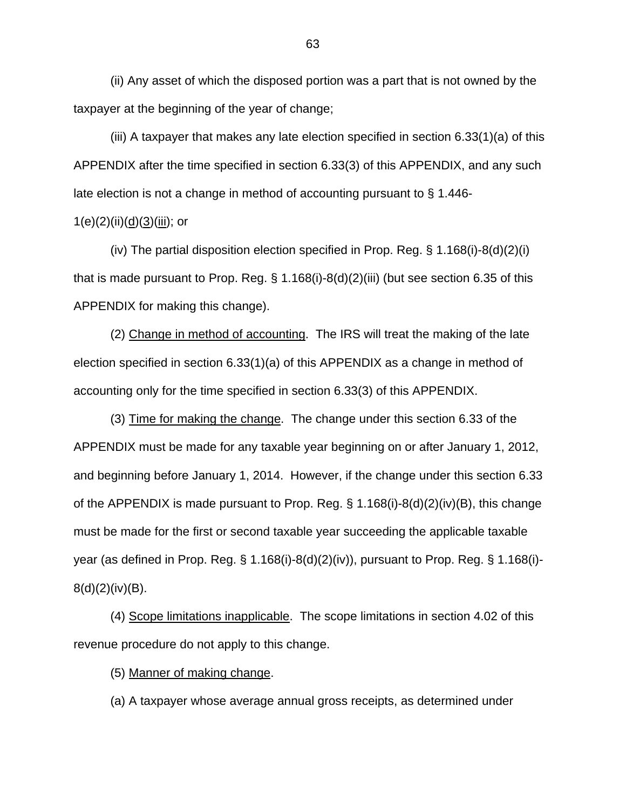(ii) Any asset of which the disposed portion was a part that is not owned by the taxpayer at the beginning of the year of change;

(iii) A taxpayer that makes any late election specified in section 6.33(1)(a) of this APPENDIX after the time specified in section 6.33(3) of this APPENDIX, and any such late election is not a change in method of accounting pursuant to § 1.446-

## $1(e)(2)(ii)(d)(3)(iii)$ ; or

(iv) The partial disposition election specified in Prop. Reg. § 1.168(i)-8(d)(2)(i) that is made pursuant to Prop. Reg. § 1.168(i)-8(d)(2)(iii) (but see section 6.35 of this APPENDIX for making this change).

(2) Change in method of accounting. The IRS will treat the making of the late election specified in section 6.33(1)(a) of this APPENDIX as a change in method of accounting only for the time specified in section 6.33(3) of this APPENDIX.

(3) Time for making the change. The change under this section 6.33 of the APPENDIX must be made for any taxable year beginning on or after January 1, 2012, and beginning before January 1, 2014. However, if the change under this section 6.33 of the APPENDIX is made pursuant to Prop. Reg.  $\S$  1.168(i)-8(d)(2)(iv)(B), this change must be made for the first or second taxable year succeeding the applicable taxable year (as defined in Prop. Reg. § 1.168(i)-8(d)(2)(iv)), pursuant to Prop. Reg. § 1.168(i)-  $8(d)(2)(iv)(B)$ .

(4) Scope limitations inapplicable. The scope limitations in section 4.02 of this revenue procedure do not apply to this change.

(5) Manner of making change.

(a) A taxpayer whose average annual gross receipts, as determined under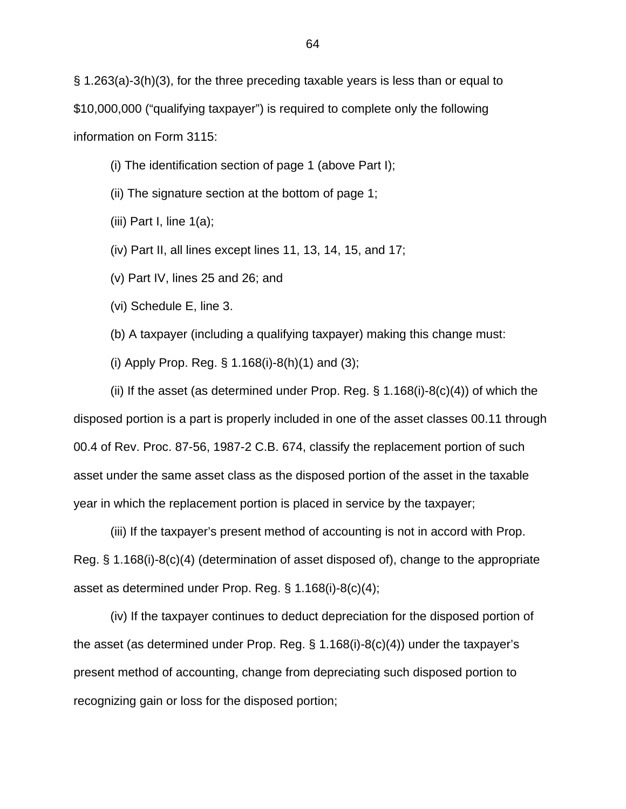§ 1.263(a)-3(h)(3), for the three preceding taxable years is less than or equal to \$10,000,000 ("qualifying taxpayer") is required to complete only the following information on Form 3115:

(i) The identification section of page 1 (above Part I);

(ii) The signature section at the bottom of page 1;

(iii) Part I, line  $1(a)$ ;

(iv) Part II, all lines except lines 11, 13, 14, 15, and 17;

(v) Part IV, lines 25 and 26; and

(vi) Schedule E, line 3.

(b) A taxpayer (including a qualifying taxpayer) making this change must:

(i) Apply Prop. Reg. § 1.168(i)-8(h)(1) and (3);

(ii) If the asset (as determined under Prop. Reg.  $\S$  1.168(i)-8(c)(4)) of which the disposed portion is a part is properly included in one of the asset classes 00.11 through 00.4 of Rev. Proc. 87-56, 1987-2 C.B. 674, classify the replacement portion of such asset under the same asset class as the disposed portion of the asset in the taxable year in which the replacement portion is placed in service by the taxpayer;

(iii) If the taxpayer's present method of accounting is not in accord with Prop. Reg. § 1.168(i)-8(c)(4) (determination of asset disposed of), change to the appropriate asset as determined under Prop. Reg. § 1.168(i)-8(c)(4);

(iv) If the taxpayer continues to deduct depreciation for the disposed portion of the asset (as determined under Prop. Reg. § 1.168(i)-8(c)(4)) under the taxpayer's present method of accounting, change from depreciating such disposed portion to recognizing gain or loss for the disposed portion;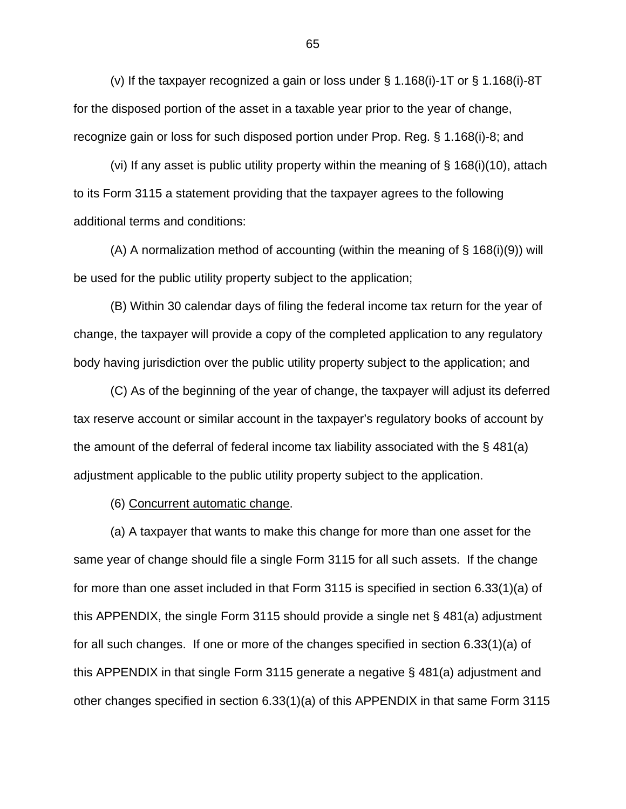(v) If the taxpayer recognized a gain or loss under § 1.168(i)-1T or § 1.168(i)-8T for the disposed portion of the asset in a taxable year prior to the year of change, recognize gain or loss for such disposed portion under Prop. Reg. § 1.168(i)-8; and

(vi) If any asset is public utility property within the meaning of § 168(i)(10), attach to its Form 3115 a statement providing that the taxpayer agrees to the following additional terms and conditions:

(A) A normalization method of accounting (within the meaning of § 168(i)(9)) will be used for the public utility property subject to the application;

(B) Within 30 calendar days of filing the federal income tax return for the year of change, the taxpayer will provide a copy of the completed application to any regulatory body having jurisdiction over the public utility property subject to the application; and

(C) As of the beginning of the year of change, the taxpayer will adjust its deferred tax reserve account or similar account in the taxpayer's regulatory books of account by the amount of the deferral of federal income tax liability associated with the § 481(a) adjustment applicable to the public utility property subject to the application.

(6) Concurrent automatic change.

(a) A taxpayer that wants to make this change for more than one asset for the same year of change should file a single Form 3115 for all such assets. If the change for more than one asset included in that Form 3115 is specified in section 6.33(1)(a) of this APPENDIX, the single Form 3115 should provide a single net § 481(a) adjustment for all such changes. If one or more of the changes specified in section 6.33(1)(a) of this APPENDIX in that single Form 3115 generate a negative § 481(a) adjustment and other changes specified in section 6.33(1)(a) of this APPENDIX in that same Form 3115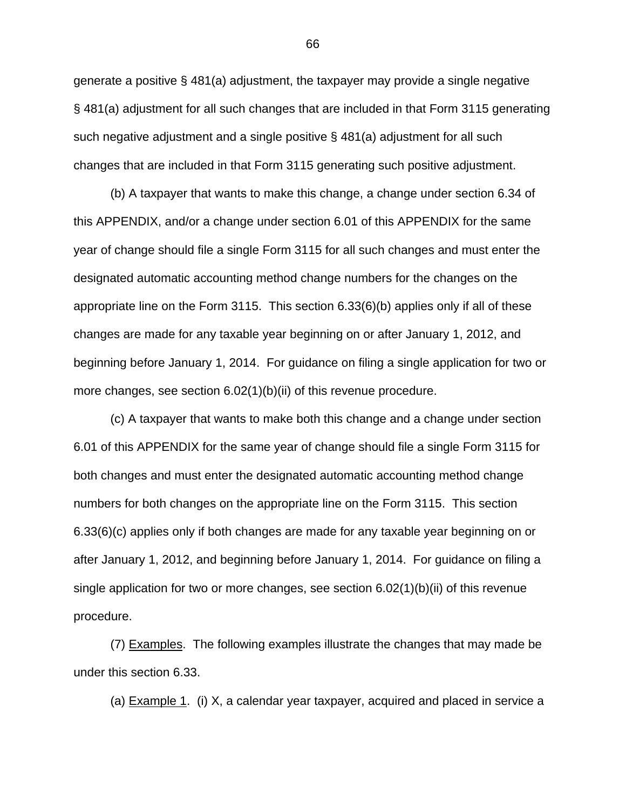generate a positive § 481(a) adjustment, the taxpayer may provide a single negative § 481(a) adjustment for all such changes that are included in that Form 3115 generating such negative adjustment and a single positive § 481(a) adjustment for all such changes that are included in that Form 3115 generating such positive adjustment.

(b) A taxpayer that wants to make this change, a change under section 6.34 of this APPENDIX, and/or a change under section 6.01 of this APPENDIX for the same year of change should file a single Form 3115 for all such changes and must enter the designated automatic accounting method change numbers for the changes on the appropriate line on the Form 3115. This section 6.33(6)(b) applies only if all of these changes are made for any taxable year beginning on or after January 1, 2012, and beginning before January 1, 2014. For guidance on filing a single application for two or more changes, see section 6.02(1)(b)(ii) of this revenue procedure.

(c) A taxpayer that wants to make both this change and a change under section 6.01 of this APPENDIX for the same year of change should file a single Form 3115 for both changes and must enter the designated automatic accounting method change numbers for both changes on the appropriate line on the Form 3115. This section 6.33(6)(c) applies only if both changes are made for any taxable year beginning on or after January 1, 2012, and beginning before January 1, 2014. For guidance on filing a single application for two or more changes, see section 6.02(1)(b)(ii) of this revenue procedure.

(7) Examples. The following examples illustrate the changes that may made be under this section 6.33.

(a) Example 1. (i) X, a calendar year taxpayer, acquired and placed in service a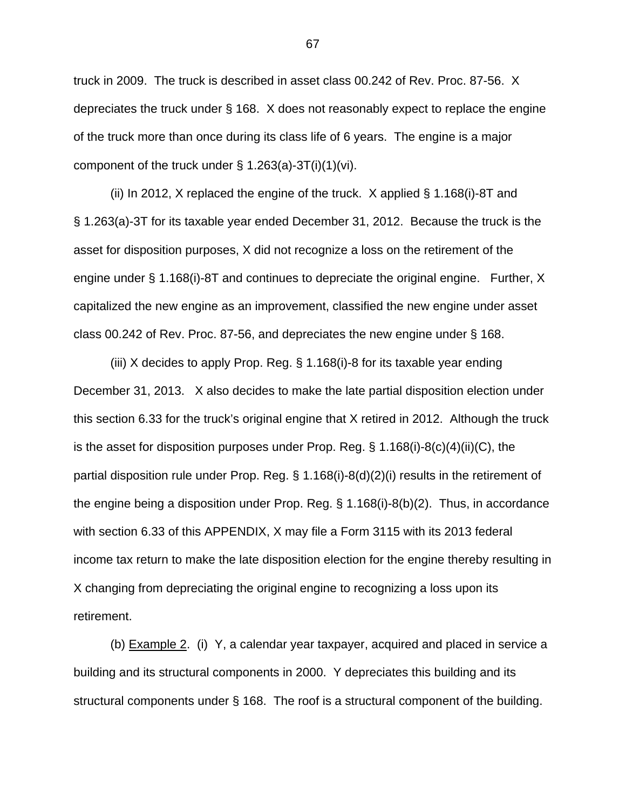truck in 2009. The truck is described in asset class 00.242 of Rev. Proc. 87-56. X depreciates the truck under § 168. X does not reasonably expect to replace the engine of the truck more than once during its class life of 6 years. The engine is a major component of the truck under  $\S$  1.263(a)-3T(i)(1)(vi).

(ii) In 2012, X replaced the engine of the truck. X applied § 1.168(i)-8T and § 1.263(a)-3T for its taxable year ended December 31, 2012. Because the truck is the asset for disposition purposes, X did not recognize a loss on the retirement of the engine under § 1.168(i)-8T and continues to depreciate the original engine. Further, X capitalized the new engine as an improvement, classified the new engine under asset class 00.242 of Rev. Proc. 87-56, and depreciates the new engine under § 168.

(iii) X decides to apply Prop. Reg. § 1.168(i)-8 for its taxable year ending December 31, 2013. X also decides to make the late partial disposition election under this section 6.33 for the truck's original engine that X retired in 2012. Although the truck is the asset for disposition purposes under Prop. Reg. § 1.168(i)-8(c)(4)(ii)(C), the partial disposition rule under Prop. Reg. § 1.168(i)-8(d)(2)(i) results in the retirement of the engine being a disposition under Prop. Reg. § 1.168(i)-8(b)(2). Thus, in accordance with section 6.33 of this APPENDIX, X may file a Form 3115 with its 2013 federal income tax return to make the late disposition election for the engine thereby resulting in X changing from depreciating the original engine to recognizing a loss upon its retirement.

(b) Example 2. (i) Y, a calendar year taxpayer, acquired and placed in service a building and its structural components in 2000. Y depreciates this building and its structural components under § 168. The roof is a structural component of the building.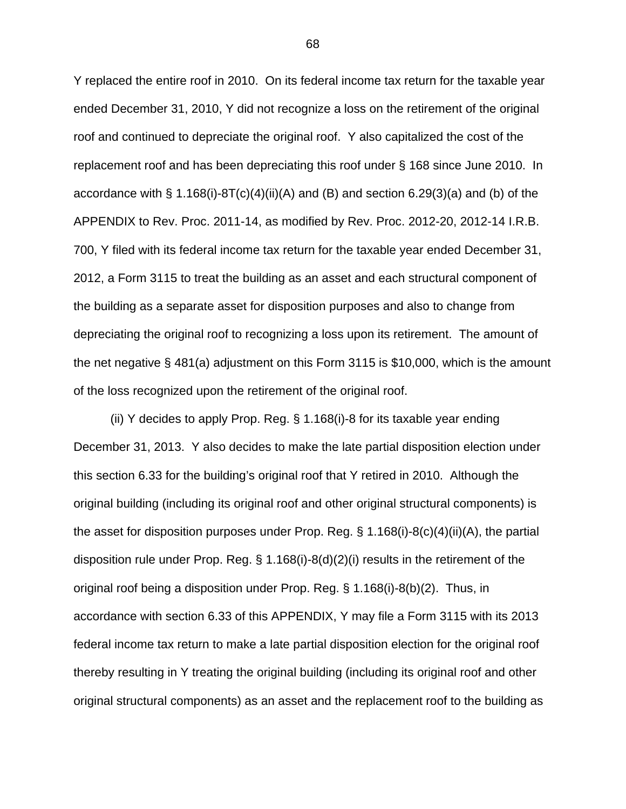Y replaced the entire roof in 2010. On its federal income tax return for the taxable year ended December 31, 2010, Y did not recognize a loss on the retirement of the original roof and continued to depreciate the original roof. Y also capitalized the cost of the replacement roof and has been depreciating this roof under § 168 since June 2010. In accordance with  $\S 1.168(i)-8T(c)(4)(ii)(A)$  and (B) and section 6.29(3)(a) and (b) of the APPENDIX to Rev. Proc. 2011-14, as modified by Rev. Proc. 2012-20, 2012-14 I.R.B. 700, Y filed with its federal income tax return for the taxable year ended December 31, 2012, a Form 3115 to treat the building as an asset and each structural component of the building as a separate asset for disposition purposes and also to change from depreciating the original roof to recognizing a loss upon its retirement. The amount of the net negative § 481(a) adjustment on this Form 3115 is \$10,000, which is the amount of the loss recognized upon the retirement of the original roof.

(ii) Y decides to apply Prop. Reg. § 1.168(i)-8 for its taxable year ending December 31, 2013. Y also decides to make the late partial disposition election under this section 6.33 for the building's original roof that Y retired in 2010. Although the original building (including its original roof and other original structural components) is the asset for disposition purposes under Prop. Reg.  $\S 1.168(i)-8(c)(4)(ii)(A)$ , the partial disposition rule under Prop. Reg. § 1.168(i)-8(d)(2)(i) results in the retirement of the original roof being a disposition under Prop. Reg. § 1.168(i)-8(b)(2). Thus, in accordance with section 6.33 of this APPENDIX, Y may file a Form 3115 with its 2013 federal income tax return to make a late partial disposition election for the original roof thereby resulting in Y treating the original building (including its original roof and other original structural components) as an asset and the replacement roof to the building as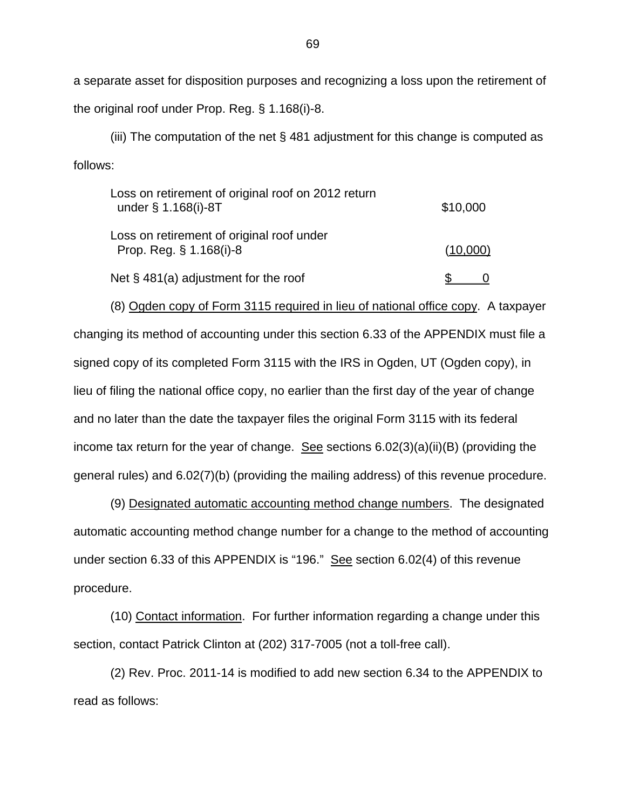a separate asset for disposition purposes and recognizing a loss upon the retirement of the original roof under Prop. Reg. § 1.168(i)-8.

(iii) The computation of the net § 481 adjustment for this change is computed as follows:

| Loss on retirement of original roof on 2012 return<br>under § 1.168(i)-8T | \$10,000 |
|---------------------------------------------------------------------------|----------|
| Loss on retirement of original roof under<br>Prop. Reg. § 1.168(i)-8      | (10,000) |
| Net $\S$ 481(a) adjustment for the roof                                   |          |

(8) Ogden copy of Form 3115 required in lieu of national office copy. A taxpayer changing its method of accounting under this section 6.33 of the APPENDIX must file a signed copy of its completed Form 3115 with the IRS in Ogden, UT (Ogden copy), in lieu of filing the national office copy, no earlier than the first day of the year of change and no later than the date the taxpayer files the original Form 3115 with its federal income tax return for the year of change. See sections  $6.02(3)(a)(ii)(B)$  (providing the general rules) and 6.02(7)(b) (providing the mailing address) of this revenue procedure.

(9) Designated automatic accounting method change numbers. The designated automatic accounting method change number for a change to the method of accounting under section 6.33 of this APPENDIX is "196." See section 6.02(4) of this revenue procedure.

(10) Contact information. For further information regarding a change under this section, contact Patrick Clinton at (202) 317-7005 (not a toll-free call).

(2) Rev. Proc. 2011-14 is modified to add new section 6.34 to the APPENDIX to read as follows: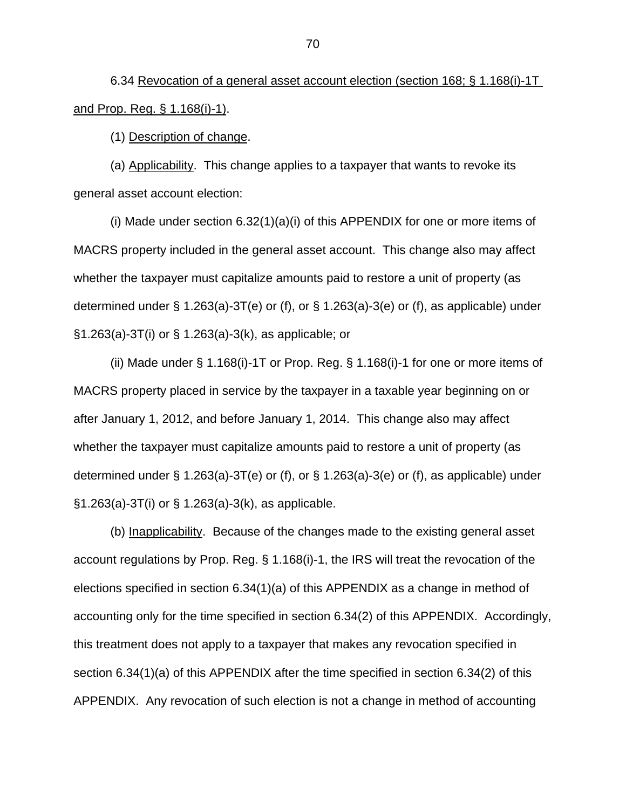6.34 Revocation of a general asset account election (section 168; § 1.168(i)-1T and Prop. Reg. § 1.168(i)-1).

(1) Description of change.

(a) Applicability. This change applies to a taxpayer that wants to revoke its general asset account election:

(i) Made under section 6.32(1)(a)(i) of this APPENDIX for one or more items of MACRS property included in the general asset account. This change also may affect whether the taxpayer must capitalize amounts paid to restore a unit of property (as determined under § 1.263(a)-3T(e) or (f), or § 1.263(a)-3(e) or (f), as applicable) under §1.263(a)-3T(i) or § 1.263(a)-3(k), as applicable; or

(ii) Made under § 1.168(i)-1T or Prop. Reg. § 1.168(i)-1 for one or more items of MACRS property placed in service by the taxpayer in a taxable year beginning on or after January 1, 2012, and before January 1, 2014. This change also may affect whether the taxpayer must capitalize amounts paid to restore a unit of property (as determined under § 1.263(a)-3T(e) or (f), or § 1.263(a)-3(e) or (f), as applicable) under  $\S1.263(a) - 3T(i)$  or  $\S1.263(a) - 3(k)$ , as applicable.

(b) Inapplicability. Because of the changes made to the existing general asset account regulations by Prop. Reg. § 1.168(i)-1, the IRS will treat the revocation of the elections specified in section 6.34(1)(a) of this APPENDIX as a change in method of accounting only for the time specified in section 6.34(2) of this APPENDIX. Accordingly, this treatment does not apply to a taxpayer that makes any revocation specified in section 6.34(1)(a) of this APPENDIX after the time specified in section 6.34(2) of this APPENDIX. Any revocation of such election is not a change in method of accounting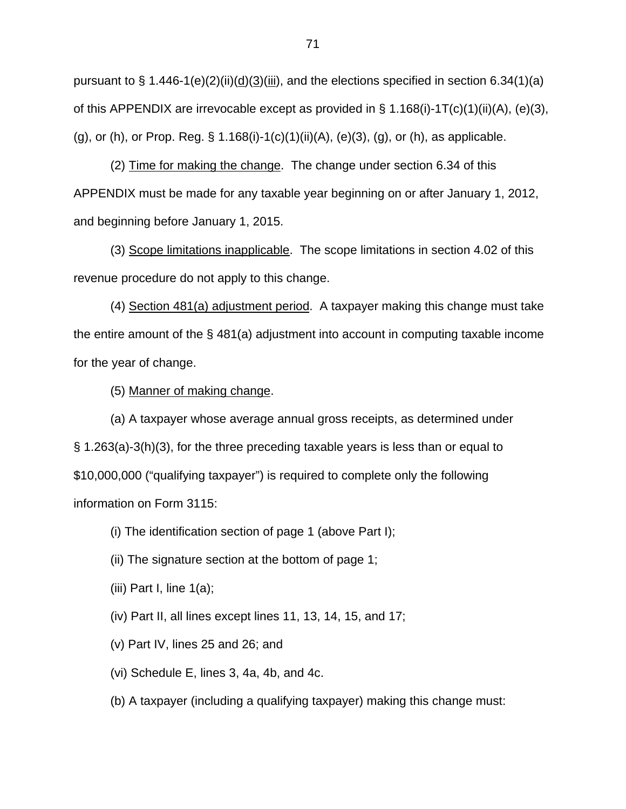pursuant to § 1.446-1(e)(2)(ii)( $\underline{d}$ )( $\underline{3}$ )(iii), and the elections specified in section 6.34(1)(a) of this APPENDIX are irrevocable except as provided in § 1.168(i)-1T(c)(1)(ii)(A), (e)(3), (g), or (h), or Prop. Reg. § 1.168(i)-1(c)(1)(ii)(A), (e)(3), (g), or (h), as applicable.

(2) Time for making the change. The change under section 6.34 of this APPENDIX must be made for any taxable year beginning on or after January 1, 2012, and beginning before January 1, 2015.

(3) Scope limitations inapplicable. The scope limitations in section 4.02 of this revenue procedure do not apply to this change.

(4) Section 481(a) adjustment period. A taxpayer making this change must take the entire amount of the § 481(a) adjustment into account in computing taxable income for the year of change.

(5) Manner of making change.

(a) A taxpayer whose average annual gross receipts, as determined under § 1.263(a)-3(h)(3), for the three preceding taxable years is less than or equal to \$10,000,000 ("qualifying taxpayer") is required to complete only the following information on Form 3115:

(i) The identification section of page 1 (above Part I);

(ii) The signature section at the bottom of page 1;

(iii) Part I, line  $1(a)$ ;

(iv) Part II, all lines except lines 11, 13, 14, 15, and 17;

- (v) Part IV, lines 25 and 26; and
- (vi) Schedule E, lines 3, 4a, 4b, and 4c.
- (b) A taxpayer (including a qualifying taxpayer) making this change must: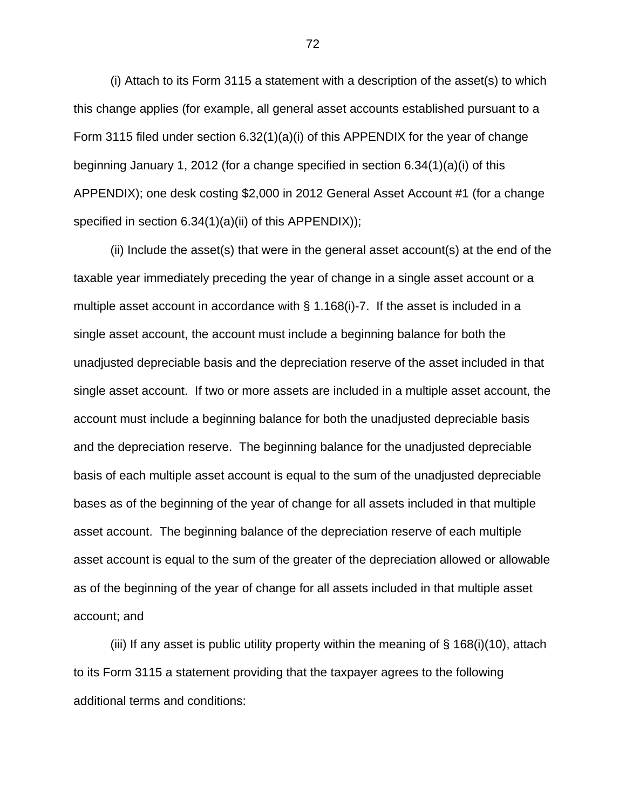(i) Attach to its Form 3115 a statement with a description of the asset(s) to which this change applies (for example, all general asset accounts established pursuant to a Form 3115 filed under section 6.32(1)(a)(i) of this APPENDIX for the year of change beginning January 1, 2012 (for a change specified in section 6.34(1)(a)(i) of this APPENDIX); one desk costing \$2,000 in 2012 General Asset Account #1 (for a change specified in section 6.34(1)(a)(ii) of this APPENDIX));

(ii) Include the asset(s) that were in the general asset account(s) at the end of the taxable year immediately preceding the year of change in a single asset account or a multiple asset account in accordance with § 1.168(i)-7. If the asset is included in a single asset account, the account must include a beginning balance for both the unadjusted depreciable basis and the depreciation reserve of the asset included in that single asset account. If two or more assets are included in a multiple asset account, the account must include a beginning balance for both the unadjusted depreciable basis and the depreciation reserve. The beginning balance for the unadjusted depreciable basis of each multiple asset account is equal to the sum of the unadjusted depreciable bases as of the beginning of the year of change for all assets included in that multiple asset account. The beginning balance of the depreciation reserve of each multiple asset account is equal to the sum of the greater of the depreciation allowed or allowable as of the beginning of the year of change for all assets included in that multiple asset account; and

(iii) If any asset is public utility property within the meaning of  $\S$  168(i)(10), attach to its Form 3115 a statement providing that the taxpayer agrees to the following additional terms and conditions: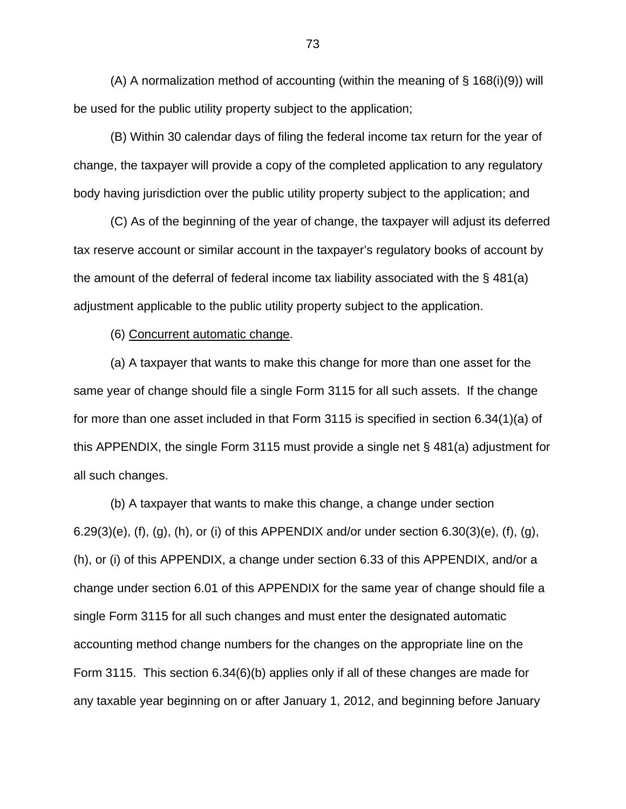(A) A normalization method of accounting (within the meaning of § 168(i)(9)) will be used for the public utility property subject to the application;

(B) Within 30 calendar days of filing the federal income tax return for the year of change, the taxpayer will provide a copy of the completed application to any regulatory body having jurisdiction over the public utility property subject to the application; and

(C) As of the beginning of the year of change, the taxpayer will adjust its deferred tax reserve account or similar account in the taxpayer's regulatory books of account by the amount of the deferral of federal income tax liability associated with the § 481(a) adjustment applicable to the public utility property subject to the application.

(6) Concurrent automatic change.

(a) A taxpayer that wants to make this change for more than one asset for the same year of change should file a single Form 3115 for all such assets. If the change for more than one asset included in that Form 3115 is specified in section 6.34(1)(a) of this APPENDIX, the single Form 3115 must provide a single net § 481(a) adjustment for all such changes.

(b) A taxpayer that wants to make this change, a change under section  $6.29(3)(e)$ , (f), (g), (h), or (i) of this APPENDIX and/or under section  $6.30(3)(e)$ , (f), (g), (h), or (i) of this APPENDIX, a change under section 6.33 of this APPENDIX, and/or a change under section 6.01 of this APPENDIX for the same year of change should file a single Form 3115 for all such changes and must enter the designated automatic accounting method change numbers for the changes on the appropriate line on the Form 3115. This section 6.34(6)(b) applies only if all of these changes are made for any taxable year beginning on or after January 1, 2012, and beginning before January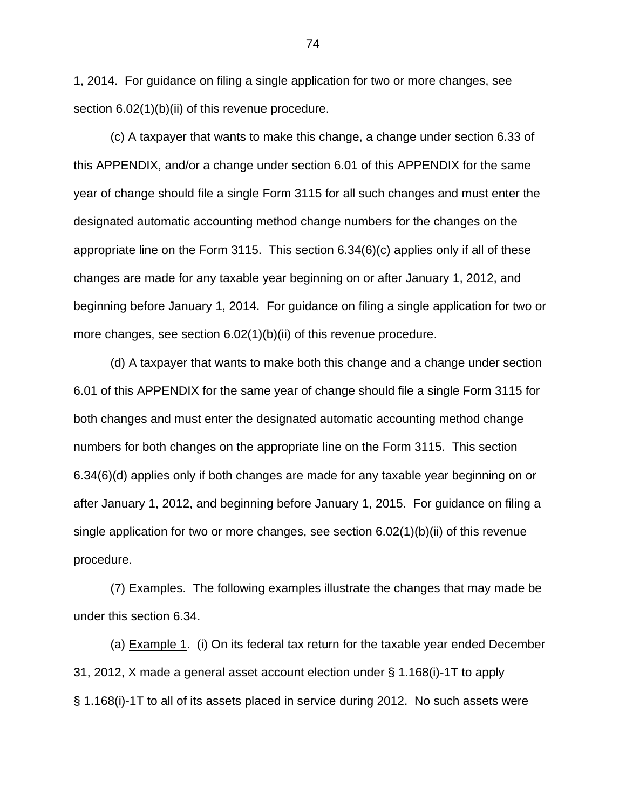1, 2014. For guidance on filing a single application for two or more changes, see section 6.02(1)(b)(ii) of this revenue procedure.

(c) A taxpayer that wants to make this change, a change under section 6.33 of this APPENDIX, and/or a change under section 6.01 of this APPENDIX for the same year of change should file a single Form 3115 for all such changes and must enter the designated automatic accounting method change numbers for the changes on the appropriate line on the Form 3115. This section 6.34(6)(c) applies only if all of these changes are made for any taxable year beginning on or after January 1, 2012, and beginning before January 1, 2014. For guidance on filing a single application for two or more changes, see section 6.02(1)(b)(ii) of this revenue procedure.

(d) A taxpayer that wants to make both this change and a change under section 6.01 of this APPENDIX for the same year of change should file a single Form 3115 for both changes and must enter the designated automatic accounting method change numbers for both changes on the appropriate line on the Form 3115. This section 6.34(6)(d) applies only if both changes are made for any taxable year beginning on or after January 1, 2012, and beginning before January 1, 2015. For guidance on filing a single application for two or more changes, see section 6.02(1)(b)(ii) of this revenue procedure.

(7) Examples. The following examples illustrate the changes that may made be under this section 6.34.

(a) Example 1. (i) On its federal tax return for the taxable year ended December 31, 2012, X made a general asset account election under § 1.168(i)-1T to apply § 1.168(i)-1T to all of its assets placed in service during 2012. No such assets were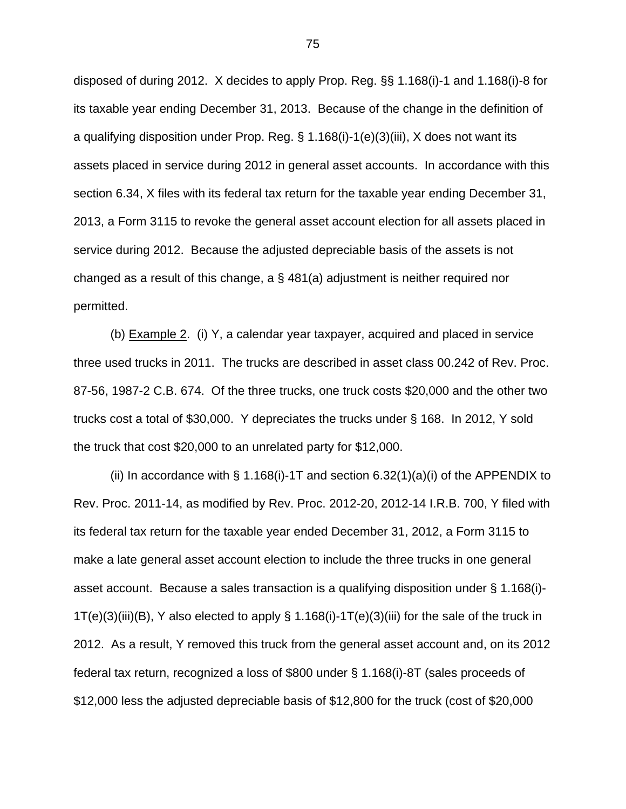disposed of during 2012. X decides to apply Prop. Reg. §§ 1.168(i)-1 and 1.168(i)-8 for its taxable year ending December 31, 2013. Because of the change in the definition of a qualifying disposition under Prop. Reg. § 1.168(i)-1(e)(3)(iii), X does not want its assets placed in service during 2012 in general asset accounts. In accordance with this section 6.34, X files with its federal tax return for the taxable year ending December 31, 2013, a Form 3115 to revoke the general asset account election for all assets placed in service during 2012. Because the adjusted depreciable basis of the assets is not changed as a result of this change, a § 481(a) adjustment is neither required nor permitted.

(b) Example 2. (i) Y, a calendar year taxpayer, acquired and placed in service three used trucks in 2011. The trucks are described in asset class 00.242 of Rev. Proc. 87-56, 1987-2 C.B. 674. Of the three trucks, one truck costs \$20,000 and the other two trucks cost a total of \$30,000. Y depreciates the trucks under § 168. In 2012, Y sold the truck that cost \$20,000 to an unrelated party for \$12,000.

(ii) In accordance with  $\S 1.168(i)$ -1T and section 6.32(1)(a)(i) of the APPENDIX to Rev. Proc. 2011-14, as modified by Rev. Proc. 2012-20, 2012-14 I.R.B. 700, Y filed with its federal tax return for the taxable year ended December 31, 2012, a Form 3115 to make a late general asset account election to include the three trucks in one general asset account. Because a sales transaction is a qualifying disposition under § 1.168(i)-  $1T(e)(3)(iii)(B)$ , Y also elected to apply § 1.168(i)-1T(e)(3)(iii) for the sale of the truck in 2012. As a result, Y removed this truck from the general asset account and, on its 2012 federal tax return, recognized a loss of \$800 under § 1.168(i)-8T (sales proceeds of \$12,000 less the adjusted depreciable basis of \$12,800 for the truck (cost of \$20,000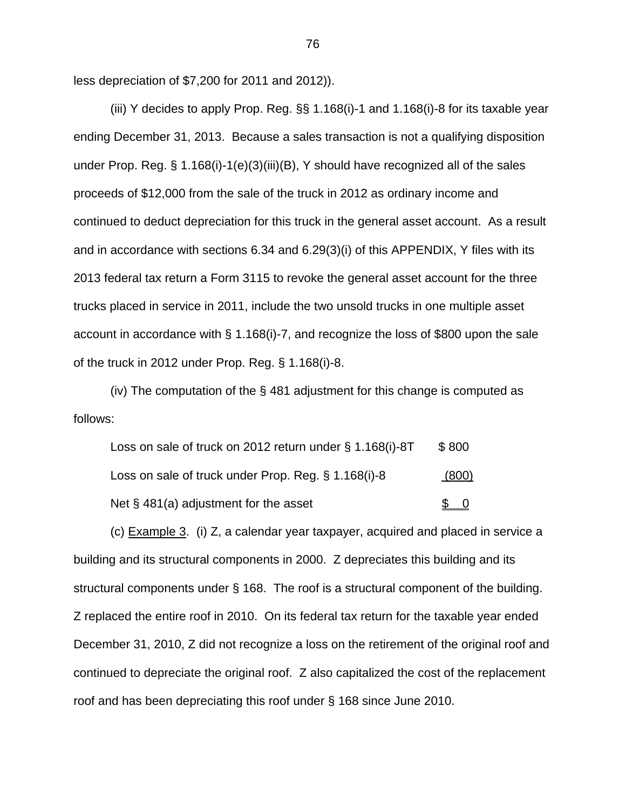less depreciation of \$7,200 for 2011 and 2012)).

(iii) Y decides to apply Prop. Reg. §§ 1.168(i)-1 and 1.168(i)-8 for its taxable year ending December 31, 2013. Because a sales transaction is not a qualifying disposition under Prop. Reg. § 1.168(i)-1(e)(3)(iii)(B), Y should have recognized all of the sales proceeds of \$12,000 from the sale of the truck in 2012 as ordinary income and continued to deduct depreciation for this truck in the general asset account. As a result and in accordance with sections 6.34 and 6.29(3)(i) of this APPENDIX, Y files with its 2013 federal tax return a Form 3115 to revoke the general asset account for the three trucks placed in service in 2011, include the two unsold trucks in one multiple asset account in accordance with § 1.168(i)-7, and recognize the loss of \$800 upon the sale of the truck in 2012 under Prop. Reg. § 1.168(i)-8.

(iv) The computation of the § 481 adjustment for this change is computed as follows:

| Loss on sale of truck on 2012 return under § 1.168(i)-8T | \$800 |
|----------------------------------------------------------|-------|
| Loss on sale of truck under Prop. Reg. § 1.168(i)-8      | (800) |
| Net $\S$ 481(a) adjustment for the asset                 |       |

(c) Example 3. (i) Z, a calendar year taxpayer, acquired and placed in service a building and its structural components in 2000. Z depreciates this building and its structural components under § 168. The roof is a structural component of the building. Z replaced the entire roof in 2010. On its federal tax return for the taxable year ended December 31, 2010, Z did not recognize a loss on the retirement of the original roof and continued to depreciate the original roof. Z also capitalized the cost of the replacement roof and has been depreciating this roof under § 168 since June 2010.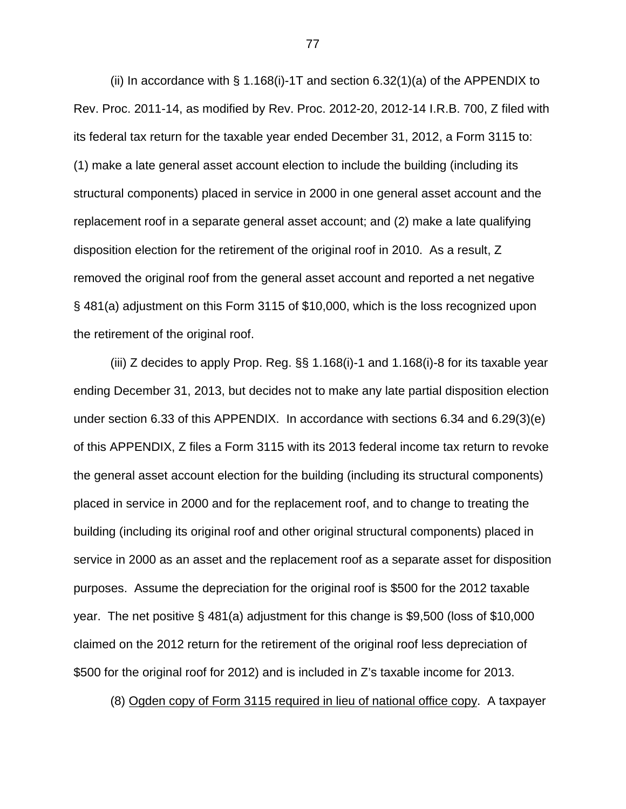(ii) In accordance with § 1.168(i)-1T and section 6.32(1)(a) of the APPENDIX to Rev. Proc. 2011-14, as modified by Rev. Proc. 2012-20, 2012-14 I.R.B. 700, Z filed with its federal tax return for the taxable year ended December 31, 2012, a Form 3115 to: (1) make a late general asset account election to include the building (including its structural components) placed in service in 2000 in one general asset account and the replacement roof in a separate general asset account; and (2) make a late qualifying disposition election for the retirement of the original roof in 2010. As a result, Z removed the original roof from the general asset account and reported a net negative § 481(a) adjustment on this Form 3115 of \$10,000, which is the loss recognized upon the retirement of the original roof.

(iii) Z decides to apply Prop. Reg. §§ 1.168(i)-1 and 1.168(i)-8 for its taxable year ending December 31, 2013, but decides not to make any late partial disposition election under section 6.33 of this APPENDIX. In accordance with sections 6.34 and 6.29(3)(e) of this APPENDIX, Z files a Form 3115 with its 2013 federal income tax return to revoke the general asset account election for the building (including its structural components) placed in service in 2000 and for the replacement roof, and to change to treating the building (including its original roof and other original structural components) placed in service in 2000 as an asset and the replacement roof as a separate asset for disposition purposes. Assume the depreciation for the original roof is \$500 for the 2012 taxable year. The net positive § 481(a) adjustment for this change is \$9,500 (loss of \$10,000 claimed on the 2012 return for the retirement of the original roof less depreciation of \$500 for the original roof for 2012) and is included in Z's taxable income for 2013.

(8) Ogden copy of Form 3115 required in lieu of national office copy. A taxpayer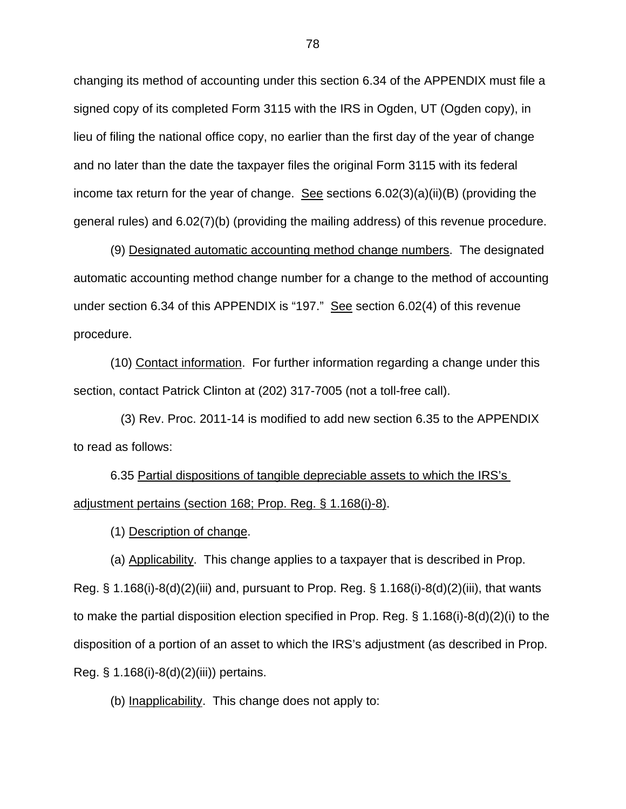changing its method of accounting under this section 6.34 of the APPENDIX must file a signed copy of its completed Form 3115 with the IRS in Ogden, UT (Ogden copy), in lieu of filing the national office copy, no earlier than the first day of the year of change and no later than the date the taxpayer files the original Form 3115 with its federal income tax return for the year of change. See sections  $6.02(3)(a)(ii)(B)$  (providing the general rules) and 6.02(7)(b) (providing the mailing address) of this revenue procedure.

(9) Designated automatic accounting method change numbers. The designated automatic accounting method change number for a change to the method of accounting under section 6.34 of this APPENDIX is "197." See section 6.02(4) of this revenue procedure.

(10) Contact information. For further information regarding a change under this section, contact Patrick Clinton at (202) 317-7005 (not a toll-free call).

 (3) Rev. Proc. 2011-14 is modified to add new section 6.35 to the APPENDIX to read as follows:

6.35 Partial dispositions of tangible depreciable assets to which the IRS's adjustment pertains (section 168; Prop. Reg. § 1.168(i)-8).

(1) Description of change.

(a) Applicability. This change applies to a taxpayer that is described in Prop. Reg.  $\S$  1.168(i)-8(d)(2)(iii) and, pursuant to Prop. Reg.  $\S$  1.168(i)-8(d)(2)(iii), that wants to make the partial disposition election specified in Prop. Reg. § 1.168(i)-8(d)(2)(i) to the disposition of a portion of an asset to which the IRS's adjustment (as described in Prop. Reg. § 1.168(i)-8(d)(2)(iii)) pertains.

(b) Inapplicability. This change does not apply to: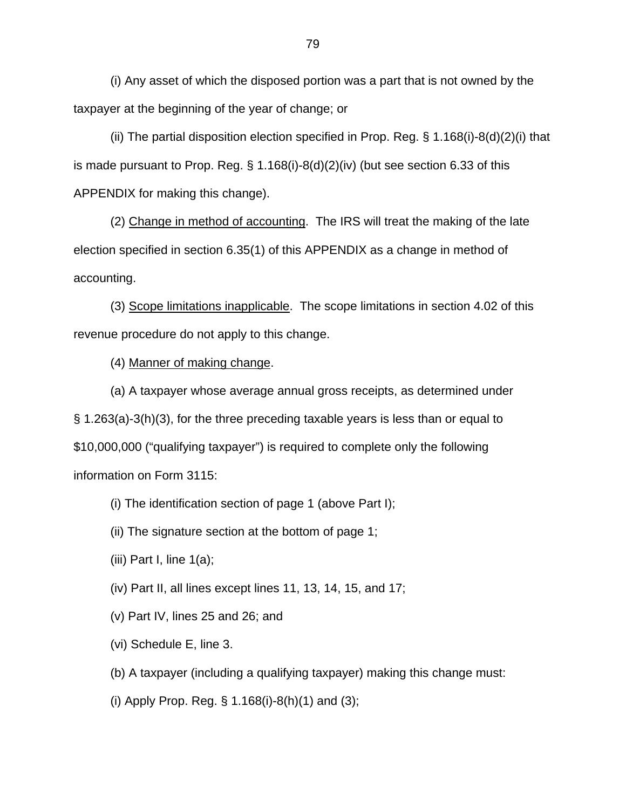(i) Any asset of which the disposed portion was a part that is not owned by the taxpayer at the beginning of the year of change; or

(ii) The partial disposition election specified in Prop. Reg.  $\S$  1.168(i)-8(d)(2)(i) that is made pursuant to Prop. Reg.  $\S 1.168(i)-8(d)(2)(iv)$  (but see section 6.33 of this APPENDIX for making this change).

(2) Change in method of accounting. The IRS will treat the making of the late election specified in section 6.35(1) of this APPENDIX as a change in method of accounting.

(3) Scope limitations inapplicable. The scope limitations in section 4.02 of this revenue procedure do not apply to this change.

(4) Manner of making change.

(a) A taxpayer whose average annual gross receipts, as determined under § 1.263(a)-3(h)(3), for the three preceding taxable years is less than or equal to \$10,000,000 ("qualifying taxpayer") is required to complete only the following information on Form 3115:

(i) The identification section of page 1 (above Part I);

(ii) The signature section at the bottom of page 1;

(iii) Part I, line  $1(a)$ ;

(iv) Part II, all lines except lines 11, 13, 14, 15, and 17;

(v) Part IV, lines 25 and 26; and

(vi) Schedule E, line 3.

(b) A taxpayer (including a qualifying taxpayer) making this change must:

(i) Apply Prop. Reg. § 1.168(i)-8(h)(1) and (3);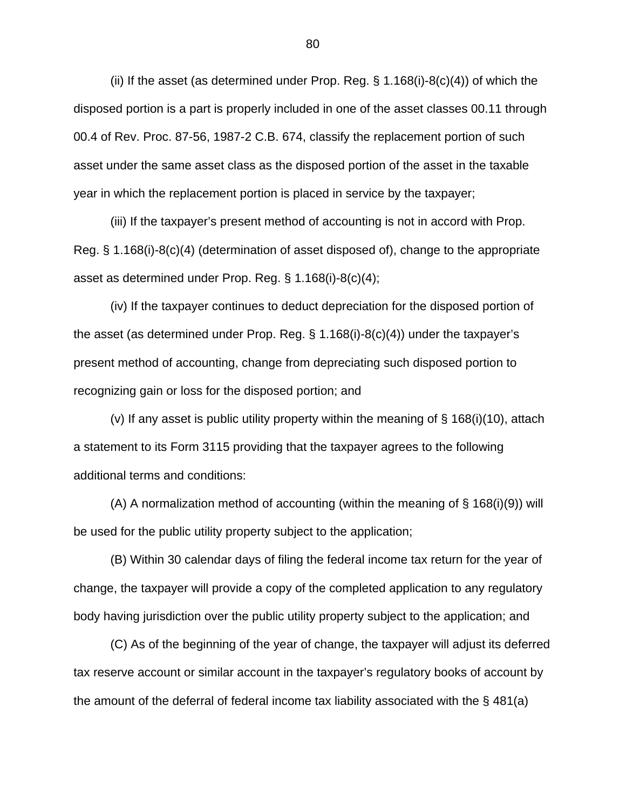(ii) If the asset (as determined under Prop. Reg.  $\S$  1.168(i)-8(c)(4)) of which the disposed portion is a part is properly included in one of the asset classes 00.11 through 00.4 of Rev. Proc. 87-56, 1987-2 C.B. 674, classify the replacement portion of such asset under the same asset class as the disposed portion of the asset in the taxable year in which the replacement portion is placed in service by the taxpayer;

(iii) If the taxpayer's present method of accounting is not in accord with Prop. Reg. § 1.168(i)-8(c)(4) (determination of asset disposed of), change to the appropriate asset as determined under Prop. Reg. § 1.168(i)-8(c)(4);

(iv) If the taxpayer continues to deduct depreciation for the disposed portion of the asset (as determined under Prop. Reg. § 1.168(i)-8(c)(4)) under the taxpayer's present method of accounting, change from depreciating such disposed portion to recognizing gain or loss for the disposed portion; and

(v) If any asset is public utility property within the meaning of  $\S$  168(i)(10), attach a statement to its Form 3115 providing that the taxpayer agrees to the following additional terms and conditions:

(A) A normalization method of accounting (within the meaning of § 168(i)(9)) will be used for the public utility property subject to the application;

(B) Within 30 calendar days of filing the federal income tax return for the year of change, the taxpayer will provide a copy of the completed application to any regulatory body having jurisdiction over the public utility property subject to the application; and

(C) As of the beginning of the year of change, the taxpayer will adjust its deferred tax reserve account or similar account in the taxpayer's regulatory books of account by the amount of the deferral of federal income tax liability associated with the § 481(a)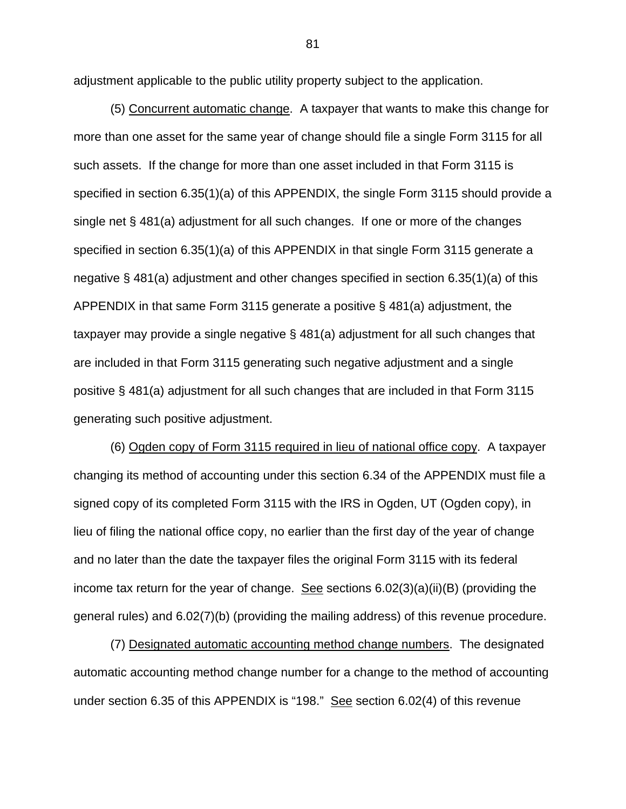adjustment applicable to the public utility property subject to the application.

(5) Concurrent automatic change. A taxpayer that wants to make this change for more than one asset for the same year of change should file a single Form 3115 for all such assets. If the change for more than one asset included in that Form 3115 is specified in section 6.35(1)(a) of this APPENDIX, the single Form 3115 should provide a single net § 481(a) adjustment for all such changes. If one or more of the changes specified in section 6.35(1)(a) of this APPENDIX in that single Form 3115 generate a negative § 481(a) adjustment and other changes specified in section 6.35(1)(a) of this APPENDIX in that same Form 3115 generate a positive § 481(a) adjustment, the taxpayer may provide a single negative § 481(a) adjustment for all such changes that are included in that Form 3115 generating such negative adjustment and a single positive § 481(a) adjustment for all such changes that are included in that Form 3115 generating such positive adjustment.

(6) Ogden copy of Form 3115 required in lieu of national office copy. A taxpayer changing its method of accounting under this section 6.34 of the APPENDIX must file a signed copy of its completed Form 3115 with the IRS in Ogden, UT (Ogden copy), in lieu of filing the national office copy, no earlier than the first day of the year of change and no later than the date the taxpayer files the original Form 3115 with its federal income tax return for the year of change. See sections  $6.02(3)(a)(ii)(B)$  (providing the general rules) and 6.02(7)(b) (providing the mailing address) of this revenue procedure.

(7) Designated automatic accounting method change numbers. The designated automatic accounting method change number for a change to the method of accounting under section 6.35 of this APPENDIX is "198." See section 6.02(4) of this revenue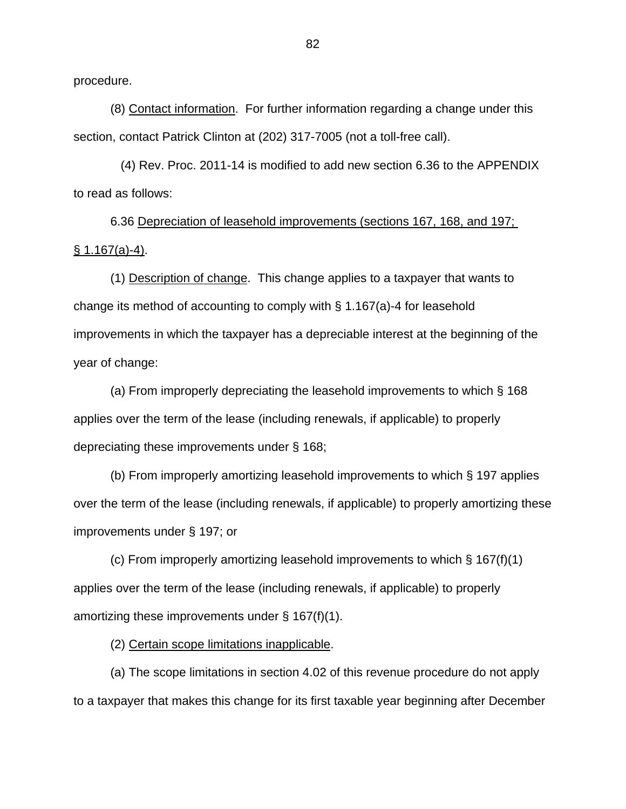procedure.

(8) Contact information. For further information regarding a change under this section, contact Patrick Clinton at (202) 317-7005 (not a toll-free call).

 (4) Rev. Proc. 2011-14 is modified to add new section 6.36 to the APPENDIX to read as follows:

6.36 Depreciation of leasehold improvements (sections 167, 168, and 197;  $§ 1.167(a)-4).$ 

(1) Description of change. This change applies to a taxpayer that wants to change its method of accounting to comply with § 1.167(a)-4 for leasehold improvements in which the taxpayer has a depreciable interest at the beginning of the year of change:

(a) From improperly depreciating the leasehold improvements to which § 168 applies over the term of the lease (including renewals, if applicable) to properly depreciating these improvements under § 168;

(b) From improperly amortizing leasehold improvements to which § 197 applies over the term of the lease (including renewals, if applicable) to properly amortizing these improvements under § 197; or

(c) From improperly amortizing leasehold improvements to which § 167(f)(1) applies over the term of the lease (including renewals, if applicable) to properly amortizing these improvements under § 167(f)(1).

(2) Certain scope limitations inapplicable.

(a) The scope limitations in section 4.02 of this revenue procedure do not apply to a taxpayer that makes this change for its first taxable year beginning after December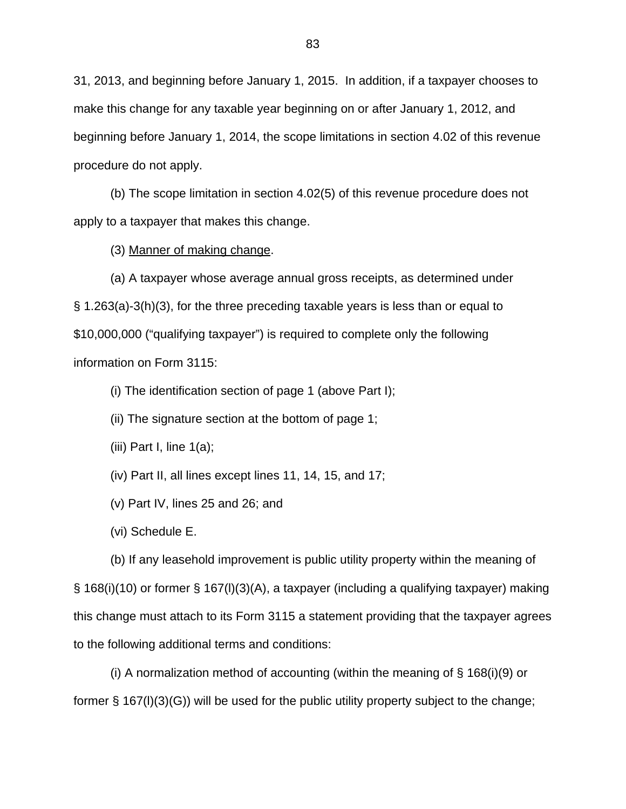31, 2013, and beginning before January 1, 2015. In addition, if a taxpayer chooses to make this change for any taxable year beginning on or after January 1, 2012, and beginning before January 1, 2014, the scope limitations in section 4.02 of this revenue procedure do not apply.

(b) The scope limitation in section 4.02(5) of this revenue procedure does not apply to a taxpayer that makes this change.

(3) Manner of making change.

(a) A taxpayer whose average annual gross receipts, as determined under § 1.263(a)-3(h)(3), for the three preceding taxable years is less than or equal to \$10,000,000 ("qualifying taxpayer") is required to complete only the following information on Form 3115:

(i) The identification section of page 1 (above Part I);

(ii) The signature section at the bottom of page 1;

(iii) Part I, line  $1(a)$ ;

(iv) Part II, all lines except lines 11, 14, 15, and 17;

(v) Part IV, lines 25 and 26; and

(vi) Schedule E.

(b) If any leasehold improvement is public utility property within the meaning of § 168(i)(10) or former § 167(l)(3)(A), a taxpayer (including a qualifying taxpayer) making this change must attach to its Form 3115 a statement providing that the taxpayer agrees to the following additional terms and conditions:

(i) A normalization method of accounting (within the meaning of  $\S$  168(i)(9) or former § 167(l)(3)(G)) will be used for the public utility property subject to the change;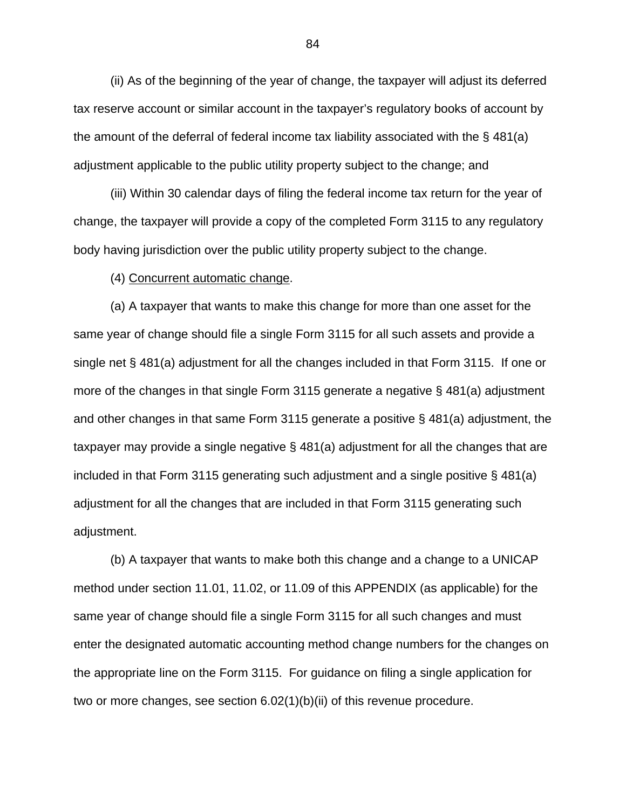(ii) As of the beginning of the year of change, the taxpayer will adjust its deferred tax reserve account or similar account in the taxpayer's regulatory books of account by the amount of the deferral of federal income tax liability associated with the  $\S$  481(a) adjustment applicable to the public utility property subject to the change; and

(iii) Within 30 calendar days of filing the federal income tax return for the year of change, the taxpayer will provide a copy of the completed Form 3115 to any regulatory body having jurisdiction over the public utility property subject to the change.

(4) Concurrent automatic change.

(a) A taxpayer that wants to make this change for more than one asset for the same year of change should file a single Form 3115 for all such assets and provide a single net § 481(a) adjustment for all the changes included in that Form 3115. If one or more of the changes in that single Form 3115 generate a negative § 481(a) adjustment and other changes in that same Form 3115 generate a positive § 481(a) adjustment, the taxpayer may provide a single negative § 481(a) adjustment for all the changes that are included in that Form 3115 generating such adjustment and a single positive § 481(a) adjustment for all the changes that are included in that Form 3115 generating such adjustment.

(b) A taxpayer that wants to make both this change and a change to a UNICAP method under section 11.01, 11.02, or 11.09 of this APPENDIX (as applicable) for the same year of change should file a single Form 3115 for all such changes and must enter the designated automatic accounting method change numbers for the changes on the appropriate line on the Form 3115. For guidance on filing a single application for two or more changes, see section 6.02(1)(b)(ii) of this revenue procedure.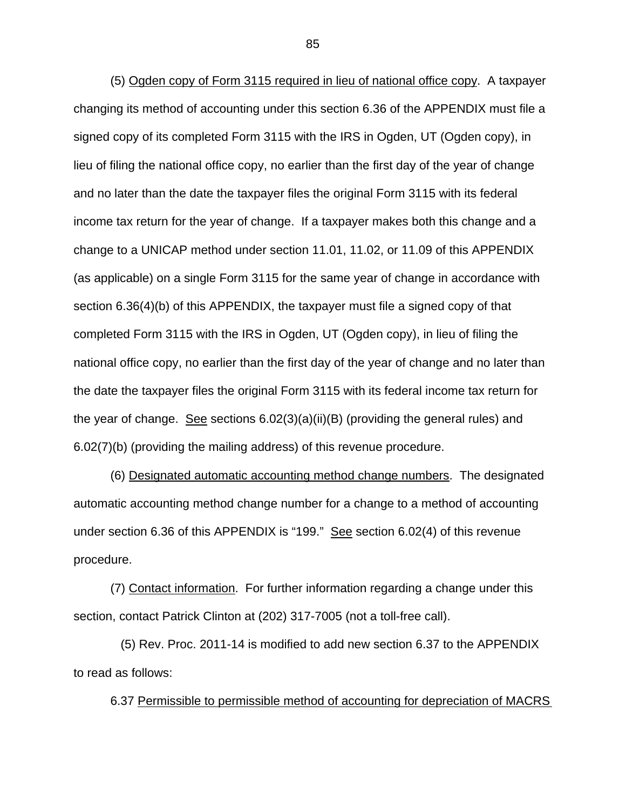(5) Ogden copy of Form 3115 required in lieu of national office copy. A taxpayer changing its method of accounting under this section 6.36 of the APPENDIX must file a signed copy of its completed Form 3115 with the IRS in Ogden, UT (Ogden copy), in lieu of filing the national office copy, no earlier than the first day of the year of change and no later than the date the taxpayer files the original Form 3115 with its federal income tax return for the year of change. If a taxpayer makes both this change and a change to a UNICAP method under section 11.01, 11.02, or 11.09 of this APPENDIX (as applicable) on a single Form 3115 for the same year of change in accordance with section 6.36(4)(b) of this APPENDIX, the taxpayer must file a signed copy of that completed Form 3115 with the IRS in Ogden, UT (Ogden copy), in lieu of filing the national office copy, no earlier than the first day of the year of change and no later than the date the taxpayer files the original Form 3115 with its federal income tax return for the year of change. See sections 6.02(3)(a)(ii)(B) (providing the general rules) and 6.02(7)(b) (providing the mailing address) of this revenue procedure.

(6) Designated automatic accounting method change numbers. The designated automatic accounting method change number for a change to a method of accounting under section 6.36 of this APPENDIX is "199." See section 6.02(4) of this revenue procedure.

(7) Contact information. For further information regarding a change under this section, contact Patrick Clinton at (202) 317-7005 (not a toll-free call).

 (5) Rev. Proc. 2011-14 is modified to add new section 6.37 to the APPENDIX to read as follows:

6.37 Permissible to permissible method of accounting for depreciation of MACRS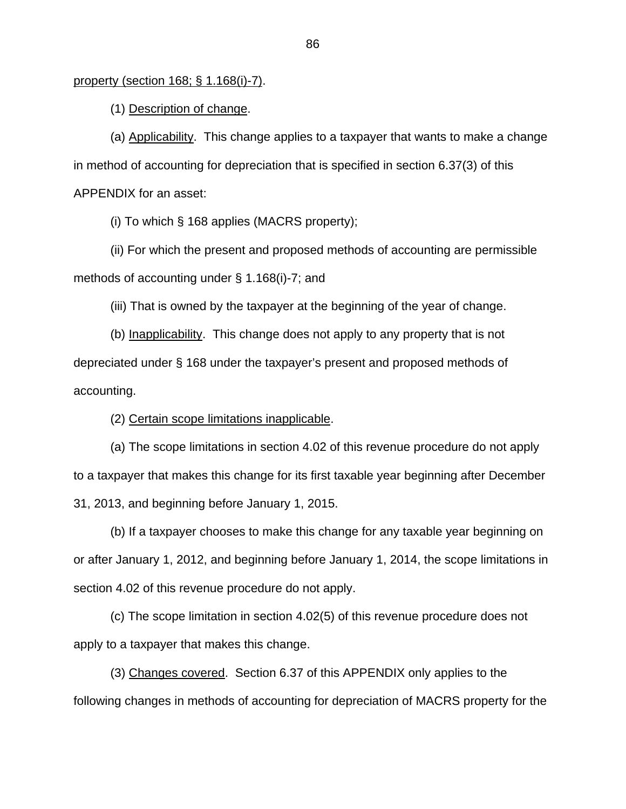## property (section 168; § 1.168(i)-7).

(1) Description of change.

(a) Applicability. This change applies to a taxpayer that wants to make a change in method of accounting for depreciation that is specified in section 6.37(3) of this APPENDIX for an asset:

(i) To which § 168 applies (MACRS property);

(ii) For which the present and proposed methods of accounting are permissible methods of accounting under § 1.168(i)-7; and

(iii) That is owned by the taxpayer at the beginning of the year of change.

(b) Inapplicability. This change does not apply to any property that is not depreciated under § 168 under the taxpayer's present and proposed methods of accounting.

(2) Certain scope limitations inapplicable.

(a) The scope limitations in section 4.02 of this revenue procedure do not apply to a taxpayer that makes this change for its first taxable year beginning after December 31, 2013, and beginning before January 1, 2015.

(b) If a taxpayer chooses to make this change for any taxable year beginning on or after January 1, 2012, and beginning before January 1, 2014, the scope limitations in section 4.02 of this revenue procedure do not apply.

(c) The scope limitation in section 4.02(5) of this revenue procedure does not apply to a taxpayer that makes this change.

(3) Changes covered. Section 6.37 of this APPENDIX only applies to the following changes in methods of accounting for depreciation of MACRS property for the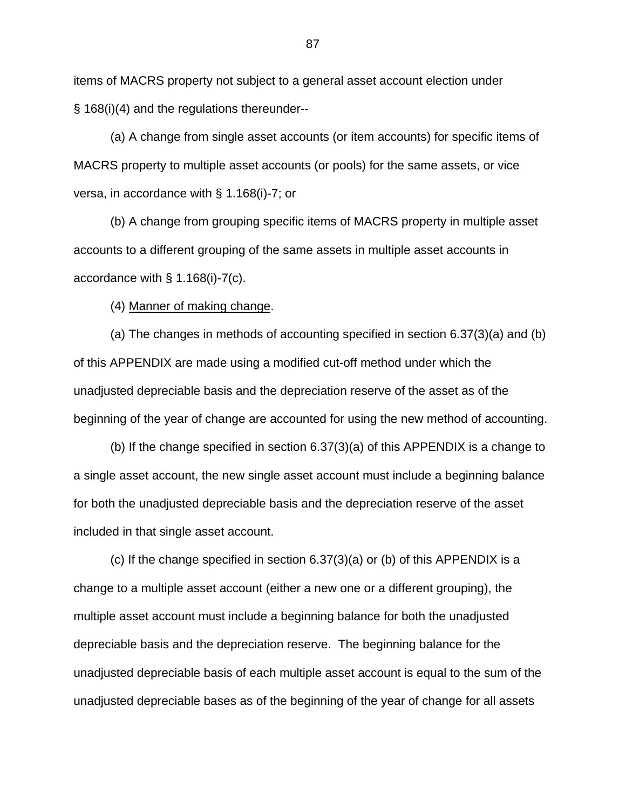items of MACRS property not subject to a general asset account election under § 168(i)(4) and the regulations thereunder--

(a) A change from single asset accounts (or item accounts) for specific items of MACRS property to multiple asset accounts (or pools) for the same assets, or vice versa, in accordance with § 1.168(i)-7; or

(b) A change from grouping specific items of MACRS property in multiple asset accounts to a different grouping of the same assets in multiple asset accounts in accordance with § 1.168(i)-7(c).

(4) Manner of making change.

(a) The changes in methods of accounting specified in section 6.37(3)(a) and (b) of this APPENDIX are made using a modified cut-off method under which the unadjusted depreciable basis and the depreciation reserve of the asset as of the beginning of the year of change are accounted for using the new method of accounting.

(b) If the change specified in section 6.37(3)(a) of this APPENDIX is a change to a single asset account, the new single asset account must include a beginning balance for both the unadjusted depreciable basis and the depreciation reserve of the asset included in that single asset account.

(c) If the change specified in section 6.37(3)(a) or (b) of this APPENDIX is a change to a multiple asset account (either a new one or a different grouping), the multiple asset account must include a beginning balance for both the unadjusted depreciable basis and the depreciation reserve. The beginning balance for the unadjusted depreciable basis of each multiple asset account is equal to the sum of the unadjusted depreciable bases as of the beginning of the year of change for all assets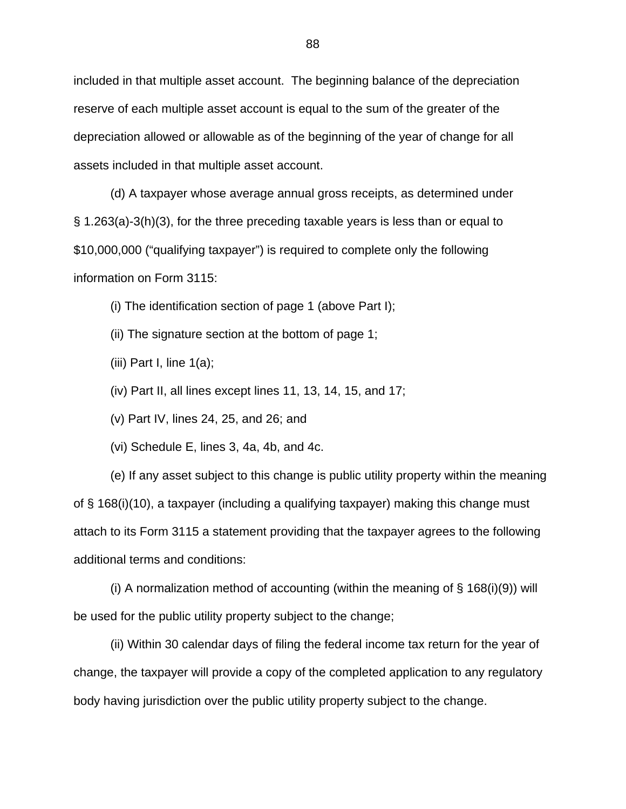included in that multiple asset account. The beginning balance of the depreciation reserve of each multiple asset account is equal to the sum of the greater of the depreciation allowed or allowable as of the beginning of the year of change for all assets included in that multiple asset account.

(d) A taxpayer whose average annual gross receipts, as determined under § 1.263(a)-3(h)(3), for the three preceding taxable years is less than or equal to \$10,000,000 ("qualifying taxpayer") is required to complete only the following information on Form 3115:

(i) The identification section of page 1 (above Part I);

(ii) The signature section at the bottom of page 1;

(iii) Part I, line  $1(a)$ ;

(iv) Part II, all lines except lines 11, 13, 14, 15, and 17;

(v) Part IV, lines 24, 25, and 26; and

(vi) Schedule E, lines 3, 4a, 4b, and 4c.

(e) If any asset subject to this change is public utility property within the meaning of § 168(i)(10), a taxpayer (including a qualifying taxpayer) making this change must attach to its Form 3115 a statement providing that the taxpayer agrees to the following additional terms and conditions:

(i) A normalization method of accounting (within the meaning of  $\S$  168(i)(9)) will be used for the public utility property subject to the change;

(ii) Within 30 calendar days of filing the federal income tax return for the year of change, the taxpayer will provide a copy of the completed application to any regulatory body having jurisdiction over the public utility property subject to the change.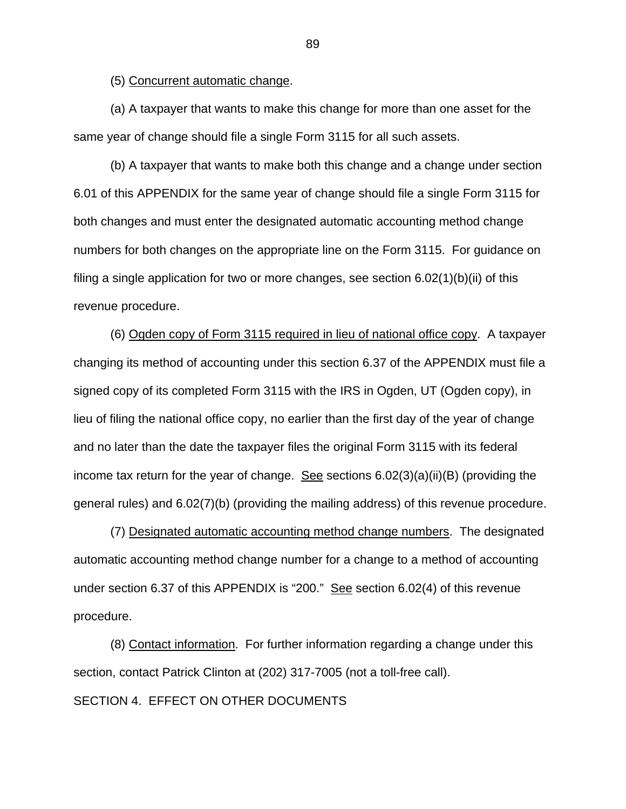(5) Concurrent automatic change.

(a) A taxpayer that wants to make this change for more than one asset for the same year of change should file a single Form 3115 for all such assets.

(b) A taxpayer that wants to make both this change and a change under section 6.01 of this APPENDIX for the same year of change should file a single Form 3115 for both changes and must enter the designated automatic accounting method change numbers for both changes on the appropriate line on the Form 3115. For guidance on filing a single application for two or more changes, see section 6.02(1)(b)(ii) of this revenue procedure.

(6) Ogden copy of Form 3115 required in lieu of national office copy. A taxpayer changing its method of accounting under this section 6.37 of the APPENDIX must file a signed copy of its completed Form 3115 with the IRS in Ogden, UT (Ogden copy), in lieu of filing the national office copy, no earlier than the first day of the year of change and no later than the date the taxpayer files the original Form 3115 with its federal income tax return for the year of change. See sections  $6.02(3)(a)(ii)(B)$  (providing the general rules) and 6.02(7)(b) (providing the mailing address) of this revenue procedure.

(7) Designated automatic accounting method change numbers. The designated automatic accounting method change number for a change to a method of accounting under section 6.37 of this APPENDIX is "200." See section 6.02(4) of this revenue procedure.

(8) Contact information. For further information regarding a change under this section, contact Patrick Clinton at (202) 317-7005 (not a toll-free call). SECTION 4. EFFECT ON OTHER DOCUMENTS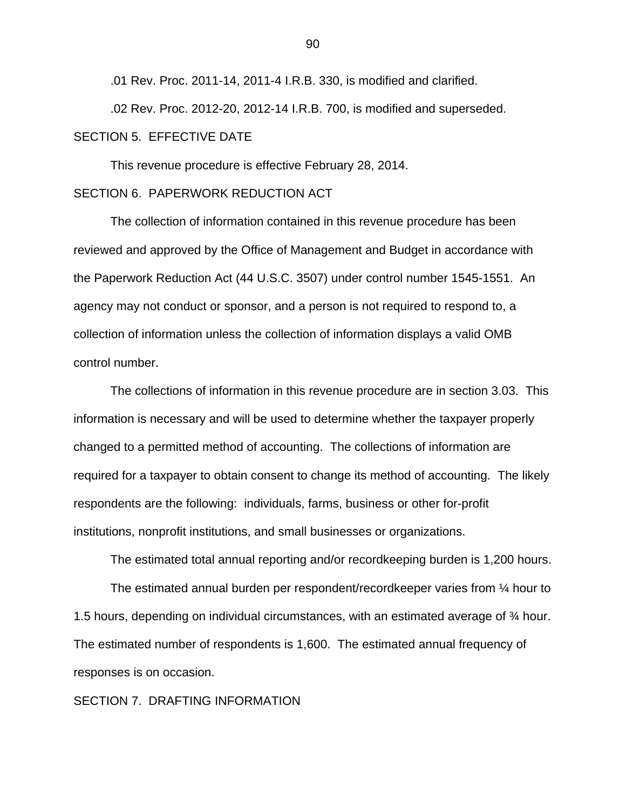.01 Rev. Proc. 2011-14, 2011-4 I.R.B. 330, is modified and clarified.

.02 Rev. Proc. 2012-20, 2012-14 I.R.B. 700, is modified and superseded. SECTION 5. EFFECTIVE DATE

This revenue procedure is effective February 28, 2014.

## SECTION 6. PAPERWORK REDUCTION ACT

 The collection of information contained in this revenue procedure has been reviewed and approved by the Office of Management and Budget in accordance with the Paperwork Reduction Act (44 U.S.C. 3507) under control number 1545-1551. An agency may not conduct or sponsor, and a person is not required to respond to, a collection of information unless the collection of information displays a valid OMB control number.

The collections of information in this revenue procedure are in section 3.03. This information is necessary and will be used to determine whether the taxpayer properly changed to a permitted method of accounting. The collections of information are required for a taxpayer to obtain consent to change its method of accounting. The likely respondents are the following: individuals, farms, business or other for-profit institutions, nonprofit institutions, and small businesses or organizations.

The estimated total annual reporting and/or recordkeeping burden is 1,200 hours.

The estimated annual burden per respondent/recordkeeper varies from ¼ hour to 1.5 hours, depending on individual circumstances, with an estimated average of ¾ hour. The estimated number of respondents is 1,600. The estimated annual frequency of responses is on occasion.

## SECTION 7. DRAFTING INFORMATION